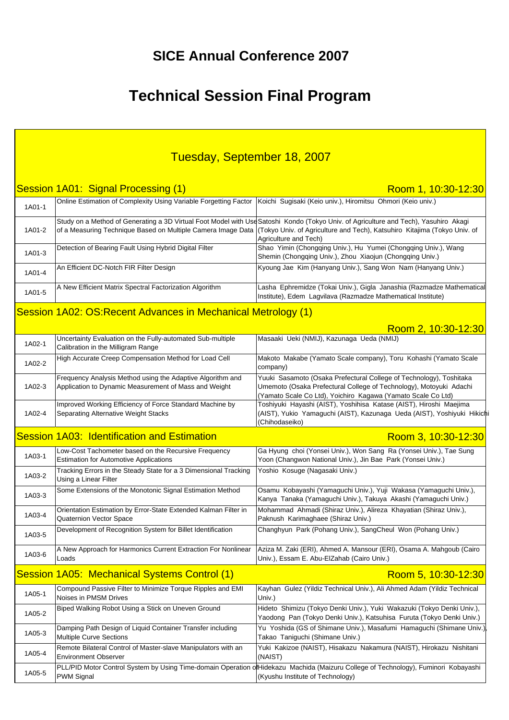## **SICE Annual Conference 2007**

# **Technical Session Final Program**

| Tuesday, September 18, 2007 |                                                                                                                     |                                                                                                                                                                                                                                                                                                         |
|-----------------------------|---------------------------------------------------------------------------------------------------------------------|---------------------------------------------------------------------------------------------------------------------------------------------------------------------------------------------------------------------------------------------------------------------------------------------------------|
|                             | Session 1A01: Signal Processing (1)                                                                                 | Room 1, 10:30-12:30                                                                                                                                                                                                                                                                                     |
| 1A01-1                      | Online Estimation of Complexity Using Variable Forgetting Factor                                                    | Koichi Sugisaki (Keio univ.), Hiromitsu Ohmori (Keio univ.)                                                                                                                                                                                                                                             |
| 1A01-2                      |                                                                                                                     | Study on a Method of Generating a 3D Virtual Foot Model with Use Satoshi Kondo (Tokyo Univ. of Agriculture and Tech), Yasuhiro Akagi<br>of a Measuring Technique Based on Multiple Camera Image Data (Tokyo Univ. of Agriculture and Tech), Katsuhiro Kitajima (Tokyo Univ. of<br>Agriculture and Tech) |
| 1A01-3                      | Detection of Bearing Fault Using Hybrid Digital Filter                                                              | Shao Yimin (Chongqing Univ.), Hu Yumei (Chongqing Univ.), Wang<br>Shemin (Chongqing Univ.), Zhou Xiaojun (Chongqing Univ.)                                                                                                                                                                              |
| 1A01-4                      | An Efficient DC-Notch FIR Filter Design                                                                             | Kyoung Jae Kim (Hanyang Univ.), Sang Won Nam (Hanyang Univ.)                                                                                                                                                                                                                                            |
| 1A01-5                      | A New Efficient Matrix Spectral Factorization Algorithm                                                             | Lasha Ephremidze (Tokai Univ.), Gigla Janashia (Razmadze Mathematical<br>Institute), Edem Lagvilava (Razmadze Mathematical Institute)                                                                                                                                                                   |
|                             | Session 1A02: OS: Recent Advances in Mechanical Metrology (1)                                                       |                                                                                                                                                                                                                                                                                                         |
|                             |                                                                                                                     | Room 2, 10:30-12:30                                                                                                                                                                                                                                                                                     |
| 1A02-1                      | Uncertainty Evaluation on the Fully-automated Sub-multiple<br>Calibration in the Milligram Range                    | Masaaki Ueki (NMIJ), Kazunaga Ueda (NMIJ)                                                                                                                                                                                                                                                               |
| 1A02-2                      | High Accurate Creep Compensation Method for Load Cell                                                               | Makoto Makabe (Yamato Scale company), Toru Kohashi (Yamato Scale<br>company)                                                                                                                                                                                                                            |
| 1A02-3                      | Frequency Analysis Method using the Adaptive Algorithm and<br>Application to Dynamic Measurement of Mass and Weight | Yuuki Sasamoto (Osaka Prefectural College of Technology), Toshitaka<br>Umemoto (Osaka Prefectural College of Technology), Motoyuki Adachi<br>(Yamato Scale Co Ltd), Yoichiro Kagawa (Yamato Scale Co Ltd)                                                                                               |
| 1A02-4                      | Improved Working Efficiency of Force Standard Machine by<br>Separating Alternative Weight Stacks                    | Toshiyuki Hayashi (AIST), Yoshihisa Katase (AIST), Hiroshi Maejima<br>(AIST), Yukio Yamaguchi (AIST), Kazunaga Ueda (AIST), Yoshiyuki Hikichi<br>(Chihodaseiko)                                                                                                                                         |
|                             | <b>Session 1A03: Identification and Estimation</b>                                                                  | Room 3, 10:30-12:30                                                                                                                                                                                                                                                                                     |
| 1A03-1                      | Low-Cost Tachometer based on the Recursive Frequency<br><b>Estimation for Automotive Applications</b>               | Ga Hyung choi (Yonsei Univ.), Won Sang Ra (Yonsei Univ.), Tae Sung<br>Yoon (Changwon National Univ.), Jin Bae Park (Yonsei Univ.)                                                                                                                                                                       |
| 1A03-2                      | Tracking Errors in the Steady State for a 3 Dimensional Tracking<br>Using a Linear Filter                           | Yoshio Kosuge (Nagasaki Univ.)                                                                                                                                                                                                                                                                          |
| 1A03-3                      | Some Extensions of the Monotonic Signal Estimation Method                                                           | Osamu Kobayashi (Yamaguchi Univ.), Yuji Wakasa (Yamaguchi Univ.),<br>Kanya Tanaka (Yamaguchi Univ.), Takuya Akashi (Yamaguchi Univ.)                                                                                                                                                                    |
| 1A03-4                      | Orientation Estimation by Error-State Extended Kalman Filter in<br>Quaternion Vector Space                          | Mohammad Ahmadi (Shiraz Univ.), Alireza Khayatian (Shiraz Univ.),<br>Paknush Karimaghaee (Shiraz Univ.)                                                                                                                                                                                                 |
| 1A03-5                      | Development of Recognition System for Billet Identification                                                         | Changhyun Park (Pohang Univ.), SangCheul Won (Pohang Univ.)                                                                                                                                                                                                                                             |
| 1A03-6                      | A New Approach for Harmonics Current Extraction For Nonlinear<br>Loads                                              | Aziza M. Zaki (ERI), Ahmed A. Mansour (ERI), Osama A. Mahgoub (Cairo<br>Univ.), Essam E. Abu-ElZahab (Cairo Univ.)                                                                                                                                                                                      |
|                             | Session 1A05: Mechanical Systems Control (1)                                                                        | Room 5, 10:30-12:30                                                                                                                                                                                                                                                                                     |
| 1A05-1                      | Compound Passive Filter to Minimize Torque Ripples and EMI<br>Noises in PMSM Drives                                 | Kayhan Gulez (Yildiz Technical Univ.), Ali Ahmed Adam (Yildiz Technical<br>Univ.)                                                                                                                                                                                                                       |
| 1A05-2                      | Biped Walking Robot Using a Stick on Uneven Ground                                                                  | Hideto Shimizu (Tokyo Denki Univ.), Yuki Wakazuki (Tokyo Denki Univ.),<br>Yaodong Pan (Tokyo Denki Univ.), Katsuhisa Furuta (Tokyo Denki Univ.)                                                                                                                                                         |
| 1A05-3                      | Damping Path Design of Liquid Container Transfer including<br><b>Multiple Curve Sections</b>                        | Yu Yoshida (GS of Shimane Univ.), Masafumi Hamaguchi (Shimane Univ.)<br>Takao Taniguchi (Shimane Univ.)                                                                                                                                                                                                 |
| 1A05-4                      | Remote Bilateral Control of Master-slave Manipulators with an<br><b>Environment Observer</b>                        | Yuki Kakizoe (NAIST), Hisakazu Nakamura (NAIST), Hirokazu Nishitani<br>(NAIST)                                                                                                                                                                                                                          |
| 1A05-5                      | PWM Signal                                                                                                          | PLL/PID Motor Control System by Using Time-domain Operation ofHidekazu Machida (Maizuru College of Technology), Fuminori Kobayashi<br>(Kyushu Institute of Technology)                                                                                                                                  |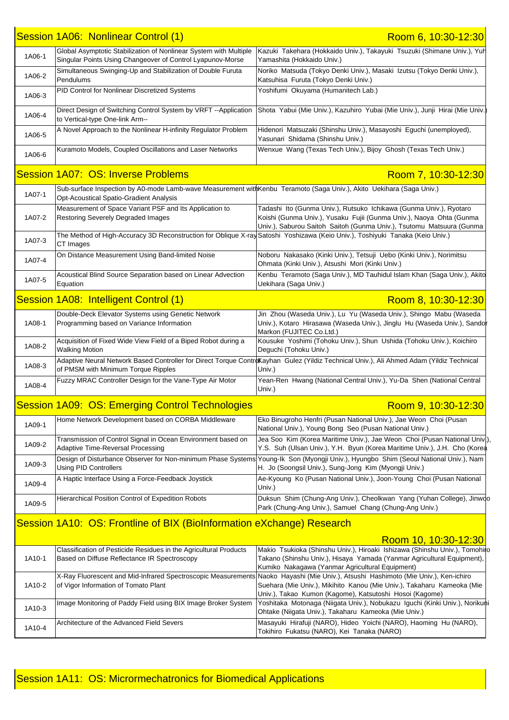|        | Session 1A06: Nonlinear Control (1)                                                                                                                                    | Room 6, 10:30-12:30                                                                                                                                                                                               |
|--------|------------------------------------------------------------------------------------------------------------------------------------------------------------------------|-------------------------------------------------------------------------------------------------------------------------------------------------------------------------------------------------------------------|
| 1A06-1 | Global Asymptotic Stabilization of Nonlinear System with Multiple<br>Singular Points Using Changeover of Control Lyapunov-Morse                                        | Kazuki Takehara (Hokkaido Univ.), Takayuki Tsuzuki (Shimane Univ.), Yuh<br>Yamashita (Hokkaido Univ.)                                                                                                             |
| 1A06-2 | Simultaneous Swinging-Up and Stabilization of Double Furuta<br>Pendulums                                                                                               | Noriko Matsuda (Tokyo Denki Univ.), Masaki Izutsu (Tokyo Denki Univ.),<br>Katsuhisa Furuta (Tokyo Denki Univ.)                                                                                                    |
| 1A06-3 | PID Control for Nonlinear Discretized Systems                                                                                                                          | Yoshifumi Okuyama (Humanitech Lab.)                                                                                                                                                                               |
| 1A06-4 | Direct Design of Switching Control System by VRFT --Application<br>to Vertical-type One-link Arm--                                                                     | Shota Yabui (Mie Univ.), Kazuhiro Yubai (Mie Univ.), Junji Hirai (Mie Univ.                                                                                                                                       |
| 1A06-5 | A Novel Approach to the Nonlinear H-infinity Regulator Problem                                                                                                         | Hidenori Matsuzaki (Shinshu Univ.), Masayoshi Eguchi (unemployed),<br>Yasunari Shidama (Shinshu Univ.)                                                                                                            |
| 1A06-6 | Kuramoto Models, Coupled Oscillations and Laser Networks                                                                                                               | Wenxue Wang (Texas Tech Univ.), Bijoy Ghosh (Texas Tech Univ.)                                                                                                                                                    |
|        | <b>Session 1A07: OS: Inverse Problems</b>                                                                                                                              | Room 7, 10:30-12:30                                                                                                                                                                                               |
| 1A07-1 | Sub-surface Inspection by A0-mode Lamb-wave Measurement withKenbu Teramoto (Saga Univ.), Akito Uekihara (Saga Univ.)<br><b>Opt-Acoustical Spatio-Gradient Analysis</b> |                                                                                                                                                                                                                   |
| 1A07-2 | Measurement of Space Variant PSF and Its Application to<br>Restoring Severely Degraded Images                                                                          | Tadashi Ito (Gunma Univ.), Rutsuko Ichikawa (Gunma Univ.), Ryotaro<br>Koishi (Gunma Univ.), Yusaku Fujii (Gunma Univ.), Naoya Ohta (Gunma<br>Univ.), Saburou Saitoh Saitoh (Gunma Univ.), Tsutomu Matsuura (Gunma |
| 1A07-3 | The Method of High-Accuracy 3D Reconstruction for Oblique X-ray Satoshi Yoshizawa (Keio Univ.), Toshiyuki Tanaka (Keio Univ.)<br>CT Images                             |                                                                                                                                                                                                                   |
| 1A07-4 | On Distance Measurement Using Band-limited Noise                                                                                                                       | Noboru Nakasako (Kinki Univ.), Tetsuji Uebo (Kinki Univ.), Norimitsu<br>Ohmata (Kinki Univ.), Atsushi Mori (Kinki Univ.)                                                                                          |
| 1A07-5 | Acoustical Blind Source Separation based on Linear Advection<br>Equation                                                                                               | Kenbu Teramoto (Saga Univ.), MD Tauhidul Islam Khan (Saga Univ.), Akito<br>Uekihara (Saga Univ.)                                                                                                                  |
|        | Session 1A08: Intelligent Control (1)                                                                                                                                  | Room 8, 10:30-12:30                                                                                                                                                                                               |
| 1A08-1 | Double-Deck Elevator Systems using Genetic Network<br>Programming based on Variance Information                                                                        | Jin Zhou (Waseda Univ.), Lu Yu (Waseda Univ.), Shingo Mabu (Waseda<br>Univ.), Kotaro Hirasawa (Waseda Univ.), Jinglu Hu (Waseda Univ.), Sandor<br>Markon (FUJITEC Co.Ltd.)                                        |
| 1A08-2 | Acquisition of Fixed Wide View Field of a Biped Robot during a<br><b>Walking Motion</b>                                                                                | Kousuke Yoshimi (Tohoku Univ.), Shun Ushida (Tohoku Univ.), Koichiro<br>Deguchi (Tohoku Univ.)                                                                                                                    |
| 1A08-3 | of PMSM with Minimum Torque Ripples                                                                                                                                    | Adaptive Neural Network Based Controller for Direct Torque ControlKayhan Gulez (Yildiz Technical Univ.), Ali Ahmed Adam (Yildiz Technical<br>Univ.)                                                               |
| 1A08-4 | Fuzzy MRAC Controller Design for the Vane-Type Air Motor                                                                                                               | Yean-Ren Hwang (National Central Univ.), Yu-Da Shen (National Central<br>Univ.)                                                                                                                                   |
|        | <b>Session 1A09: OS: Emerging Control Technologies</b>                                                                                                                 | Room 9, 10:30-12:30                                                                                                                                                                                               |
| 1A09-1 | Home Network Development based on CORBA Middleware                                                                                                                     | Eko Binugroho Henfri (Pusan National Univ.), Jae Weon Choi (Pusan<br>National Univ.), Young Bong Seo (Pusan National Univ.)                                                                                       |
| 1A09-2 | Transmission of Control Signal in Ocean Environment based on<br><b>Adaptive Time-Reversal Processing</b>                                                               | Jea Soo Kim (Korea Maritime Univ.), Jae Weon Choi (Pusan National Unive)<br>Y.S. Suh (Ulsan Univ.), Y.H. Byun (Korea Maritime Univ.), J.H. Cho (Korea                                                             |
| 1A09-3 | <b>Using PID Controllers</b>                                                                                                                                           | Design of Disturbance Observer for Non-minimum Phase Systems Young-Ik Son (Myongji Univ.), Hyungbo Shim (Seoul National Univ.), Nam<br>H. Jo (Soongsil Univ.), Sung-Jong Kim (Myongji Univ.)                      |
| 1A09-4 | A Haptic Interface Using a Force-Feedback Joystick                                                                                                                     | Ae-Kyoung Ko (Pusan National Univ.), Joon-Young Choi (Pusan National<br>Univ.)                                                                                                                                    |
| 1A09-5 | Hierarchical Position Control of Expedition Robots                                                                                                                     | Duksun Shim (Chung-Ang Univ.), Cheolkwan Yang (Yuhan College), Jinwoo<br>Park (Chung-Ang Univ.), Samuel Chang (Chung-Ang Univ.)                                                                                   |
|        | Session 1A10: OS: Frontline of BIX (BioInformation eXchange) Research                                                                                                  |                                                                                                                                                                                                                   |
|        |                                                                                                                                                                        | Room 10, 10:30-12:30                                                                                                                                                                                              |
| 1A10-1 | Classification of Pesticide Residues in the Agricultural Products<br>Based on Diffuse Reflectance IR Spectroscopy                                                      | Makio Tsukioka (Shinshu Univ.), Hiroaki Ishizawa (Shinshu Univ.), Tomohilo<br>Takano (Shinshu Univ.), Hisaya Yamada (Yanmar Agricultural Equipment),<br>Kumiko Nakagawa (Yanmar Agricultural Equipment)           |
| 1A10-2 | X-Ray Fluorescent and Mid-Infrared Spectroscopic Measurements<br>of Vigor Information of Tomato Plant                                                                  | Naoko Hayashi (Mie Univ.), Atsushi Hashimoto (Mie Univ.), Ken-ichiro<br>Suehara (Mie Univ.), Mikihito Kanou (Mie Univ.), Takaharu Kameoka (Mie<br>Univ.), Takao Kumon (Kagome), Katsutoshi Hosoi (Kagome)         |
| 1A10-3 | Image Monitoring of Paddy Field using BIX Image Broker System                                                                                                          | Yoshitaka Motonaga (Niigata Univ.), Nobukazu Iguchi (Kinki Univ.), Norikuni<br>Ohtake (Niigata Univ.), Takaharu Kameoka (Mie Univ.)                                                                               |
| 1A10-4 | Architecture of the Advanced Field Severs                                                                                                                              | Masayuki Hirafuji (NARO), Hideo Yoichi (NARO), Haoming Hu (NARO),<br>Tokihiro Fukatsu (NARO), Kei Tanaka (NARO)                                                                                                   |
|        |                                                                                                                                                                        |                                                                                                                                                                                                                   |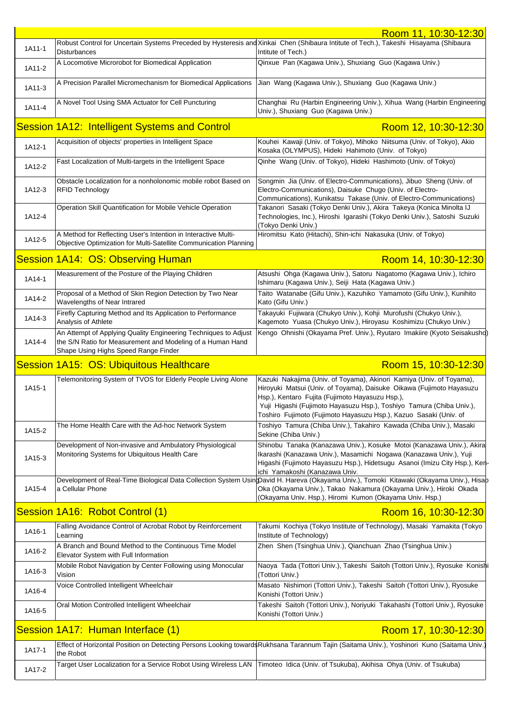|        |                                                                                                                                                                       | Room 11, 10:30-12:30                                                                                                                                                                                                                                                                                                                                                                                                                             |
|--------|-----------------------------------------------------------------------------------------------------------------------------------------------------------------------|--------------------------------------------------------------------------------------------------------------------------------------------------------------------------------------------------------------------------------------------------------------------------------------------------------------------------------------------------------------------------------------------------------------------------------------------------|
| 1A11-1 | <b>Disturbances</b>                                                                                                                                                   | Robust Control for Uncertain Systems Preceded by Hysteresis and Xinkai Chen (Shibaura Intitute of Tech.), Takeshi Hisayama (Shibaura<br>Intitute of Tech.)                                                                                                                                                                                                                                                                                       |
| 1A11-2 | A Locomotive Microrobot for Biomedical Application                                                                                                                    | Qinxue Pan (Kagawa Univ.), Shuxiang Guo (Kagawa Univ.)                                                                                                                                                                                                                                                                                                                                                                                           |
| 1A11-3 | A Precision Parallel Micromechanism for Biomedical Applications                                                                                                       | Jian Wang (Kagawa Univ.), Shuxiang Guo (Kagawa Univ.)                                                                                                                                                                                                                                                                                                                                                                                            |
| 1A11-4 | A Novel Tool Using SMA Actuator for Cell Puncturing                                                                                                                   | Changhai Ru (Harbin Engineering Univ.), Xihua Wang (Harbin Engineering<br>Univ.), Shuxiang Guo (Kagawa Univ.)                                                                                                                                                                                                                                                                                                                                    |
|        | Session 1A12: Intelligent Systems and Control                                                                                                                         | Room 12, 10:30-12:30                                                                                                                                                                                                                                                                                                                                                                                                                             |
| 1A12-1 | Acquisition of objects' properties in Intelligent Space                                                                                                               | Kouhei Kawaji (Univ. of Tokyo), Mihoko Niitsuma (Univ. of Tokyo), Akio<br>Kosaka (OLYMPUS), Hideki Hahimoto (Univ. of Tokyo)                                                                                                                                                                                                                                                                                                                     |
| 1A12-2 | Fast Localization of Multi-targets in the Intelligent Space                                                                                                           | Qinhe Wang (Univ. of Tokyo), Hideki Hashimoto (Univ. of Tokyo)                                                                                                                                                                                                                                                                                                                                                                                   |
| 1A12-3 | Obstacle Localization for a nonholonomic mobile robot Based on<br><b>RFID Technology</b>                                                                              | Songmin Jia (Univ. of Electro-Communications), Jibuo Sheng (Univ. of<br>Electro-Communications), Daisuke Chugo (Univ. of Electro-<br>Communications), Kunikatsu Takase (Univ. of Electro-Communications)                                                                                                                                                                                                                                         |
| 1A12-4 | Operation Skill Quantification for Mobile Vehicle Operation                                                                                                           | Takanori Sasaki (Tokyo Denki Univ.), Akira Takeya (Konica Minolta IJ<br>Technologies, Inc.), Hiroshi Igarashi (Tokyo Denki Univ.), Satoshi Suzuki                                                                                                                                                                                                                                                                                                |
| 1A12-5 | A Method for Reflecting User's Intention in Interactive Multi-<br>Objective Optimization for Multi-Satellite Communication Planning                                   | (Tokyo Denki Univ.)<br>Hiromitsu Kato (Hitachi), Shin-ichi Nakasuka (Univ. of Tokyo)                                                                                                                                                                                                                                                                                                                                                             |
|        | <b>Session 1A14: OS: Observing Human</b>                                                                                                                              | Room 14, 10:30-12:30                                                                                                                                                                                                                                                                                                                                                                                                                             |
| 1A14-1 | Measurement of the Posture of the Playing Children                                                                                                                    | Atsushi Ohga (Kagawa Univ.), Satoru Nagatomo (Kagawa Univ.), Ichiro<br>Ishimaru (Kagawa Univ.), Seiji Hata (Kagawa Univ.)                                                                                                                                                                                                                                                                                                                        |
| 1A14-2 | Proposal of a Method of Skin Region Detection by Two Near<br>Wavelengths of Near Intrared                                                                             | Taito Watanabe (Gifu Univ.), Kazuhiko Yamamoto (Gifu Univ.), Kunihito<br>Kato (Gifu Univ.)                                                                                                                                                                                                                                                                                                                                                       |
| 1A14-3 | Firefly Capturing Method and Its Application to Performance<br>Analysis of Athlete                                                                                    | Takayuki Fujiwara (Chukyo Univ.), Kohji Murofushi (Chukyo Univ.),<br>Kagemoto Yuasa (Chukyo Univ.), Hiroyasu Koshimizu (Chukyo Univ.)                                                                                                                                                                                                                                                                                                            |
| 1A14-4 | An Attempt of Applying Quality Engineering Techniques to Adjust<br>the S/N Ratio for Measurement and Modeling of a Human Hand<br>Shape Using Highs Speed Range Finder | Kengo Ohnishi (Okayama Pref. Univ.), Ryutaro Imakiire (Kyoto Seisakusho)                                                                                                                                                                                                                                                                                                                                                                         |
|        |                                                                                                                                                                       |                                                                                                                                                                                                                                                                                                                                                                                                                                                  |
|        | Session 1A15: OS: Ubiquitous Healthcare                                                                                                                               | Room 15, 10:30-12:30                                                                                                                                                                                                                                                                                                                                                                                                                             |
| 1A15-1 | Telemonitoring System of TVOS for Elderly People Living Alone                                                                                                         | Kazuki Nakajima (Univ. of Toyama), Akinori Kamiya (Univ. of Toyama),<br>Hiroyuki Matsui (Univ. of Toyama), Daisuke Oikawa (Fujimoto Hayasuzu<br>Hsp.), Kentaro Fujita (Fujimoto Hayasuzu Hsp.),<br>Yuji Higashi (Fujimoto Hayasuzu Hsp.), Toshiyo Tamura (Chiba Univ.),<br>Toshiro Fujimoto (Fujimoto Hayasuzu Hsp.), Kazuo Sasaki (Univ. of                                                                                                     |
| 1A15-2 | The Home Health Care with the Ad-hoc Network System                                                                                                                   | Toshiyo Tamura (Chiba Univ.), Takahiro Kawada (Chiba Univ.), Masaki<br>Sekine (Chiba Univ.)                                                                                                                                                                                                                                                                                                                                                      |
| 1A15-3 | Development of Non-invasive and Ambulatory Physiological<br>Monitoring Systems for Ubiquitous Health Care                                                             | Shinobu Tanaka (Kanazawa Univ.), Kosuke Motoi (Kanazawa Univ.), Akira<br>Ikarashi (Kanazawa Univ.), Masamichi Nogawa (Kanazawa Univ.), Yuji                                                                                                                                                                                                                                                                                                      |
| 1A15-4 | a Cellular Phone                                                                                                                                                      | ichi Yamakoshi (Kanazawa Univ.<br>Oka (Okayama Univ.), Takao Nakamura (Okayama Univ.), Hiroki Okada<br>(Okayama Univ. Hsp.), Hiromi Kumon (Okayama Univ. Hsp.)                                                                                                                                                                                                                                                                                   |
|        | Session 1A16: Robot Control (1)                                                                                                                                       | Room 16, 10:30-12:30                                                                                                                                                                                                                                                                                                                                                                                                                             |
| 1A16-1 | Falling Avoidance Control of Acrobat Robot by Reinforcement<br>Learning                                                                                               | Takumi Kochiya (Tokyo Institute of Technology), Masaki Yamakita (Tokyo<br>Institute of Technology)                                                                                                                                                                                                                                                                                                                                               |
| 1A16-2 | A Branch and Bound Method to the Continuous Time Model<br>Elevator System with Full Information                                                                       | Zhen Shen (Tsinghua Univ.), Qianchuan Zhao (Tsinghua Univ.)                                                                                                                                                                                                                                                                                                                                                                                      |
| 1A16-3 | Mobile Robot Navigation by Center Following using Monocular<br>Vision                                                                                                 | (Tottori Univ.)                                                                                                                                                                                                                                                                                                                                                                                                                                  |
| 1A16-4 | Voice Controlled Intelligent Wheelchair                                                                                                                               | Masato Nishimori (Tottori Univ.), Takeshi Saitoh (Tottori Univ.), Ryosuke<br>Konishi (Tottori Univ.)                                                                                                                                                                                                                                                                                                                                             |
| 1A16-5 | Oral Motion Controlled Intelligent Wheelchair                                                                                                                         | Takeshi Saitoh (Tottori Univ.), Noriyuki Takahashi (Tottori Univ.), Ryosuke<br>Konishi (Tottori Univ.)                                                                                                                                                                                                                                                                                                                                           |
|        | Session 1A17: Human Interface (1)                                                                                                                                     | Room 17, 10:30-12:30                                                                                                                                                                                                                                                                                                                                                                                                                             |
| 1A17-1 | the Robot                                                                                                                                                             | Higashi (Fujimoto Hayasuzu Hsp.), Hidetsugu Asanoi (Imizu City Hsp.), Ken-<br>Development of Real-Time Biological Data Collection System UsinDavid H. Hareva (Okayama Univ.), Tomoki Kitawaki (Okayama Univ.), Hisap<br>Naoya Tada (Tottori Univ.), Takeshi Saitoh (Tottori Univ.), Ryosuke Konishi<br>Effect of Horizontal Position on Detecting Persons Looking toward Rukhsana Tarannum Tajin (Saitama Univ.), Yoshinori Kuno (Saitama Univ.) |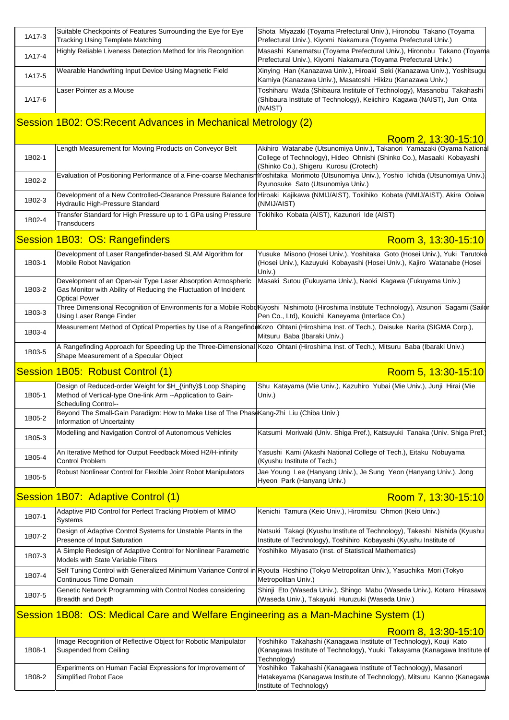| 1A17-3 | Suitable Checkpoints of Features Surrounding the Eye for Eye<br><b>Tracking Using Template Matching</b>                                                      | Shota Miyazaki (Toyama Prefectural Univ.), Hironobu Takano (Toyama<br>Prefectural Univ.), Kiyomi Nakamura (Toyama Prefectural Univ.)                                                                                              |
|--------|--------------------------------------------------------------------------------------------------------------------------------------------------------------|-----------------------------------------------------------------------------------------------------------------------------------------------------------------------------------------------------------------------------------|
| 1A17-4 | Highly Reliable Liveness Detection Method for Iris Recognition                                                                                               | Masashi Kanematsu (Toyama Prefectural Univ.), Hironobu Takano (Toyama<br>Prefectural Univ.), Kiyomi Nakamura (Toyama Prefectural Univ.)                                                                                           |
| 1A17-5 | Wearable Handwriting Input Device Using Magnetic Field                                                                                                       | Xinying Han (Kanazawa Univ.), Hiroaki Seki (Kanazawa Univ.), Yoshitsugu<br>Kamiya (Kanazawa Univ.), Masatoshi Hikizu (Kanazawa Univ.)                                                                                             |
| 1A17-6 | Laser Pointer as a Mouse                                                                                                                                     | Toshiharu Wada (Shibaura Institute of Technology), Masanobu Takahashi<br>(Shibaura Institute of Technology), Keiichiro Kagawa (NAIST), Jun Ohta                                                                                   |
|        | Session 1B02: OS: Recent Advances in Mechanical Metrology (2)                                                                                                | (NAIST)                                                                                                                                                                                                                           |
|        |                                                                                                                                                              | Room 2, 13:30-15:10                                                                                                                                                                                                               |
| 1B02-1 | Length Measurement for Moving Products on Conveyor Belt                                                                                                      | Akihiro Watanabe (Utsunomiya Univ.), Takanori Yamazaki (Oyama National<br>College of Technology), Hideo Ohnishi (Shinko Co.), Masaaki Kobayashi<br>(Shinko Co.), Shigeru Kurosu (Crotech)                                         |
| 1B02-2 |                                                                                                                                                              | Evaluation of Positioning Performance of a Fine-coarse MechanismYoshitaka Morimoto (Utsunomiya Univ.), Yoshio Ichida (Utsunomiya Univ.)<br>Ryunosuke Sato (Utsunomiya Univ.)                                                      |
| 1B02-3 | Hydraulic High-Pressure Standard                                                                                                                             | Development of a New Controlled-Clearance Pressure Balance for Hiroaki Kajikawa (NMIJ/AIST), Tokihiko Kobata (NMIJ/AIST), Akira Ooiwa<br>(NMIJ/AIST)                                                                              |
| 1B02-4 | Transfer Standard for High Pressure up to 1 GPa using Pressure<br><b>Transducers</b>                                                                         | Tokihiko Kobata (AIST), Kazunori Ide (AIST)                                                                                                                                                                                       |
|        | Session 1B03: OS: Rangefinders                                                                                                                               | Room 3, 13:30-15:10                                                                                                                                                                                                               |
| 1B03-1 | Development of Laser Rangefinder-based SLAM Algorithm for<br><b>Mobile Robot Navigation</b>                                                                  | Yusuke Misono (Hosei Univ.), Yoshitaka Goto (Hosei Univ.), Yuki Tarutoko<br>(Hosei Univ.), Kazuyuki Kobayashi (Hosei Univ.), Kajiro Watanabe (Hosei<br>Univ.)                                                                     |
| 1B03-2 | Development of an Open-air Type Laser Absorption Atmospheric<br>Gas Monitor with Ability of Reducing the Fluctuation of Incident<br><b>Optical Power</b>     | Masaki Sutou (Fukuyama Univ.), Naoki Kagawa (Fukuyama Univ.)                                                                                                                                                                      |
| 1B03-3 | Using Laser Range Finder                                                                                                                                     | Three Dimensional Recognition of Environments for a Mobile RoboKiyoshi Nishimoto (Hiroshima Institute Technology), Atsunori Sagami (Sailor<br>Pen Co., Ltd), Kouichi Kaneyama (Interface Co.)                                     |
| 1B03-4 |                                                                                                                                                              | Measurement Method of Optical Properties by Use of a Rangefind Kozo Ohtani (Hiroshima Inst. of Tech.), Daisuke Narita (SIGMA Corp.),<br>Mitsuru Baba (Ibaraki Univ.)                                                              |
| 1B03-5 | Shape Measurement of a Specular Object                                                                                                                       | A Rangefinding Approach for Speeding Up the Three-Dimensional Kozo Ohtani (Hiroshima Inst. of Tech.), Mitsuru Baba (Ibaraki Univ.)                                                                                                |
|        |                                                                                                                                                              |                                                                                                                                                                                                                                   |
|        | Session 1B05: Robust Control (1)                                                                                                                             | Room 5, 13:30-15:10                                                                                                                                                                                                               |
| 1B05-1 | Design of Reduced-order Weight for \$H_{\infty}\$ Loop Shaping<br>Method of Vertical-type One-link Arm --Application to Gain-<br><b>Scheduling Control--</b> | Shu Katayama (Mie Univ.), Kazuhiro Yubai (Mie Univ.), Junji Hirai (Mie<br>Univ.)                                                                                                                                                  |
| 1B05-2 | Beyond The Small-Gain Paradigm: How to Make Use of The Phase Kang-Zhi Liu (Chiba Univ.)<br>Information of Uncertainty                                        |                                                                                                                                                                                                                                   |
| 1B05-3 | Modelling and Navigation Control of Autonomous Vehicles                                                                                                      | Katsumi Moriwaki (Univ. Shiga Pref.), Katsuyuki Tanaka (Univ. Shiga Pref.)                                                                                                                                                        |
| 1B05-4 | An Iterative Method for Output Feedback Mixed H2/H-infinity<br><b>Control Problem</b>                                                                        | Yasushi Kami (Akashi National College of Tech.), Eitaku Nobuyama<br>(Kyushu Institute of Tech.)                                                                                                                                   |
| 1B05-5 | Robust Nonlinear Control for Flexible Joint Robot Manipulators                                                                                               | Jae Young Lee (Hanyang Univ.), Je Sung Yeon (Hanyang Univ.), Jong<br>Hyeon Park (Hanyang Univ.)                                                                                                                                   |
|        | Session 1B07: Adaptive Control (1)                                                                                                                           | Room 7, 13:30-15:10                                                                                                                                                                                                               |
| 1B07-1 | Adaptive PID Control for Perfect Tracking Problem of MIMO<br>Systems                                                                                         | Kenichi Tamura (Keio Univ.), Hiromitsu Ohmori (Keio Univ.)                                                                                                                                                                        |
| 1B07-2 | Design of Adaptive Control Systems for Unstable Plants in the<br>Presence of Input Saturation                                                                | Natsuki Takagi (Kyushu Institute of Technology), Takeshi Nishida (Kyushu<br>Institute of Technology), Toshihiro Kobayashi (Kyushu Institute of                                                                                    |
| 1B07-3 | A Simple Redesign of Adaptive Control for Nonlinear Parametric<br>Models with State Variable Filters                                                         | Yoshihiko Miyasato (Inst. of Statistical Mathematics)                                                                                                                                                                             |
| 1B07-4 | Continuous Time Domain                                                                                                                                       | Self Tuning Control with Generalized Minimum Variance Control in Ryouta Hoshino (Tokyo Metropolitan Univ.), Yasuchika Mori (Tokyo<br>Metropolitan Univ.)                                                                          |
| 1B07-5 | Genetic Network Programming with Control Nodes considering<br><b>Breadth and Depth</b>                                                                       | Shinji Eto (Waseda Univ.), Shingo Mabu (Waseda Univ.), Kotaro Hirasawa<br>(Waseda Univ.), Takayuki Huruzuki (Waseda Univ.)                                                                                                        |
|        | Session 1B08: OS: Medical Care and Welfare Engineering as a Man-Machine System (1)                                                                           |                                                                                                                                                                                                                                   |
|        |                                                                                                                                                              | Room 8, 13:30-15:10                                                                                                                                                                                                               |
| 1B08-1 | Image Recognition of Reflective Object for Robotic Manipulator<br>Suspended from Ceiling<br>Experiments on Human Facial Expressions for Improvement of       | Yoshihiko Takahashi (Kanagawa Institute of Technology), Kouji Kato<br>(Kanagawa Institute of Technology), Yuuki Takayama (Kanagawa Institute o<br>Technology)<br>Yoshihiko Takahashi (Kanagawa Institute of Technology), Masanori |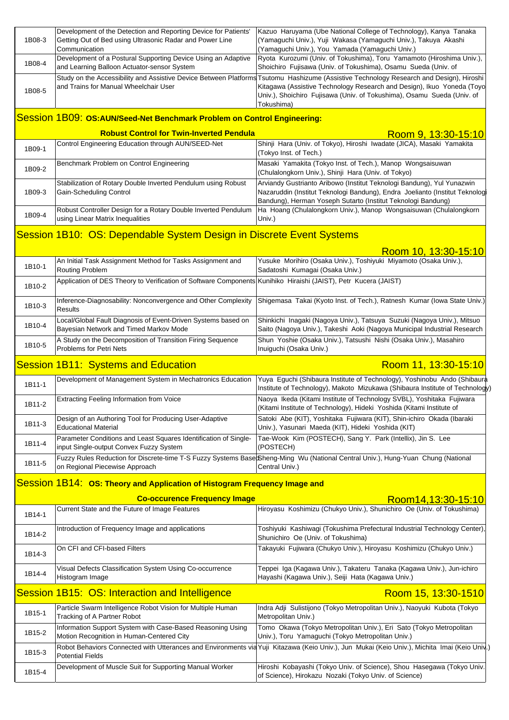| 1B08-3                                     | Development of the Detection and Reporting Device for Patients'<br>Getting Out of Bed using Ultrasonic Radar and Power Line   | Kazuo Haruyama (Ube National College of Technology), Kanya Tanaka<br>(Yamaguchi Univ.), Yuji Wakasa (Yamaguchi Univ.), Takuya Akashi                                                                                                                                                                      |
|--------------------------------------------|-------------------------------------------------------------------------------------------------------------------------------|-----------------------------------------------------------------------------------------------------------------------------------------------------------------------------------------------------------------------------------------------------------------------------------------------------------|
| 1B08-4                                     | Communication<br>Development of a Postural Supporting Device Using an Adaptive<br>and Learning Balloon Actuator-sensor System | (Yamaguchi Univ.), You Yamada (Yamaguchi Univ.)<br>Ryota Kurozumi (Univ. of Tokushima), Toru Yamamoto (Hiroshima Univ.),<br>Shoichiro Fujisawa (Univ. of Tokushima), Osamu Sueda (Univ. of                                                                                                                |
| 1B08-5                                     | and Trains for Manual Wheelchair User                                                                                         | Study on the Accessibility and Assistive Device Between Platforms Tsutomu Hashizume (Assistive Technology Research and Design), Hiroshi<br>Kitagawa (Assistive Technology Research and Design), Ikuo Yoneda (Toyo<br>Univ.), Shoichiro Fujisawa (Univ. of Tokushima), Osamu Sueda (Univ. of<br>Tokushima) |
|                                            | Session 1B09: OS:AUN/Seed-Net Benchmark Problem on Control Engineering:                                                       |                                                                                                                                                                                                                                                                                                           |
|                                            | <b>Robust Control for Twin-Inverted Pendula</b>                                                                               | Room 9, 13:30-15:10                                                                                                                                                                                                                                                                                       |
| 1B09-1                                     | Control Engineering Education through AUN/SEED-Net                                                                            | Shinji Hara (Univ. of Tokyo), Hiroshi Iwadate (JICA), Masaki Yamakita<br>(Tokyo Inst. of Tech.)                                                                                                                                                                                                           |
| 1B09-2                                     | Benchmark Problem on Control Engineering                                                                                      | Masaki Yamakita (Tokyo Inst. of Tech.), Manop Wongsaisuwan<br>(Chulalongkorn Univ.), Shinji Hara (Univ. of Tokyo)                                                                                                                                                                                         |
| 1B09-3                                     | Stabilization of Rotary Double Inverted Pendulum using Robust<br>Gain-Scheduling Control                                      | Arviandy Gustrianto Aribowo (Institut Teknologi Bandung), Yul Yunazwin<br>Nazaruddin (Institut Teknologi Bandung), Endra Joelianto (Institut Teknolog<br>Bandung), Herman Yoseph Sutarto (Institut Teknologi Bandung)                                                                                     |
| 1B09-4                                     | Robust Controller Design for a Rotary Double Inverted Pendulum<br>using Linear Matrix Inequalities                            | Ha Hoang (Chulalongkorn Univ.), Manop Wongsaisuwan (Chulalongkorn<br>Univ.)                                                                                                                                                                                                                               |
|                                            | Session 1B10: OS: Dependable System Design in Discrete Event Systems                                                          |                                                                                                                                                                                                                                                                                                           |
|                                            |                                                                                                                               | Room 10, 13:30-15:10                                                                                                                                                                                                                                                                                      |
| 1B10-1                                     | An Initial Task Assignment Method for Tasks Assignment and<br>Routing Problem                                                 | Yusuke Morihiro (Osaka Univ.), Toshiyuki Miyamoto (Osaka Univ.),<br>Sadatoshi Kumagai (Osaka Univ.)                                                                                                                                                                                                       |
| 1B10-2                                     | Application of DES Theory to Verification of Software Components Kunihiko Hiraishi (JAIST), Petr Kucera (JAIST)               |                                                                                                                                                                                                                                                                                                           |
| 1B10-3                                     | Inference-Diagnosability: Nonconvergence and Other Complexity<br>Results                                                      | Shigemasa Takai (Kyoto Inst. of Tech.), Ratnesh Kumar (Iowa State Univ.)                                                                                                                                                                                                                                  |
| 1B10-4                                     | Local/Global Fault Diagnosis of Event-Driven Systems based on<br>Bayesian Network and Timed Markov Mode                       | Shinkichi Inagaki (Nagoya Univ.), Tatsuya Suzuki (Nagoya Univ.), Mitsuo<br>Saito (Nagoya Univ.), Takeshi Aoki (Nagoya Municipal Industrial Research                                                                                                                                                       |
| 1B10-5                                     | A Study on the Decomposition of Transition Firing Sequence<br><b>Problems for Petri Nets</b>                                  | Shun Yoshie (Osaka Univ.), Tatsushi Nishi (Osaka Univ.), Masahiro<br>Inuiguchi (Osaka Univ.)                                                                                                                                                                                                              |
| <b>Session 1B11: Systems and Education</b> |                                                                                                                               |                                                                                                                                                                                                                                                                                                           |
|                                            |                                                                                                                               | Room 11, 13:30-15:10                                                                                                                                                                                                                                                                                      |
| 1B11-1                                     | Development of Management System in Mechatronics Education                                                                    | Yuya Eguchi (Shibaura Institute of Technology), Yoshinobu Ando (Shibaura<br>Institute of Technology), Makoto Mizukawa (Shibaura Institute of Technology)                                                                                                                                                  |
| 1B11-2                                     | <b>Extracting Feeling Information from Voice</b>                                                                              | Naoya Ikeda (Kitami Institute of Technology SVBL), Yoshitaka Fujiwara<br>(Kitami Institute of Technology), Hideki Yoshida (Kitami Institute of                                                                                                                                                            |
| 1B11-3                                     | Design of an Authoring Tool for Producing User-Adaptive<br><b>Educational Material</b>                                        | Satoki Abe (KIT), Yoshitaka Fujiwara (KIT), Shin-ichiro Okada (Ibaraki<br>Univ.), Yasunari Maeda (KIT), Hideki Yoshida (KIT)                                                                                                                                                                              |
| 1B11-4                                     | Parameter Conditions and Least Squares Identification of Single-<br>input Single-output Convex Fuzzy System                   | Tae-Wook Kim (POSTECH), Sang Y. Park (Intellix), Jin S. Lee<br>(POSTECH)                                                                                                                                                                                                                                  |
| 1B11-5                                     | on Regional Piecewise Approach                                                                                                | Fuzzy Rules Reduction for Discrete-time T-S Fuzzy Systems Base Sheng-Ming Wu (National Central Univ.), Hung-Yuan Chung (National<br>Central Univ.)                                                                                                                                                        |
|                                            | Session 1B14: OS: Theory and Application of Histogram Frequency Image and                                                     |                                                                                                                                                                                                                                                                                                           |
|                                            | <b>Co-occurence Frequency Image</b>                                                                                           | Room14,13:30-15:10                                                                                                                                                                                                                                                                                        |
| 1B14-1                                     | Current State and the Future of Image Features                                                                                | Hiroyasu Koshimizu (Chukyo Univ.), Shunichiro Oe (Univ. of Tokushima)                                                                                                                                                                                                                                     |
| 1B14-2                                     | Introduction of Frequency Image and applications                                                                              | Toshiyuki Kashiwagi (Tokushima Prefectural Industrial Technology Center),<br>Shunichiro Oe (Univ. of Tokushima)                                                                                                                                                                                           |
| 1B14-3                                     | On CFI and CFI-based Filters                                                                                                  | Takayuki Fujiwara (Chukyo Univ.), Hiroyasu Koshimizu (Chukyo Univ.)                                                                                                                                                                                                                                       |
| 1B14-4                                     | Visual Defects Classification System Using Co-occurrence<br>Histogram Image                                                   | Teppei Iga (Kagawa Univ.), Takateru Tanaka (Kagawa Univ.), Jun-ichiro<br>Hayashi (Kagawa Univ.), Seiji Hata (Kagawa Univ.)                                                                                                                                                                                |
|                                            | Session 1B15: OS: Interaction and Intelligence                                                                                | Room 15, 13:30-1510                                                                                                                                                                                                                                                                                       |
| 1B15-1                                     | Particle Swarm Intelligence Robot Vision for Multiple Human<br>Tracking of A Partner Robot                                    | Indra Adji Sulistijono (Tokyo Metropolitan Univ.), Naoyuki Kubota (Tokyo<br>Metropolitan Univ.)                                                                                                                                                                                                           |
| 1B15-2                                     | Information Support System with Case-Based Reasoning Using<br>Motion Recognition in Human-Centered City                       | Tomo Okawa (Tokyo Metropolitan Univ.), Eri Sato (Tokyo Metropolitan<br>Univ.), Toru Yamaguchi (Tokyo Metropolitan Univ.)                                                                                                                                                                                  |
| 1B15-3                                     | <b>Potential Fields</b>                                                                                                       | Robot Behaviors Connected with Utterances and Environments vid Yuji Kitazawa (Keio Univ.), Jun Mukai (Keio Univ.), Michita Imai (Keio Uniy.)                                                                                                                                                              |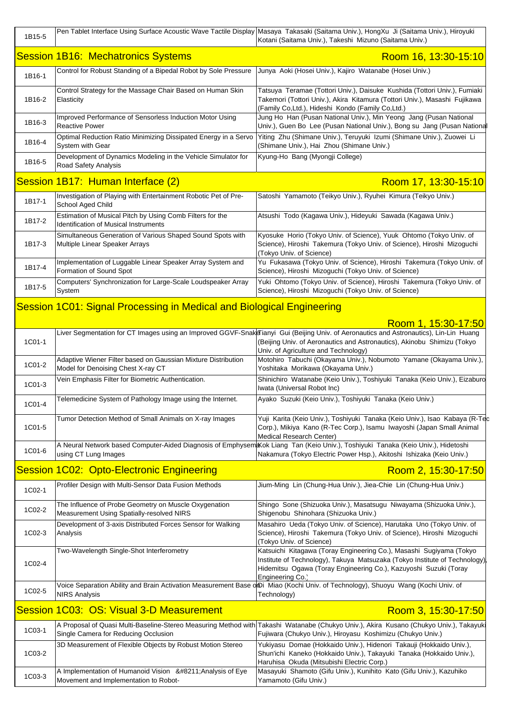| 1B15-5 |                                                                                                           | Pen Tablet Interface Using Surface Acoustic Wave Tactile Display Masaya Takasaki (Saitama Univ.), HongXu Ji (Saitama Univ.), Hiroyuki<br>Kotani (Saitama Univ.), Takeshi Mizuno (Saitama Univ.)                                                           |
|--------|-----------------------------------------------------------------------------------------------------------|-----------------------------------------------------------------------------------------------------------------------------------------------------------------------------------------------------------------------------------------------------------|
|        | <b>Session 1B16: Mechatronics Systems</b>                                                                 | Room 16, 13:30-15:10                                                                                                                                                                                                                                      |
| 1B16-1 | Control for Robust Standing of a Bipedal Robot by Sole Pressure                                           | Junya Aoki (Hosei Univ.), Kajiro Watanabe (Hosei Univ.)                                                                                                                                                                                                   |
| 1B16-2 | Control Strategy for the Massage Chair Based on Human Skin<br>Elasticity                                  | Tatsuya Teramae (Tottori Univ.), Daisuke Kushida (Tottori Univ.), Fumiaki<br>Takemori (Tottori Univ.), Akira Kitamura (Tottori Univ.), Masashi Fujikawa<br>(Family Co,Ltd.), Hideshi Kondo (Family Co,Ltd.)                                               |
| 1B16-3 | Improved Performance of Sensorless Induction Motor Using<br><b>Reactive Power</b>                         | Jung Ho Han (Pusan National Univ.), Min Yeong Jang (Pusan National<br>Univ.), Guen Bo Lee (Pusan National Univ.), Bong su Jang (Pusan Nationa                                                                                                             |
| 1B16-4 | Optimal Reduction Ratio Minimizing Dissipated Energy in a Servo<br>System with Gear                       | Yiting Zhu (Shimane Univ.), Teruyuki Izumi (Shimane Univ.), Zuowei Li<br>(Shimane Univ.), Hai Zhou (Shimane Univ.)                                                                                                                                        |
| 1B16-5 | Development of Dynamics Modeling in the Vehicle Simulator for<br>Road Safety Analysis                     | Kyung-Ho Bang (Myongji College)                                                                                                                                                                                                                           |
|        | Session 1B17: Human Interface (2)                                                                         | Room 17, 13:30-15:10                                                                                                                                                                                                                                      |
| 1B17-1 | Investigation of Playing with Entertainment Robotic Pet of Pre-<br>School Aged Child                      | Satoshi Yamamoto (Teikyo Univ.), Ryuhei Kimura (Teikyo Univ.)                                                                                                                                                                                             |
| 1B17-2 | Estimation of Musical Pitch by Using Comb Filters for the<br><b>Identification of Musical Instruments</b> | Atsushi Todo (Kagawa Univ.), Hideyuki Sawada (Kagawa Univ.)                                                                                                                                                                                               |
| 1B17-3 | Simultaneous Generation of Various Shaped Sound Spots with<br>Multiple Linear Speaker Arrays              | Kyosuke Horio (Tokyo Univ. of Science), Yuuk Ohtomo (Tokyo Univ. of<br>Science), Hiroshi Takemura (Tokyo Univ. of Science), Hiroshi Mizoguchi<br>(Tokyo Univ. of Science)                                                                                 |
| 1B17-4 | Implementation of Luggable Linear Speaker Array System and<br>Formation of Sound Spot                     | Yu Fukasawa (Tokyo Univ. of Science), Hiroshi Takemura (Tokyo Univ. of<br>Science), Hiroshi Mizoguchi (Tokyo Univ. of Science)                                                                                                                            |
| 1B17-5 | Computers' Synchronization for Large-Scale Loudspeaker Array<br>System                                    | Yuki Ohtomo (Tokyo Univ. of Science), Hiroshi Takemura (Tokyo Univ. of<br>Science), Hiroshi Mizoguchi (Tokyo Univ. of Science)                                                                                                                            |
|        | Session 1C01: Signal Processing in Medical and Biological Engineering                                     |                                                                                                                                                                                                                                                           |
|        |                                                                                                           | Room 1, 15:30-17:50                                                                                                                                                                                                                                       |
| 1C01-1 |                                                                                                           | Liver Segmentation for CT Images using an Improved GGVF-SnakaTianyi Gui (Beijing Univ. of Aeronautics and Astronautics), Lin-Lin Huang<br>(Beijing Univ. of Aeronautics and Astronautics), Akinobu Shimizu (Tokyo<br>Univ. of Agriculture and Technology) |
| 1C01-2 | Adaptive Wiener Filter based on Gaussian Mixture Distribution<br>Model for Denoising Chest X-ray CT       | Motohiro Tabuchi (Okayama Univ.), Nobumoto Yamane (Okayama Univ.),<br>Yoshitaka Morikawa (Okayama Univ.)                                                                                                                                                  |
| 1C01-3 | Vein Emphasis Filter for Biometric Authentication.                                                        | Shinichiro Watanabe (Keio Univ.), Toshiyuki Tanaka (Keio Univ.), Eizaburo<br>Iwata (Universal Robot Inc)                                                                                                                                                  |
| 1C01-4 | Telemedicine System of Pathology Image using the Internet.                                                | Ayako Suzuki (Keio Univ.), Toshiyuki Tanaka (Keio Univ.)                                                                                                                                                                                                  |
| 1C01-5 | Tumor Detection Method of Small Animals on X-ray Images                                                   | Yuji Karita (Keio Univ.), Toshiyuki Tanaka (Keio Univ.), Isao Kabaya (R-Tec<br>Corp.), Mikiya Kano (R-Tec Corp.), Isamu Iwayoshi (Japan Small Animal<br>Medical Research Center)                                                                          |
| 1C01-6 | using CT Lung Images                                                                                      | A Neural Network based Computer-Aided Diagnosis of EmphysemKok Liang Tan (Keio Univ.), Toshiyuki Tanaka (Keio Univ.), Hidetoshi<br>Nakamura (Tokyo Electric Power Hsp.), Akitoshi Ishizaka (Keio Univ.)                                                   |
|        | <b>Session 1C02: Opto-Electronic Engineering</b>                                                          | Room 2, 15:30-17:50                                                                                                                                                                                                                                       |
| 1C02-1 | Profiler Design with Multi-Sensor Data Fusion Methods                                                     | Jium-Ming Lin (Chung-Hua Univ.), Jiea-Chie Lin (Chung-Hua Univ.)                                                                                                                                                                                          |
| 1C02-2 | The Influence of Probe Geometry on Muscle Oxygenation<br>Measurement Using Spatially-resolved NIRS        | Shingo Sone (Shizuoka Univ.), Masatsugu Niwayama (Shizuoka Univ.),<br>Shigenobu Shinohara (Shizuoka Univ.)                                                                                                                                                |
| 1C02-3 | Development of 3-axis Distributed Forces Sensor for Walking<br>Analysis                                   | Masahiro Ueda (Tokyo Univ. of Science), Harutaka Uno (Tokyo Univ. of<br>Science), Hiroshi Takemura (Tokyo Univ. of Science), Hiroshi Mizoguchi<br>(Tokyo Univ. of Science)                                                                                |
| 1C02-4 | Two-Wavelength Single-Shot Interferometry                                                                 | Katsuichi Kitagawa (Toray Engineering Co.), Masashi Sugiyama (Tokyo<br>Institute of Technology), Takuya Matsuzaka (Tokyo Institute of Technology)<br>Hidemitsu Ogawa (Toray Engineering Co.), Kazuyoshi Suzuki (Toray<br>Engineering Co.)                 |
| 1C02-5 | <b>NIRS Analysis</b>                                                                                      | Voice Separation Ability and Brain Activation Measurement Base on Niao (Kochi Univ. of Technology), Shuoyu Wang (Kochi Univ. of<br>Technology)                                                                                                            |
|        | Session 1C03: OS: Visual 3-D Measurement                                                                  | Room 3, 15:30-17:50                                                                                                                                                                                                                                       |
| 1C03-1 | Single Camera for Reducing Occlusion                                                                      | A Proposal of Quasi Multi-Baseline-Stereo Measuring Method with Takashi Watanabe (Chukyo Univ.), Akira Kusano (Chukyo Univ.), Takayuki<br>Fujiwara (Chukyo Univ.), Hiroyasu Koshimizu (Chukyo Univ.)                                                      |
| 1C03-2 | 3D Measurement of Flexible Objects by Robust Motion Stereo                                                | Yukiyasu Domae (Hokkaido Univ.), Hidenori Takauji (Hokkaido Univ.),<br>Shun'ichi Kaneko (Hokkaido Univ.), Takayuki Tanaka (Hokkaido Univ.),<br>Haruhisa Okuda (Mitsubishi Electric Corp.)                                                                 |
| 1C03-3 | A Implementation of Humanoid Vision – Analysis of Eye<br>Movement and Implementation to Robot-            | Masayuki Shamoto (Gifu Univ.), Kunihito Kato (Gifu Univ.), Kazuhiko<br>Yamamoto (Gifu Univ.)                                                                                                                                                              |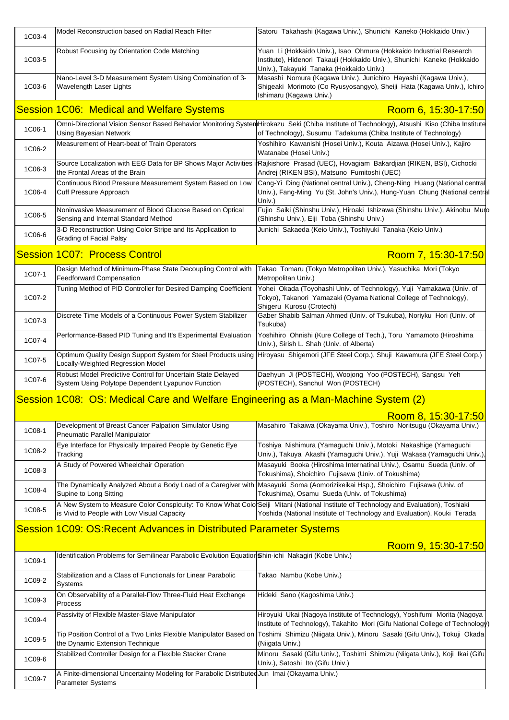| 1C03-4 | Model Reconstruction based on Radial Reach Filter                                                                 | Satoru Takahashi (Kagawa Univ.), Shunichi Kaneko (Hokkaido Univ.)                                                                                                                                                             |
|--------|-------------------------------------------------------------------------------------------------------------------|-------------------------------------------------------------------------------------------------------------------------------------------------------------------------------------------------------------------------------|
| 1C03-5 | Robust Focusing by Orientation Code Matching                                                                      | Yuan Li (Hokkaido Univ.), Isao Ohmura (Hokkaido Industrial Research<br>Institute), Hidenori Takauji (Hokkaido Univ.), Shunichi Kaneko (Hokkaido<br>Univ.), Takayuki Tanaka (Hokkaido Univ.)                                   |
| 1C03-6 | Nano-Level 3-D Measurement System Using Combination of 3-<br>Wavelength Laser Lights                              | Masashi Nomura (Kagawa Univ.), Junichiro Hayashi (Kagawa Univ.),<br>Shigeaki Morimoto (Co Ryusyosangyo), Sheiji Hata (Kagawa Univ.), Ichiro<br>Ishimaru (Kagawa Univ.)                                                        |
|        | <b>Session 1C06: Medical and Welfare Systems</b>                                                                  | Room 6, 15:30-17:50                                                                                                                                                                                                           |
| 1C06-1 | <b>Using Bayesian Network</b>                                                                                     | Omni-Directional Vision Sensor Based Behavior Monitoring SystemHirokazu Seki (Chiba Institute of Technology), Atsushi Kiso (Chiba Institute<br>of Technology), Susumu Tadakuma (Chiba Institute of Technology)                |
| 1C06-2 | Measurement of Heart-beat of Train Operators                                                                      | Yoshihiro Kawanishi (Hosei Univ.), Kouta Aizawa (Hosei Univ.), Kajiro<br>Watanabe (Hosei Univ.)                                                                                                                               |
| 1C06-3 | the Frontal Areas of the Brain                                                                                    | Source Localization with EEG Data for BP Shows Major Activities iRajkishore Prasad (UEC), Hovagiam Bakardjian (RIKEN, BSI), Cichocki<br>Andrej (RIKEN BSI), Matsuno Fumitoshi (UEC)                                           |
| 1C06-4 | Continuous Blood Pressure Measurement System Based on Low<br>Cuff Pressure Approach                               | Cang-Yi Ding (National central Univ.), Cheng-Ning Huang (National central<br>Univ.), Fang-Ming Yu (St. John's Univ.), Hung-Yuan Chung (National central<br>Univ.)                                                             |
| 1C06-5 | Noninvasive Measurement of Blood Glucose Based on Optical<br>Sensing and Internal Standard Method                 | Fujio Saiki (Shinshu Univ.), Hiroaki Ishizawa (Shinshu Univ.), Akinobu Muro<br>(Shinshu Univ.), Eiji Toba (Shinshu Univ.)                                                                                                     |
| 1C06-6 | 3-D Reconstruction Using Color Stripe and Its Application to<br><b>Grading of Facial Palsy</b>                    | Junichi Sakaeda (Keio Univ.), Toshiyuki Tanaka (Keio Univ.)                                                                                                                                                                   |
|        | <b>Session 1C07: Process Control</b>                                                                              | Room 7, 15:30-17:50                                                                                                                                                                                                           |
| 1C07-1 | Design Method of Minimum-Phase State Decoupling Control with<br><b>Feedforward Compensation</b>                   | Takao Tomaru (Tokyo Metropolitan Univ.), Yasuchika Mori (Tokyo<br>Metropolitan Univ.)                                                                                                                                         |
| 1C07-2 | Tuning Method of PID Controller for Desired Damping Coefficient                                                   | Yohei Okada (Toyohashi Univ. of Technology), Yuji Yamakawa (Univ. of<br>Tokyo), Takanori Yamazaki (Oyama National College of Technology),<br>Shigeru Kurosu (Crotech)                                                         |
| 1C07-3 | Discrete Time Models of a Continuous Power System Stabilizer                                                      | Gaber Shabib Salman Ahmed (Univ. of Tsukuba), Noriyku Hori (Univ. of<br>Tsukuba)                                                                                                                                              |
| 1C07-4 | Performance-Based PID Tuning and It's Experimental Evaluation                                                     | Yoshihiro Ohnishi (Kure College of Tech.), Toru Yamamoto (Hiroshima<br>Univ.), Sirish L. Shah (Univ. of Alberta)                                                                                                              |
| 1C07-5 | Locally-Weighted Regression Model                                                                                 | Optimum Quality Design Support System for Steel Products using Hiroyasu Shigemori (JFE Steel Corp.), Shuji Kawamura (JFE Steel Corp.)                                                                                         |
| 1C07-6 | Robust Model Predictive Control for Uncertain State Delayed<br>System Using Polytope Dependent Lyapunov Function  | Daehyun Ji (POSTECH), Woojong Yoo (POSTECH), Sangsu Yeh<br>(POSTECH), Sanchul Won (POSTECH)                                                                                                                                   |
|        | Session 1C08: OS: Medical Care and Welfare Engineering as a Man-Machine System (2)                                |                                                                                                                                                                                                                               |
|        |                                                                                                                   | Room 8, 15:30-17:50                                                                                                                                                                                                           |
| 1C08-1 | Development of Breast Cancer Palpation Simulator Using<br>Pneumatic Parallel Manipulator                          | Masahiro Takaiwa (Okayama Univ.), Toshiro Noritsugu (Okayama Univ.)                                                                                                                                                           |
| 1C08-2 | Eye Interface for Physically Impaired People by Genetic Eye<br>Tracking                                           | Toshiya Nishimura (Yamaguchi Univ.), Motoki Nakashige (Yamaguchi<br>Univ.), Takuya Akashi (Yamaguchi Univ.), Yuji Wakasa (Yamaguchi Univ.),                                                                                   |
| 1C08-3 | A Study of Powered Wheelchair Operation                                                                           | Masayuki Booka (Hiroshima Internatinal Univ.), Osamu Sueda (Univ. of<br>Tokushima), Shoichiro Fujisawa (Univ. of Tokushima)                                                                                                   |
| 1C08-4 | Supine to Long Sitting                                                                                            | The Dynamically Analyzed About a Body Load of a Caregiver with Masayuki Soma (Aomorizikeikai Hsp.), Shoichiro Fujisawa (Univ. of<br>Tokushima), Osamu Sueda (Univ. of Tokushima)                                              |
| 1C08-5 | is Vivid to People with Low Visual Capacity                                                                       | A New System to Measure Color Conspicuity: To Know What Colo <sup>r</sup> Seiji Mitani (National Institute of Technology and Evaluation), Toshiaki<br>Yoshida (National Institute of Technology and Evaluation), Kouki Terada |
|        | Session 1C09: OS: Recent Advances in Distributed Parameter Systems                                                |                                                                                                                                                                                                                               |
|        |                                                                                                                   | Room 9, 15:30-17:50                                                                                                                                                                                                           |
| 1C09-1 | Identification Problems for Semilinear Parabolic Evolution Equation Shin-ichi Nakagiri (Kobe Univ.)               |                                                                                                                                                                                                                               |
| 1C09-2 | Stabilization and a Class of Functionals for Linear Parabolic<br>Systems                                          | Takao Nambu (Kobe Univ.)                                                                                                                                                                                                      |
| 1C09-3 | On Observability of a Parallel-Flow Three-Fluid Heat Exchange<br>Process                                          | Hideki Sano (Kagoshima Univ.)                                                                                                                                                                                                 |
| 1C09-4 | Passivity of Flexible Master-Slave Manipulator                                                                    | Hiroyuki Ukai (Nagoya Institute of Technology), Yoshifumi Morita (Nagoya<br>Institute of Technology), Takahito Mori (Gifu National College of Technology)                                                                     |
| 1C09-5 | Tip Position Control of a Two Links Flexible Manipulator Based on<br>the Dynamic Extension Technique              | Toshimi Shimizu (Niigata Univ.), Minoru Sasaki (Gifu Univ.), Tokuji Okada<br>(Niigata Univ.)                                                                                                                                  |
| 1C09-6 | Stabilized Controller Design for a Flexible Stacker Crane                                                         | Minoru Sasaki (Gifu Univ.), Toshimi Shimizu (Niigata Univ.), Koji Ikai (Gifu<br>Univ.), Satoshi Ito (Gifu Univ.)                                                                                                              |
| 1C09-7 | A Finite-dimensional Uncertainty Modeling for Parabolic Distributed Jun Imai (Okayama Univ.)<br>Parameter Systems |                                                                                                                                                                                                                               |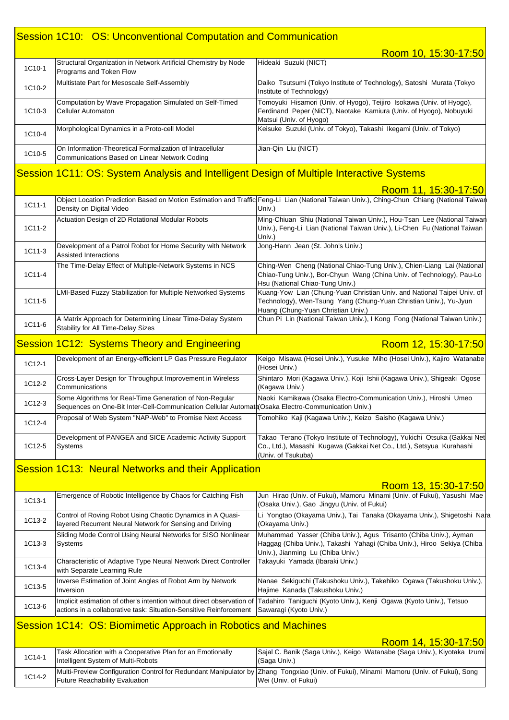#### Session 1C10: OS: Unconventional Computation and Communication

Room 10, 15:30-17:50 1C10-1 Structural Organization in Network Artificial Chemistry by Node Programs and Token Flow Hideaki Suzuki (NICT) 1C10-2 Multistate Part for Mesoscale Self-Assembly Daiko Tsutsumi (Tokyo Institute of Technology), Satoshi Murata (Tokyo Institute of Technology) 1C10-3 Computation by Wave Propagation Simulated on Self-Timed Cellular Automaton Tomoyuki Hisamori (Univ. of Hyogo), Teijiro Isokawa (Univ. of Hyogo), Ferdinand Peper (NiCT), Naotake Kamiura (Univ. of Hyogo), Nobuyuki Matsui (Univ. of Hyogo) 1C10-4 Morphological Dynamics in a Proto-cell Model Keisuke Suzuki (Univ. of Tokyo), Takashi Ikegami (Univ. of Tokyo) 1C10-5 On Information-Theoretical Formalization of Intracellular Communications Based on Linear Network Coding Jian-Qin Liu (NICT)

#### Session 1C11: OS: System Analysis and Intelligent Design of Multiple Interactive Systems

|          |                                                                                                         | Room 11, 15:30-17:50                                                                                                                                                               |
|----------|---------------------------------------------------------------------------------------------------------|------------------------------------------------------------------------------------------------------------------------------------------------------------------------------------|
| 1C11-1   | Density on Digital Video                                                                                | Object Location Prediction Based on Motion Estimation and Traffic Feng-Li Lian (National Taiwan Univ.), Ching-Chun Chiang (National Taiwan<br>Univ.)                               |
| 1C11-2   | Actuation Design of 2D Rotational Modular Robots                                                        | Ming-Chiuan Shiu (National Taiwan Univ.), Hou-Tsan Lee (National Taiwan<br>Univ.), Feng-Li Lian (National Taiwan Univ.), Li-Chen Fu (National Taiwan<br>Univ.)                     |
| 1C11-3   | Development of a Patrol Robot for Home Security with Network<br>Assisted Interactions                   | Jong-Hann Jean (St. John's Univ.)                                                                                                                                                  |
| 1C11-4   | The Time-Delay Effect of Multiple-Network Systems in NCS                                                | Ching-Wen Cheng (National Chiao-Tung Univ.), Chien-Liang Lai (National<br>Chiao-Tung Univ.), Bor-Chyun Wang (China Univ. of Technology), Pau-Lo<br>Hsu (National Chiao-Tung Univ.) |
| $1C11-5$ | LMI-Based Fuzzy Stabilization for Multiple Networked Systems                                            | Kuang-Yow Lian (Chung-Yuan Christian Univ. and National Taipei Univ. of<br>Technology), Wen-Tsung Yang (Chung-Yuan Christian Univ.), Yu-Jyun<br>Huang (Chung-Yuan Christian Univ.) |
| 1C11-6   | A Matrix Approach for Determining Linear Time-Delay System<br><b>Stability for All Time-Delay Sizes</b> | Chun Pi Lin (National Taiwan Univ.), I Kong Fong (National Taiwan Univ.)                                                                                                           |
|          | Session 1C12: Systems Theory and Engineering                                                            | Room 12, 15:30-17:50                                                                                                                                                               |
| 1C12-1   | Development of an Energy-efficient LP Gas Pressure Regulator                                            | Keigo Misawa (Hosei Univ.), Yusuke Miho (Hosei Univ.), Kajiro Watanabe<br>$L$ anni $L$                                                                                             |

| 1912-1 |                                                                                                                                                               | (Hosei Univ.)                                                                                                                                                          |
|--------|---------------------------------------------------------------------------------------------------------------------------------------------------------------|------------------------------------------------------------------------------------------------------------------------------------------------------------------------|
| 1C12-2 | Cross-Layer Design for Throughput Improvement in Wireless<br>Communications                                                                                   | Shintaro Mori (Kagawa Univ.), Koji Ishii (Kagawa Univ.), Shigeaki Ogose<br>(Kagawa Univ.)                                                                              |
| 1C12-3 | Some Algorithms for Real-Time Generation of Non-Regular<br>Sequences on One-Bit Inter-Cell-Communication Cellular Automath Osaka Electro-Communication Univ.) | Naoki Kamikawa (Osaka Electro-Communication Univ.), Hiroshi Umeo                                                                                                       |
| 1C12-4 | Proposal of Web System "NAP-Web" to Promise Next Access                                                                                                       | Tomohiko Kaji (Kagawa Univ.), Keizo Saisho (Kagawa Univ.)                                                                                                              |
| 1C12-5 | Development of PANGEA and SICE Academic Activity Support<br>Systems                                                                                           | Takao Terano (Tokyo Institute of Technology), Yukichi Otsuka (Gakkai Net<br>Co., Ltd.), Masashi Kugawa (Gakkai Net Co., Ltd.), Setsyua Kurahashi<br>(Univ. of Tsukuba) |

#### Session 1C13: Neural Networks and their Application

#### $R<sub>00</sub>$ m 13, 15:30-17:5

|        |                                                                                                                        | <u>INUUITI TU. TU.UU TIIJU</u>                                                                                                                                                    |
|--------|------------------------------------------------------------------------------------------------------------------------|-----------------------------------------------------------------------------------------------------------------------------------------------------------------------------------|
| 1C13-1 | Emergence of Robotic Intelligence by Chaos for Catching Fish                                                           | Jun Hirao (Univ. of Fukui), Mamoru Minami (Univ. of Fukui), Yasushi Mae<br>(Osaka Univ.), Gao Jingyu (Univ. of Fukui)                                                             |
| 1C13-2 | Control of Roving Robot Using Chaotic Dynamics in A Quasi-<br>layered Recurrent Neural Network for Sensing and Driving | Li Yongtao (Okayama Univ.), Tai Tanaka (Okayama Univ.), Shigetoshi Nara<br>(Okayama Univ.)                                                                                        |
| 1C13-3 | Sliding Mode Control Using Neural Networks for SISO Nonlinear<br><b>Systems</b>                                        | Muhammad Yasser (Chiba Univ.), Agus Trisanto (Chiba Univ.), Ayman<br>Haggag (Chiba Univ.), Takashi Yahagi (Chiba Univ.), Hiroo Sekiya (Chiba<br>Univ.), Jianming Lu (Chiba Univ.) |
| 1C13-4 | Characteristic of Adaptive Type Neural Network Direct Controller<br>with Separate Learning Rule                        | Takayuki Yamada (Ibaraki Univ.)                                                                                                                                                   |
| 1C13-5 | Inverse Estimation of Joint Angles of Robot Arm by Network<br>Inversion                                                | Nanae Sekiguchi (Takushoku Univ.), Takehiko Ogawa (Takushoku Univ.),<br>Hajime Kanada (Takushoku Univ.)                                                                           |
| 1C13-6 | actions in a collaborative task: Situation-Sensitive Reinforcement   Sawaragi (Kyoto Univ.)                            | Implicit estimation of other's intention without direct observation of Tadahiro Taniguchi (Kyoto Univ.), Kenji Ogawa (Kyoto Univ.), Tetsuo                                        |

#### Session 1C14: OS: Biomimetic Approach in Robotics and Machines

|        |                                                                                                  | Room 14, 15:30-17:50                                                                                                                                           |
|--------|--------------------------------------------------------------------------------------------------|----------------------------------------------------------------------------------------------------------------------------------------------------------------|
| 1C14-1 | Task Allocation with a Cooperative Plan for an Emotionally<br>Intelligent System of Multi-Robots | Sajal C. Banik (Saga Univ.), Keigo Watanabe (Saga Univ.), Kiyotaka Izumi<br>(Saga Univ.)                                                                       |
| 1C14-2 | <b>Future Reachability Evaluation</b>                                                            | Multi-Preview Configuration Control for Redundant Manipulator by Zhang Tongxiao (Univ. of Fukui), Minami Mamoru (Univ. of Fukui), Song<br>Wei (Univ. of Fukui) |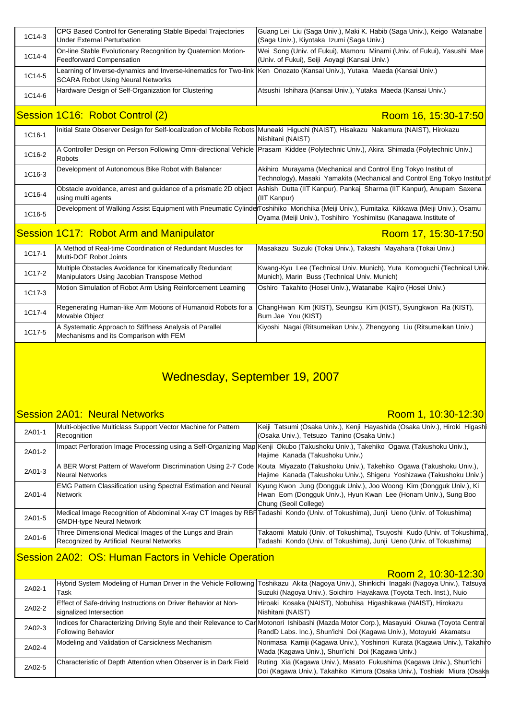| 1C14-3 | CPG Based Control for Generating Stable Bipedal Trajectories<br><b>Under External Perturbation</b>                                                                   | Guang Lei Liu (Saga Univ.), Maki K. Habib (Saga Univ.), Keigo Watanabe<br>(Saga Univ.), Kiyotaka Izumi (Saga Univ.)                                                                                         |
|--------|----------------------------------------------------------------------------------------------------------------------------------------------------------------------|-------------------------------------------------------------------------------------------------------------------------------------------------------------------------------------------------------------|
| 1C14-4 | On-line Stable Evolutionary Recognition by Quaternion Motion-<br><b>Feedforward Compensation</b>                                                                     | Wei Song (Univ. of Fukui), Mamoru Minami (Univ. of Fukui), Yasushi Mae<br>(Univ. of Fukui), Seiji Aoyagi (Kansai Univ.)                                                                                     |
| 1C14-5 | Learning of Inverse-dynamics and Inverse-kinematics for Two-link Ken Onozato (Kansai Univ.), Yutaka Maeda (Kansai Univ.)<br><b>SCARA Robot Using Neural Networks</b> |                                                                                                                                                                                                             |
| 1C14-6 | Hardware Design of Self-Organization for Clustering                                                                                                                  | Atsushi Ishihara (Kansai Univ.), Yutaka Maeda (Kansai Univ.)                                                                                                                                                |
|        | Session 1C16: Robot Control (2)                                                                                                                                      | Room 16, 15:30-17:50                                                                                                                                                                                        |
| 1C16-1 |                                                                                                                                                                      | Initial State Observer Design for Self-localization of Mobile Robots Muneaki Higuchi (NAIST), Hisakazu Nakamura (NAIST), Hirokazu<br>Nishitani (NAIST)                                                      |
| 1C16-2 | <b>Robots</b>                                                                                                                                                        | A Controller Design on Person Following Omni-directional Vehicle Prasarn Kiddee (Polytechnic Univ.), Akira Shimada (Polytechnic Univ.)                                                                      |
| 1C16-3 | Development of Autonomous Bike Robot with Balancer                                                                                                                   | Akihiro Murayama (Mechanical and Control Eng Tokyo Institut of<br>Technology), Masaki Yamakita (Mechanical and Control Eng Tokyo Institut of                                                                |
| 1C16-4 | Obstacle avoidance, arrest and guidance of a prismatic 2D object<br>using multi agents                                                                               | Ashish Dutta (IIT Kanpur), Pankaj Sharma (IIT Kanpur), Anupam Saxena<br>(IIT Kanpur)                                                                                                                        |
| 1C16-5 |                                                                                                                                                                      | Development of Walking Assist Equipment with Pneumatic CylinderToshihiko Morichika (Meiji Univ.), Fumitaka Kikkawa (Meiji Univ.), Osamu<br>Oyama (Meiji Univ.), Toshihiro Yoshimitsu (Kanagawa Institute of |
|        | Session 1C17: Robot Arm and Manipulator                                                                                                                              | Room 17, 15:30-17:50                                                                                                                                                                                        |
| 1C17-1 | A Method of Real-time Coordination of Redundant Muscles for<br>Multi-DOF Robot Joints                                                                                | Masakazu Suzuki (Tokai Univ.), Takashi Mayahara (Tokai Univ.)                                                                                                                                               |
| 1C17-2 | Multiple Obstacles Avoidance for Kinematically Redundant<br>Manipulators Using Jacobian Transpose Method                                                             | Kwang-Kyu Lee (Technical Univ. Munich), Yuta Komoguchi (Technical Univ<br>Munich), Marin Buss (Technical Univ. Munich)                                                                                      |
| 1C17-3 | Motion Simulation of Robot Arm Using Reinforcement Learning                                                                                                          | Oshiro Takahito (Hosei Univ.), Watanabe Kajiro (Hosei Univ.)                                                                                                                                                |
| 1C17-4 | Regenerating Human-like Arm Motions of Humanoid Robots for a<br>Movable Object                                                                                       | ChangHwan Kim (KIST), Seungsu Kim (KIST), Syungkwon Ra (KIST),<br>Bum Jae You (KIST)                                                                                                                        |
| 1C17-5 | A Systematic Approach to Stiffness Analysis of Parallel<br>Mechanisms and its Comparison with FEM                                                                    | Kiyoshi Nagai (Ritsumeikan Univ.), Zhengyong Liu (Ritsumeikan Univ.)                                                                                                                                        |

## Wednesday, September 19, 2007

#### Session 2A01: Neural Networks

#### Room 1, 10:30-12:30

| 2A01-1 | Multi-objective Multiclass Support Vector Machine for Pattern<br>Recognition                        | Keiji Tatsumi (Osaka Univ.), Kenji Hayashida (Osaka Univ.), Hiroki Higashi<br>(Osaka Univ.), Tetsuzo Tanino (Osaka Univ.)                                                                                  |
|--------|-----------------------------------------------------------------------------------------------------|------------------------------------------------------------------------------------------------------------------------------------------------------------------------------------------------------------|
| 2A01-2 |                                                                                                     | Impact Perforation Image Processing using a Self-Organizing Map Kenji Okubo (Takushoku Univ.), Takehiko Ogawa (Takushoku Univ.),<br>Hajime Kanada (Takushoku Univ.)                                        |
| 2A01-3 | <b>Neural Networks</b>                                                                              | A BER Worst Pattern of Waveform Discrimination Using 2-7 Code  Kouta Miyazato (Takushoku Univ.), Takehiko Ogawa (Takushoku Univ.),<br>Hajime Kanada (Takushoku Univ.), Shigeru Yoshizawa (Takushoku Univ.) |
| 2A01-4 | <b>EMG Pattern Classification using Spectral Estimation and Neural</b><br><b>Network</b>            | Kyung Kwon Jung (Dongguk Univ.), Joo Woong Kim (Dongguk Univ.), Ki<br>Hwan Eom (Dongguk Univ.), Hyun Kwan Lee (Honam Univ.), Sung Boo<br>Chung (Seoil College)                                             |
| 2A01-5 | <b>GMDH-type Neural Network</b>                                                                     | Medical Image Recognition of Abdominal X-ray CT Images by RBHTadashi Kondo (Univ. of Tokushima), Junji Ueno (Univ. of Tokushima)                                                                           |
| 2A01-6 | Three Dimensional Medical Images of the Lungs and Brain<br>Recognized by Artificial Neural Networks | Takaomi Matuki (Univ. of Tokushima), Tsuyoshi Kudo (Univ. of Tokushima)<br>Tadashi Kondo (Univ. of Tokushima), Junji Ueno (Univ. of Tokushima)                                                             |

### Session 2A02: OS: Human Factors in Vehicle Operation

#### Room 2, 10:30-12:30

| 2A02-1 | Task                                                                                      | Hybrid System Modeling of Human Driver in the Vehicle Following Toshikazu Akita (Nagoya Univ.), Shinkichi Inagaki (Nagoya Univ.), Tatsuya<br>Suzuki (Nagoya Univ.), Soichiro Hayakawa (Toyota Tech. Inst.), Nuio |
|--------|-------------------------------------------------------------------------------------------|------------------------------------------------------------------------------------------------------------------------------------------------------------------------------------------------------------------|
| 2A02-2 | Effect of Safe-driving Instructions on Driver Behavior at Non-<br>signalized Intersection | Hiroaki Kosaka (NAIST), Nobuhisa Higashikawa (NAIST), Hirokazu<br>Nishitani (NAIST)                                                                                                                              |
| 2A02-3 | <b>Following Behavior</b>                                                                 | Indices for Characterizing Driving Style and their Relevance to CarMotonori Ishibashi (Mazda Motor Corp.), Masayuki Okuwa (Toyota Central<br>RandD Labs. Inc.), Shun'ichi Doi (Kagawa Univ.), Motoyuki Akamatsu  |
| 2A02-4 | Modeling and Validation of Carsickness Mechanism                                          | Norimasa Kamiji (Kagawa Univ.), Yoshinori Kurata (Kagawa Univ.), Takahiro<br>Wada (Kagawa Univ.), Shun'ichi Doi (Kagawa Univ.)                                                                                   |
| 2A02-5 | Characteristic of Depth Attention when Observer is in Dark Field                          | Ruting Xia (Kagawa Univ.), Masato Fukushima (Kagawa Univ.), Shun'ichi<br>Doi (Kagawa Univ.), Takahiko Kimura (Osaka Univ.), Toshiaki Miura (Osaka                                                                |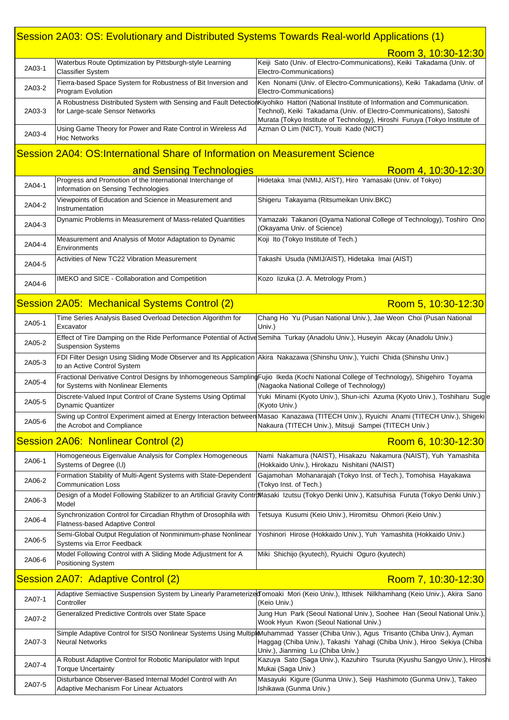### Session 2A03: OS: Evolutionary and Distributed Systems Towards Real-world Applications (1)

|        |                                                                                                                                                               | Room 3, 10:30-12:30                                                                                                                                                                                                                                                                         |
|--------|---------------------------------------------------------------------------------------------------------------------------------------------------------------|---------------------------------------------------------------------------------------------------------------------------------------------------------------------------------------------------------------------------------------------------------------------------------------------|
| 2A03-1 | Waterbus Route Optimization by Pittsburgh-style Learning<br><b>Classifier System</b>                                                                          | Keiji Sato (Univ. of Electro-Communications), Keiki Takadama (Univ. of<br>Electro-Communications)                                                                                                                                                                                           |
| 2A03-2 | Tierra-based Space System for Robustness of Bit Inversion and<br>Program Evolution                                                                            | Ken Nonami (Univ. of Electro-Communications), Keiki Takadama (Univ. of<br>Electro-Communications)                                                                                                                                                                                           |
| 2A03-3 | for Large-scale Sensor Networks                                                                                                                               | A Robustness Distributed System with Sensing and Fault DetectionKiyohiko Hattori (National Institute of Information and Communication.<br>Technol), Keiki Takadama (Univ. of Electro-Communications), Satoshi<br>Murata (Tokyo Institute of Technology), Hiroshi Furuya (Tokyo Institute of |
| 2A03-4 | Using Game Theory for Power and Rate Control in Wireless Ad<br><b>Hoc Networks</b>                                                                            | Azman O Lim (NICT), Youiti Kado (NICT)                                                                                                                                                                                                                                                      |
|        | Session 2A04: OS:International Share of Information on Measurement Science                                                                                    |                                                                                                                                                                                                                                                                                             |
|        | and Sensing Technologies                                                                                                                                      | Room 4, 10:30-12:30                                                                                                                                                                                                                                                                         |
| 2A04-1 | Progress and Promotion of the International Interchange of<br>Information on Sensing Technologies                                                             | Hidetaka Imai (NMIJ, AIST), Hiro Yamasaki (Univ. of Tokyo)                                                                                                                                                                                                                                  |
| 2A04-2 | Viewpoints of Education and Science in Measurement and<br>Instrumentation                                                                                     | Shigeru Takayama (Ritsumeikan Univ.BKC)                                                                                                                                                                                                                                                     |
| 2A04-3 | Dynamic Problems in Measurement of Mass-related Quantities                                                                                                    | Yamazaki Takanori (Oyama National College of Technology), Toshiro Ono<br>(Okayama Univ. of Science)                                                                                                                                                                                         |
| 2A04-4 | Measurement and Analysis of Motor Adaptation to Dynamic<br>Environments                                                                                       | Koji Ito (Tokyo Institute of Tech.)                                                                                                                                                                                                                                                         |
| 2A04-5 | Activities of New TC22 Vibration Measurement                                                                                                                  | Takashi Usuda (NMIJ/AIST), Hidetaka Imai (AIST)                                                                                                                                                                                                                                             |
| 2A04-6 | IMEKO and SICE - Collaboration and Competition                                                                                                                | Kozo lizuka (J. A. Metrology Prom.)                                                                                                                                                                                                                                                         |
|        | Session 2A05: Mechanical Systems Control (2)                                                                                                                  | Room 5, 10:30-12:30                                                                                                                                                                                                                                                                         |
| 2A05-1 | Time Series Analysis Based Overload Detection Algorithm for<br>Excavator                                                                                      | Chang Ho Yu (Pusan National Univ.), Jae Weon Choi (Pusan National<br>Univ.)                                                                                                                                                                                                                 |
| 2A05-2 | Effect of Tire Damping on the Ride Performance Potential of Active Semiha Turkay (Anadolu Univ.), Huseyin Akcay (Anadolu Univ.)<br><b>Suspension Systems</b>  |                                                                                                                                                                                                                                                                                             |
| 2A05-3 | FDI Filter Design Using Sliding Mode Observer and Its Application Akira Nakazawa (Shinshu Univ.), Yuichi Chida (Shinshu Univ.)<br>to an Active Control System |                                                                                                                                                                                                                                                                                             |
| 2A05-4 | for Systems with Nonlinear Elements                                                                                                                           | Fractional Derivative Control Designs by Inhomogeneous Sampling Fujio Ikeda (Kochi National College of Technology), Shigehiro Toyama<br>(Nagaoka National College of Technology)                                                                                                            |
| 2A05-5 | Discrete-Valued Input Control of Crane Systems Using Optimal<br><b>Dynamic Quantizer</b>                                                                      | Yuki Minami (Kyoto Univ.), Shun-ichi Azuma (Kyoto Univ.), Toshiharu Suge<br>(Kyoto Univ.)                                                                                                                                                                                                   |
| 2A05-6 | the Acrobot and Compliance                                                                                                                                    | Swing up Control Experiment aimed at Energy Interaction between Masao Kanazawa (TITECH Univ.), Ryuichi Anami (TITECH Univ.), Shigeki<br>Nakaura (TITECH Univ.), Mitsuji Sampei (TITECH Univ.)                                                                                               |
|        | Session 2A06: Nonlinear Control (2)                                                                                                                           | Room 6, 10:30-12:30                                                                                                                                                                                                                                                                         |
| 2A06-1 | Homogeneous Eigenvalue Analysis for Complex Homogeneous<br>Systems of Degree (I,I)                                                                            | Nami Nakamura (NAIST), Hisakazu Nakamura (NAIST), Yuh Yamashita<br>(Hokkaido Univ.), Hirokazu Nishitani (NAIST)                                                                                                                                                                             |
| 2A06-2 | Formation Stability of Multi-Agent Systems with State-Dependent<br><b>Communication Loss</b>                                                                  | Gajamohan Mohanarajah (Tokyo Inst. of Tech.), Tomohisa Hayakawa<br>(Tokyo Inst. of Tech.)                                                                                                                                                                                                   |
| 2A06-3 | Model                                                                                                                                                         | Design of a Model Following Stabilizer to an Artificial Gravity Contr <b>b</b> Wasaki Izutsu (Tokyo Denki Univ.), Katsuhisa Furuta (Tokyo Denki Univ.)                                                                                                                                      |
| 2A06-4 | Synchronization Control for Circadian Rhythm of Drosophila with<br>Flatness-based Adaptive Control                                                            | Tetsuya Kusumi (Keio Univ.), Hiromitsu Ohmori (Keio Univ.)                                                                                                                                                                                                                                  |
| 2A06-5 | Semi-Global Output Regulation of Nonminimum-phase Nonlinear<br>Systems via Error Feedback                                                                     | Yoshinori Hirose (Hokkaido Univ.), Yuh Yamashita (Hokkaido Univ.)                                                                                                                                                                                                                           |
| 2A06-6 | Model Following Control with A Sliding Mode Adjustment for A<br>Positioning System                                                                            | Miki Shichijo (kyutech), Ryuichi Oguro (kyutech)                                                                                                                                                                                                                                            |
|        | <b>Session 2A07: Adaptive Control (2)</b>                                                                                                                     | Room 7, 10:30-12:30                                                                                                                                                                                                                                                                         |
| 2A07-1 | Controller                                                                                                                                                    | Adaptive Semiactive Suspension System by Linearly Parameterized Tomoaki Mori (Keio Univ.), Itthisek Nilkhamhang (Keio Univ.), Akira Sano<br>(Keio Univ.)                                                                                                                                    |
| 2A07-2 | Generalized Predictive Controls over State Space                                                                                                              | Jung Hun Park (Seoul National Univ.), Soohee Han (Seoul National Univ.),<br>Wook Hyun Kwon (Seoul National Univ.)                                                                                                                                                                           |
| 2A07-3 | <b>Neural Networks</b>                                                                                                                                        | Simple Adaptive Control for SISO Nonlinear Systems Using Multipl&Muhammad Yasser (Chiba Univ.), Agus Trisanto (Chiba Univ.), Ayman<br>Haggag (Chiba Univ.), Takashi Yahagi (Chiba Univ.), Hiroo Sekiya (Chiba<br>Univ.), Jianming Lu (Chiba Univ.)                                          |
| 2A07-4 | A Robust Adaptive Control for Robotic Manipulator with Input<br><b>Torque Uncertainty</b>                                                                     | Kazuya Sato (Saga Univ.), Kazuhiro Tsuruta (Kyushu Sangyo Univ.), Hiroshi<br>Mukai (Saga Univ.)                                                                                                                                                                                             |

Masayuki Kigure (Gunma Univ.), Seiji Hashimoto (Gunma Univ.), Takeo

Ishikawa (Gunma Univ.)

2A07-5

Disturbance Observer-Based Internal Model Control with An

Adaptive Mechanism For Linear Actuators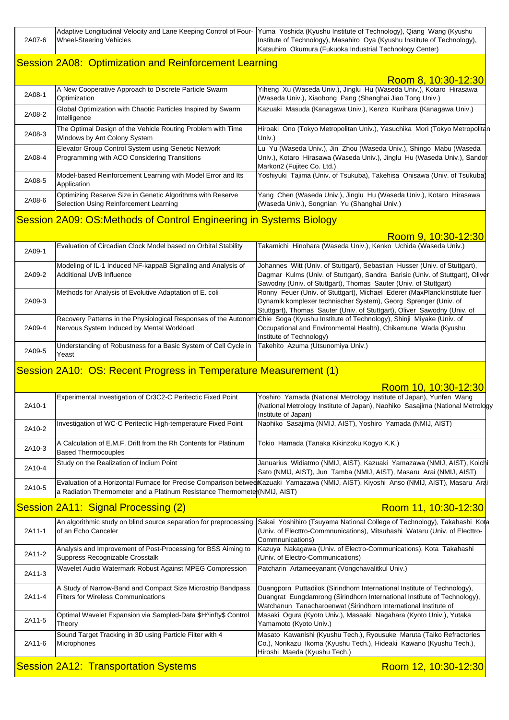|        |                         | Adaptive Longitudinal Velocity and Lane Keeping Control of Four- Yuma Yoshida (Kyushu Institute of Technology), Qiang Wang (Kyushu |
|--------|-------------------------|------------------------------------------------------------------------------------------------------------------------------------|
| 2A07-6 | Wheel-Steering Vehicles | Institute of Technology), Masahiro Oya (Kyushu Institute of Technology),                                                           |
|        |                         | Katsuhiro Okumura (Fukuoka Industrial Technology Center)                                                                           |

### Session 2A08: Optimization and Reinforcement Learning

|        |                                                                                                      | Room 8, 10:30-12:30                                                                                                                                                          |
|--------|------------------------------------------------------------------------------------------------------|------------------------------------------------------------------------------------------------------------------------------------------------------------------------------|
| 2A08-1 | A New Cooperative Approach to Discrete Particle Swarm<br>Optimization                                | Yiheng Xu (Waseda Univ.), Jinglu Hu (Waseda Univ.), Kotaro Hirasawa<br>(Waseda Univ.), Xiaohong Pang (Shanghai Jiao Tong Univ.)                                              |
| 2A08-2 | Global Optimization with Chaotic Particles Inspired by Swarm<br>Intelligence                         | Kazuaki Masuda (Kanagawa Univ.), Kenzo Kurihara (Kanagawa Univ.)                                                                                                             |
| 2A08-3 | The Optimal Design of the Vehicle Routing Problem with Time<br>Windows by Ant Colony System          | Hiroaki Ono (Tokyo Metropolitan Univ.), Yasuchika Mori (Tokyo Metropolitan<br>Univ.)                                                                                         |
| 2A08-4 | Elevator Group Control System using Genetic Network<br>Programming with ACO Considering Transitions  | Lu Yu (Waseda Univ.), Jin Zhou (Waseda Univ.), Shingo Mabu (Waseda<br>Univ.), Kotaro Hirasawa (Waseda Univ.), Jinglu Hu (Waseda Univ.), Sandor<br>Markon2 (Fujitec Co. Ltd.) |
| 2A08-5 | Model-based Reinforcement Learning with Model Error and Its<br>Application                           | Yoshiyuki Tajima (Univ. of Tsukuba), Takehisa Onisawa (Univ. of Tsukuba)                                                                                                     |
| 2A08-6 | Optimizing Reserve Size in Genetic Algorithms with Reserve<br>Selection Using Reinforcement Learning | Yang Chen (Waseda Univ.), Jinglu Hu (Waseda Univ.), Kotaro Hirasawa<br>(Waseda Univ.), Songnian Yu (Shanghai Univ.)                                                          |

#### Session 2A09: OS:Methods of Control Engineering in Systems Biology

|        |                                                                                          | <u>דעטווו ש, דעכאס וועטח</u>                                                                                                                                                                                                      |
|--------|------------------------------------------------------------------------------------------|-----------------------------------------------------------------------------------------------------------------------------------------------------------------------------------------------------------------------------------|
| 2A09-1 | Evaluation of Circadian Clock Model based on Orbital Stability                           | Takamichi Hinohara (Waseda Univ.), Kenko Uchida (Waseda Univ.)                                                                                                                                                                    |
| 2A09-2 | Modeling of IL-1 Induced NF-kappaB Signaling and Analysis of<br>Additional UVB Influence | Johannes Witt (Univ. of Stuttgart), Sebastian Husser (Univ. of Stuttgart),<br>Dagmar Kulms (Univ. of Stuttgart), Sandra Barisic (Univ. of Stuttgart), Oliver<br>Sawodny (Univ. of Stuttgart), Thomas Sauter (Univ. of Stuttgart)  |
| 2A09-3 | Methods for Analysis of Evolutive Adaptation of E. coli                                  | Ronny Feuer (Univ. of Stuttgart), Michael Ederer (MaxPlanckInstitute fuer<br>Dynamik komplexer technischer System), Georg Sprenger (Univ. of<br>Stuttgart), Thomas Sauter (Univ. of Stuttgart), Oliver Sawodny (Univ. of          |
| 2A09-4 | Nervous System Induced by Mental Workload                                                | Recovery Patterns in the Physiological Responses of the Autonom Chie Soga (Kyushu Institute of Technology), Shinji Miyake (Univ. of<br>Occupational and Environmental Health), Chikamune Wada (Kyushu<br>Institute of Technology) |
| 2A09-5 | Understanding of Robustness for a Basic System of Cell Cycle in<br>Yeast                 | Takehito Azuma (Utsunomiya Univ.)                                                                                                                                                                                                 |

 $10.20 - 12.3$ 

## Session 2A10: OS: Recent Progress in Temperature Measurement (1)

|        |                                                                                                           | Room 10, 10:30-12:30                                                                                                                                                                                                    |
|--------|-----------------------------------------------------------------------------------------------------------|-------------------------------------------------------------------------------------------------------------------------------------------------------------------------------------------------------------------------|
| 2A10-1 | Experimental Investigation of Cr3C2-C Peritectic Fixed Point                                              | Yoshiro Yamada (National Metrology Institute of Japan), Yunfen Wang<br>(National Metrology Institute of Japan), Naohiko Sasajima (National Metrology                                                                    |
|        |                                                                                                           | Institute of Japan)                                                                                                                                                                                                     |
| 2A10-2 | Investigation of WC-C Peritectic High-temperature Fixed Point                                             | Naohiko Sasajima (NMIJ, AIST), Yoshiro Yamada (NMIJ, AIST)                                                                                                                                                              |
| 2A10-3 | A Calculation of E.M.F. Drift from the Rh Contents for Platinum<br><b>Based Thermocouples</b>             | Tokio Hamada (Tanaka Kikinzoku Kogyo K.K.)                                                                                                                                                                              |
| 2A10-4 | Study on the Realization of Indium Point                                                                  | Januarius Widiatmo (NMIJ, AIST), Kazuaki Yamazawa (NMIJ, AIST), Koichi<br>Sato (NMIJ, AIST), Jun Tamba (NMIJ, AIST), Masaru Arai (NMIJ, AIST)                                                                           |
| 2A10-5 | a Radiation Thermometer and a Platinum Resistance Thermometer (NMIJ, AIST)                                | Evaluation of a Horizontal Furnace for Precise Comparison betwee Kazuaki Yamazawa (NMIJ, AIST), Kiyoshi Anso (NMIJ, AIST), Masaru Arai                                                                                  |
|        | Session 2A11: Signal Processing (2)                                                                       | Room 11, 10:30-12:30                                                                                                                                                                                                    |
| 2A11-1 | An algorithmic study on blind source separation for preprocessing<br>of an Echo Canceler                  | Sakai Yoshihiro (Tsuyama National College of Technology), Takahashi Kota<br>(Univ. of Electtro-Commnunications), Mitsuhashi Wataru (Univ. of Electtro-<br>Commnunications)                                              |
| 2A11-2 | Analysis and Improvement of Post-Processing for BSS Aiming to<br>Suppress Recognizable Crosstalk          | Kazuya Nakagawa (Univ. of Electro-Communications), Kota Takahashi<br>(Univ. of Electro-Communications)                                                                                                                  |
| 2A11-3 | Wavelet Audio Watermark Robust Against MPEG Compression                                                   | Patcharin Artameeyanant (Vongchavalitkul Univ.)                                                                                                                                                                         |
| 2A11-4 | A Study of Narrow-Band and Compact Size Microstrip Bandpass<br><b>Filters for Wireless Communications</b> | Duangporn Puttadilok (Sirindhorn International Institute of Technology),<br>Duangrat Eungdamrong (Sirindhorn International Institute of Technology),<br>Watchanun Tanacharoenwat (Sirindhorn International Institute of |
| 2A11-5 | Optimal Wavelet Expansion via Sampled-Data \$H^infty\$ Control<br>Theory                                  | Masaki Ogura (Kyoto Univ.), Masaaki Nagahara (Kyoto Univ.), Yutaka<br>Yamamoto (Kyoto Univ.)                                                                                                                            |
| 2A11-6 | Sound Target Tracking in 3D using Particle Filter with 4<br>Microphones                                   | Masato Kawanishi (Kyushu Tech.), Ryousuke Maruta (Taiko Refractories<br>Co.), Norikazu Ikoma (Kyushu Tech.), Hideaki Kawano (Kyushu Tech.),<br>Hiroshi Maeda (Kyushu Tech.)                                             |
|        | <b>Session 2A12: Transportation Systems</b>                                                               | Room 12, 10:30-12:30                                                                                                                                                                                                    |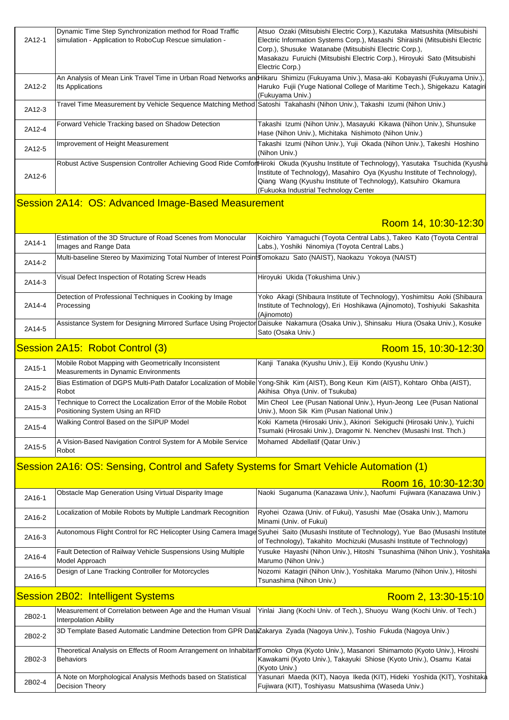| 2A12-1 | Dynamic Time Step Synchronization method for Road Traffic<br>simulation - Application to RoboCup Rescue simulation -     | Atsuo Ozaki (Mitsubishi Electric Corp.), Kazutaka Matsushita (Mitsubishi<br>Electric Information Systems Corp.), Masashi Shiraishi (Mitsubishi Electric<br>Corp.), Shusuke Watanabe (Mitsubishi Electric Corp.),<br>Masakazu Furuichi (Mitsubishi Electric Corp.), Hiroyuki Sato (Mitsubishi<br>Electric Corp.)                |
|--------|--------------------------------------------------------------------------------------------------------------------------|--------------------------------------------------------------------------------------------------------------------------------------------------------------------------------------------------------------------------------------------------------------------------------------------------------------------------------|
| 2A12-2 | Its Applications                                                                                                         | An Analysis of Mean Link Travel Time in Urban Road Networks an Hikaru Shimizu (Fukuyama Univ.), Masa-aki Kobayashi (Fukuyama Univ.),<br>Haruko Fujii (Yuge National College of Maritime Tech.), Shigekazu Katagiri<br>(Fukuyama Univ.)                                                                                         |
| 2A12-3 | Travel Time Measurement by Vehicle Sequence Matching Method Satoshi Takahashi (Nihon Univ.), Takashi Izumi (Nihon Univ.) |                                                                                                                                                                                                                                                                                                                                |
| 2A12-4 | Forward Vehicle Tracking based on Shadow Detection                                                                       | Takashi Izumi (Nihon Univ.), Masayuki Kikawa (Nihon Univ.), Shunsuke<br>Hase (Nihon Univ.), Michitaka Nishimoto (Nihon Univ.)                                                                                                                                                                                                  |
| 2A12-5 | Improvement of Height Measurement                                                                                        | Takashi Izumi (Nihon Univ.), Yuji Okada (Nihon Univ.), Takeshi Hoshino<br>(Nihon Univ.)                                                                                                                                                                                                                                        |
| 2A12-6 |                                                                                                                          | Robust Active Suspension Controller Achieving Good Ride ComfortHiroki Okuda (Kyushu Institute of Technology), Yasutaka Tsuchida (Kyushu<br>Institute of Technology), Masahiro Oya (Kyushu Institute of Technology),<br>Qiang Wang (Kyushu Institute of Technology), Katsuhiro Okamura<br>(Fukuoka Industrial Technology Center |

### Session 2A14: OS: Advanced Image-Based Measurement

### Room 14, 10:30-12:30

| 2A14-1 | Estimation of the 3D Structure of Road Scenes from Monocular<br>Images and Range Data                            | Koichiro Yamaguchi (Toyota Central Labs.), Takeo Kato (Toyota Central<br>Labs.), Yoshiki Ninomiya (Toyota Central Labs.)                                             |
|--------|------------------------------------------------------------------------------------------------------------------|----------------------------------------------------------------------------------------------------------------------------------------------------------------------|
| 2A14-2 | Multi-baseline Stereo by Maximizing Total Number of Interest Point Jomokazu Sato (NAIST), Naokazu Yokoya (NAIST) |                                                                                                                                                                      |
| 2A14-3 | Visual Defect Inspection of Rotating Screw Heads                                                                 | Hiroyuki Ukida (Tokushima Univ.)                                                                                                                                     |
| 2A14-4 | Detection of Professional Techniques in Cooking by Image<br>Processing                                           | [Yoko Akagi (Shibaura Institute of Technology), Yoshimitsu Aoki (Shibaura<br>Institute of Technology), Eri Hoshikawa (Ajinomoto), Toshiyuki Sakashita<br>(Ajinomoto) |
| 2A14-5 |                                                                                                                  | Assistance System for Designing Mirrored Surface Using Projector Daisuke Nakamura (Osaka Univ.), Shinsaku Hiura (Osaka Univ.), Kosuke<br>Sato (Osaka Univ.)          |
|        | Session 2A15: Robot Control (3)                                                                                  | Room 15, 10:30-12:30                                                                                                                                                 |
| 2A15-1 | Mobile Robot Mapping with Geometrically Inconsistent<br>Mooguramente in Dunamia Environmente                     | Kanji Tanaka (Kyushu Univ.), Eiji Kondo (Kyushu Univ.)                                                                                                               |

| ZA 10-1 | Measurements in Dynamic Environments                                                                |                                                                                                                                                                       |
|---------|-----------------------------------------------------------------------------------------------------|-----------------------------------------------------------------------------------------------------------------------------------------------------------------------|
| 2A15-2  | Robot                                                                                               | Bias Estimation of DGPS Multi-Path Datafor Localization of Mobile Yong-Shik Kim (AIST), Bong Keun Kim (AIST), Kohtaro Ohba (AIST),<br>Akihisa Ohya (Univ. of Tsukuba) |
| 2A15-3  | Technique to Correct the Localization Error of the Mobile Robot<br>Positioning System Using an RFID | Min Cheol Lee (Pusan National Univ.), Hyun-Jeong Lee (Pusan National<br>Univ.), Moon Sik Kim (Pusan National Univ.)                                                   |
| 2A15-4  | Walking Control Based on the SIPUP Model                                                            | Koki Kameta (Hirosaki Univ.), Akinori Sekiguchi (Hirosaki Univ.), Yuichi<br>Tsumaki (Hirosaki Univ.), Dragomir N. Nenchev (Musashi Inst. Thch.)                       |
| 2A15-5  | A Vision-Based Navigation Control System for A Mobile Service<br>Robot                              | Mohamed Abdellatif (Qatar Univ.)                                                                                                                                      |

### Session 2A16: OS: Sensing, Control and Safety Systems for Smart Vehicle Automation (1)

|        |                                                                                                                        | Room 16, 10:30-12:30                                                                                                                                                                                                         |
|--------|------------------------------------------------------------------------------------------------------------------------|------------------------------------------------------------------------------------------------------------------------------------------------------------------------------------------------------------------------------|
| 2A16-1 | Obstacle Map Generation Using Virtual Disparity Image                                                                  | Naoki Suganuma (Kanazawa Univ.), Naofumi Fujiwara (Kanazawa Univ.)                                                                                                                                                           |
| 2A16-2 | Localization of Mobile Robots by Multiple Landmark Recognition                                                         | Ryohei Ozawa (Univ. of Fukui), Yasushi Mae (Osaka Univ.), Mamoru<br>Minami (Univ. of Fukui)                                                                                                                                  |
| 2A16-3 |                                                                                                                        | Autonomous Flight Control for RC Helicopter Using Camera Image Syuhei Saito (Musashi Institute of Technology), Yue Bao (Musashi Institute<br>of Technology), Takahito Mochizuki (Musashi Institute of Technology)            |
| 2A16-4 | Fault Detection of Railway Vehicle Suspensions Using Multiple<br>Model Approach                                        | Yusuke Hayashi (Nihon Univ.), Hitoshi Tsunashima (Nihon Univ.), Yoshitaka<br>Marumo (Nihon Univ.)                                                                                                                            |
| 2A16-5 | Design of Lane Tracking Controller for Motorcycles                                                                     | Nozomi Katagiri (Nihon Univ.), Yoshitaka Marumo (Nihon Univ.), Hitoshi                                                                                                                                                       |
|        |                                                                                                                        | Tsunashima (Nihon Univ.)                                                                                                                                                                                                     |
|        | <b>Session 2B02: Intelligent Systems</b>                                                                               | Room 2, 13:30-15:10                                                                                                                                                                                                          |
| 2B02-1 | Measurement of Correlation between Age and the Human Visual<br><b>Interpolation Ability</b>                            | Yinlai Jiang (Kochi Univ. of Tech.), Shuoyu Wang (Kochi Univ. of Tech.)                                                                                                                                                      |
| 2B02-2 | 3D Template Based Automatic Landmine Detection from GPR DataZakarya Zyada (Nagoya Univ.), Toshio Fukuda (Nagoya Univ.) |                                                                                                                                                                                                                              |
| 2B02-3 | Behaviors                                                                                                              | Theoretical Analysis on Effects of Room Arrangement on InhabitantTomoko Ohya (Kyoto Univ.), Masanori Shimamoto (Kyoto Univ.), Hiroshi<br>Kawakami (Kyoto Univ.), Takayuki Shiose (Kyoto Univ.), Osamu Katai<br>(Kyoto Univ.) |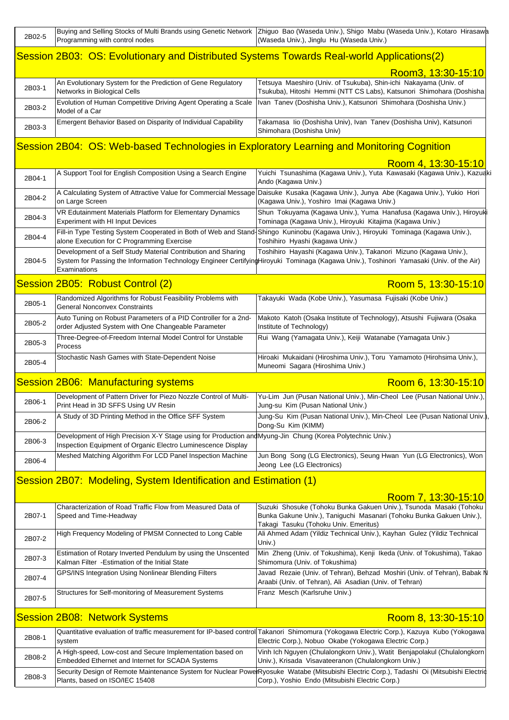| 2B02-5 | Buying and Selling Stocks of Multi Brands using Genetic Network   Zhiguo Bao (Waseda Univ.), Shigo Mabu (Waseda Univ.), Kotaro Hirasawa<br>Programming with control nodes | (Waseda Univ.), Jinglu Hu (Waseda Univ.)                                                                                                                                                                                                             |
|--------|---------------------------------------------------------------------------------------------------------------------------------------------------------------------------|------------------------------------------------------------------------------------------------------------------------------------------------------------------------------------------------------------------------------------------------------|
|        | Session 2B03: OS: Evolutionary and Distributed Systems Towards Real-world Applications(2)                                                                                 |                                                                                                                                                                                                                                                      |
|        |                                                                                                                                                                           | Room3, 13:30-15:10                                                                                                                                                                                                                                   |
| 2B03-1 | An Evolutionary System for the Prediction of Gene Regulatory<br>Networks in Biological Cells                                                                              | Tetsuya Maeshiro (Univ. of Tsukuba), Shin-ichi Nakayama (Univ. of<br>Tsukuba), Hitoshi Hemmi (NTT CS Labs), Katsunori Shimohara (Doshisha                                                                                                            |
| 2B03-2 | Evolution of Human Competitive Driving Agent Operating a Scale<br>Model of a Car                                                                                          | Ivan Tanev (Doshisha Univ.), Katsunori Shimohara (Doshisha Univ.)                                                                                                                                                                                    |
| 2B03-3 | Emergent Behavior Based on Disparity of Individual Capability                                                                                                             | Takamasa lio (Doshisha Univ), Ivan Tanev (Doshisha Univ), Katsunori<br>Shimohara (Doshisha Univ)                                                                                                                                                     |
|        | Session 2B04: OS: Web-based Technologies in Exploratory Learning and Monitoring Cognition                                                                                 |                                                                                                                                                                                                                                                      |
|        |                                                                                                                                                                           | Room 4, 13:30-15:10                                                                                                                                                                                                                                  |
| 2B04-1 | A Support Tool for English Composition Using a Search Engine                                                                                                              | Yuichi Tsunashima (Kagawa Univ.), Yuta Kawasaki (Kagawa Univ.), Kazuak<br>Ando (Kagawa Univ.)                                                                                                                                                        |
| 2B04-2 | A Calculating System of Attractive Value for Commercial Message<br>on Large Screen                                                                                        | Daisuke Kusaka (Kagawa Univ.), Junya Abe (Kagawa Univ.), Yukio Hori<br>(Kagawa Univ.), Yoshiro Imai (Kagawa Univ.)                                                                                                                                   |
| 2B04-3 | VR Edutainment Materials Platform for Elementary Dynamics<br><b>Experiment with HI Input Devices</b>                                                                      | Shun Tokuyama (Kagawa Univ.), Yuma Hanafusa (Kagawa Univ.), Hiroyuki<br>Tominaga (Kagawa Univ.), Hiroyuki Kitajima (Kagawa Univ.)                                                                                                                    |
| 2B04-4 | alone Execution for C Programming Exercise                                                                                                                                | Fill-in Type Testing System Cooperated in Both of Web and Stand-Shingo Kuninobu (Kagawa Univ.), Hiroyuki Tominaga (Kagawa Univ.),<br>Toshihiro Hyashi (kagawa Univ.)                                                                                 |
| 2B04-5 | Development of a Self Study Material Contribution and Sharing<br>Examinations                                                                                             | Toshihiro Hayashi (Kagawa Univ.), Takanori Mizuno (Kagawa Univ.),<br>System for Passing the Information Technology Engineer CertifyingHiroyuki Tominaga (Kagawa Univ.), Toshinori Yamasaki (Univ. of the Air)                                        |
|        | Session 2B05: Robust Control (2)                                                                                                                                          | Room 5, 13:30-15:10                                                                                                                                                                                                                                  |
| 2B05-1 | Randomized Algorithms for Robust Feasibility Problems with<br>General Nonconvex Constraints                                                                               | Takayuki Wada (Kobe Univ.), Yasumasa Fujisaki (Kobe Univ.)                                                                                                                                                                                           |
| 2B05-2 | Auto Tuning on Robust Parameters of a PID Controller for a 2nd-<br>order Adjusted System with One Changeable Parameter                                                    | Makoto Katoh (Osaka Institute of Technology), Atsushi Fujiwara (Osaka<br>Institute of Technology)                                                                                                                                                    |
| 2B05-3 | Three-Degree-of-Freedom Internal Model Control for Unstable<br>Process                                                                                                    | Rui Wang (Yamagata Univ.), Keiji Watanabe (Yamagata Univ.)                                                                                                                                                                                           |
| 2B05-4 | Stochastic Nash Games with State-Dependent Noise                                                                                                                          | Hiroaki Mukaidani (Hiroshima Univ.), Toru Yamamoto (Hirohsima Univ.),<br>Muneomi Sagara (Hiroshima Univ.)                                                                                                                                            |
|        |                                                                                                                                                                           |                                                                                                                                                                                                                                                      |
|        | Session 2B06: Manufacturing systems                                                                                                                                       | Room 6, 13:30-15:10                                                                                                                                                                                                                                  |
| 2B06-1 | Development of Pattern Driver for Piezo Nozzle Control of Multi-<br>Print Head in 3D SFFS Using UV Resin                                                                  | Yu-Lim Jun (Pusan National Univ.), Min-Cheol Lee (Pusan National Univ.),<br>Jung-su Kim (Pusan National Univ.)                                                                                                                                       |
| 2B06-2 | A Study of 3D Printing Method in the Office SFF System                                                                                                                    | Jung-Su Kim (Pusan National Univ.), Min-Cheol Lee (Pusan National Univ.)<br>Dong-Su Kim (KIMM)                                                                                                                                                       |
| 2B06-3 | Development of High Precision X-Y Stage using for Production and Myung-Jin Chung (Korea Polytechnic Univ.)                                                                |                                                                                                                                                                                                                                                      |
| 2B06-4 | Inspection Equipment of Organic Electro Luminescence Display<br>Meshed Matching Algorithm For LCD Panel Inspection Machine                                                | Jun Bong Song (LG Electronics), Seung Hwan Yun (LG Electronics), Won<br>Jeong Lee (LG Electronics)                                                                                                                                                   |
|        | Session 2B07: Modeling, System Identification and Estimation (1)                                                                                                          |                                                                                                                                                                                                                                                      |
|        |                                                                                                                                                                           |                                                                                                                                                                                                                                                      |
| 2B07-1 | Characterization of Road Traffic Flow from Measured Data of<br>Speed and Time-Headway                                                                                     | Room 7, 13:30-15:10<br>Suzuki Shosuke (Tohoku Bunka Gakuen Univ.), Tsunoda Masaki (Tohoku<br>Bunka Gakune Univ.), Taniguchi Masanari (Tohoku Bunka Gakuen Univ.),                                                                                    |
| 2B07-2 | High Frequency Modeling of PMSM Connected to Long Cable                                                                                                                   | Takagi Tasuku (Tohoku Univ. Emeritus)<br>Ali Ahmed Adam (Yildiz Technical Univ.), Kayhan Gulez (Yildiz Technical                                                                                                                                     |
| 2B07-3 | Estimation of Rotary Inverted Pendulum by using the Unscented                                                                                                             | Univ.)<br>Min Zheng (Univ. of Tokushima), Kenji Ikeda (Univ. of Tokushima), Takao                                                                                                                                                                    |
| 2B07-4 | Kalman Filter - Estimation of the Initial State<br>GPS/INS Integration Using Nonlinear Blending Filters                                                                   | Shimomura (Univ. of Tokushima)<br>Javad Rezaie (Univ. of Tehran), Behzad Moshiri (Univ. of Tehran), Babak N                                                                                                                                          |
| 2B07-5 | Structures for Self-monitoring of Measurement Systems                                                                                                                     | Araabi (Univ. of Tehran), Ali Asadian (Univ. of Tehran)<br>Franz Mesch (Karlsruhe Univ.)                                                                                                                                                             |
|        |                                                                                                                                                                           |                                                                                                                                                                                                                                                      |
| 2B08-1 | <b>Session 2B08: Network Systems</b>                                                                                                                                      | Room 8, 13:30-15:10<br>Quantitative evaluation of traffic measurement for IP-based control Takanori Shimomura (Yokogawa Electric Corp.), Kazuya Kubo (Yokogawa                                                                                       |
| 2B08-2 | system<br>A High-speed, Low-cost and Secure Implementation based on                                                                                                       | Electric Corp.), Nobuo Okabe (Yokogawa Electric Corp.)<br>Vinh Ich Nguyen (Chulalongkorn Univ.), Watit Benjapolakul (Chulalongkorn                                                                                                                   |
| 2B08-3 | Embedded Ethernet and Internet for SCADA Systems<br>Plants, based on ISO/IEC 15408                                                                                        | Univ.), Krisada Visavateeranon (Chulalongkorn Univ.)<br>Security Design of Remote Maintenance System for Nuclear PowerRyosuke Watabe (Mitsubishi Electric Corp.), Tadashi Oi (Mitsubishi Electric<br>Corp.), Yoshio Endo (Mitsubishi Electric Corp.) |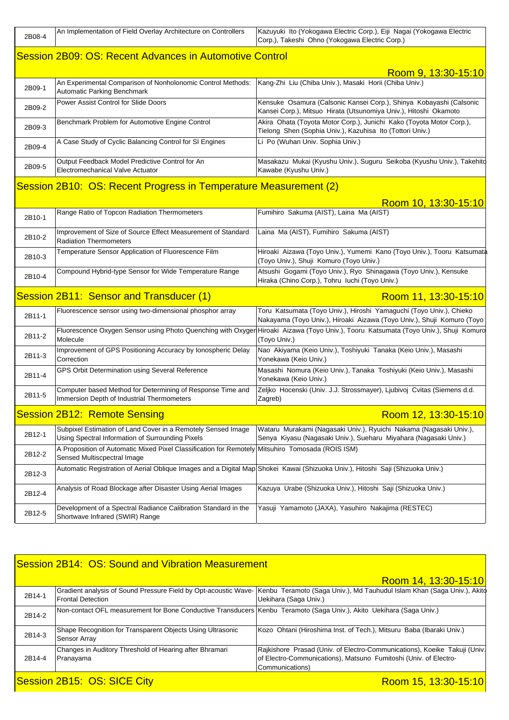| 2B08-4 | An Implementation of Field Overlay Architecture on Controllers                                                                  | Kazuyuki Ito (Yokogawa Electric Corp.), Eiji Nagai (Yokogawa Electric<br>Corp.), Takeshi Ohno (Yokogawa Electric Corp.)                       |
|--------|---------------------------------------------------------------------------------------------------------------------------------|-----------------------------------------------------------------------------------------------------------------------------------------------|
|        | <b>Session 2B09: OS: Recent Advances in Automotive Control</b>                                                                  |                                                                                                                                               |
|        |                                                                                                                                 | Room 9, 13:30-15:10                                                                                                                           |
| 2B09-1 | An Experimental Comparison of Nonholonomic Control Methods:<br>Automatic Parking Benchmark                                      | Kang-Zhi Liu (Chiba Univ.), Masaki Horii (Chiba Univ.)                                                                                        |
| 2B09-2 | Power Assist Control for Slide Doors                                                                                            | Kensuke Osamura (Calsonic Kansei Corp.), Shinya Kobayashi (Calsonic<br>Kansei Corp.), Mitsuo Hirata (Utsunomiya Univ.), Hitoshi Okamoto       |
| 2B09-3 | Benchmark Problem for Automotive Engine Control                                                                                 | Akira Ohata (Toyota Motor Corp.), Junichi Kako (Toyota Motor Corp.),<br>Tielong Shen (Sophia Univ.), Kazuhisa Ito (Tottori Univ.)             |
| 2B09-4 | A Case Study of Cyclic Balancing Control for SI Engines                                                                         | Li Po (Wuhan Univ. Sophia Univ.)                                                                                                              |
| 2B09-5 | Output Feedback Model Predictive Control for An<br>Electromechanical Valve Actuator                                             | Masakazu Mukai (Kyushu Univ.), Suguru Seikoba (Kyushu Univ.), Takehito<br>Kawabe (Kyushu Univ.)                                               |
|        | Session 2B10: OS: Recent Progress in Temperature Measurement (2)                                                                |                                                                                                                                               |
|        |                                                                                                                                 | Room 10, 13:30-15:10                                                                                                                          |
| 2B10-1 | Range Ratio of Topcon Radiation Thermometers                                                                                    | Fumihiro Sakuma (AIST), Laina Ma (AIST)                                                                                                       |
| 2B10-2 | Improvement of Size of Source Effect Measurement of Standard<br><b>Radiation Thermometers</b>                                   | Laina Ma (AIST), Fumihiro Sakuma (AIST)                                                                                                       |
| 2B10-3 | Temperature Sensor Application of Fluorescence Film                                                                             | Hiroaki Aizawa (Toyo Univ.), Yumemi Kano (Toyo Univ.), Tooru Katsumata<br>(Toyo Univ.), Shuji Komuro (Toyo Univ.)                             |
| 2B10-4 | Compound Hybrid-type Sensor for Wide Temperature Range                                                                          | Atsushi Gogami (Toyo Univ.), Ryo Shinagawa (Toyo Univ.), Kensuke<br>Hiraka (Chino Corp.), Tohru luchi (Toyo Univ.)                            |
|        | Session 2B11: Sensor and Transducer (1)                                                                                         | Room 11, 13:30-15:10                                                                                                                          |
| 2B11-1 | Fluorescence sensor using two-dimensional phosphor array                                                                        | Toru Katsumata (Toyo Univ.), Hiroshi Yamaguchi (Toyo Univ.), Chieko<br>Nakayama (Toyo Univ.), Hiroaki Aizawa (Toyo Univ.), Shuji Komuro (Toyo |
| 2B11-2 | Fluorescence Oxygen Sensor using Photo Quenching with Oxyger<br>Molecule                                                        | Hiroaki Aizawa (Toyo Univ.), Tooru Katsumata (Toyo Univ.), Shuji Komuro<br>(Toyo Univ.)                                                       |
| 2B11-3 | Improvement of GPS Positioning Accuracy by Ionospheric Delay<br>Correction                                                      | Nao Akiyama (Keio Univ.), Toshiyuki Tanaka (Keio Univ.), Masashi<br>Yonekawa (Keio Univ.)                                                     |
| 2B11-4 | GPS Orbit Determination using Several Reference                                                                                 | Masashi Nomura (Keio Univ.), Tanaka Toshiyuki (Keio Univ.), Masashi<br>Yonekawa (Keio Univ.)                                                  |
| 2B11-5 | Computer based Method for Determining of Response Time and<br>Immersion Depth of Industrial Thermometers                        | Zeljko Hocenski (Univ. J.J. Strossmayer), Ljubivoj Cvitas (Siemens d.d.<br>Zagreb)                                                            |
|        | <b>Session 2B12: Remote Sensing</b>                                                                                             | Room 12, 13:30-15:10                                                                                                                          |
| 2B12-1 | Subpixel Estimation of Land Cover in a Remotely Sensed Image<br>Using Spectral Information of Surrounding Pixels                | Wataru Murakami (Nagasaki Univ.), Ryuichi Nakama (Nagasaki Univ.),<br>Senya Kiyasu (Nagasaki Univ.), Sueharu Miyahara (Nagasaki Univ.)        |
| 2B12-2 | A Proposition of Automatic Mixed Pixel Classification for Remotely Mitsuhiro Tomosada (ROIS ISM)<br>Sensed Multiscpectral Image |                                                                                                                                               |
| 2B12-3 | Automatic Registration of Aerial Oblique Images and a Digital Map Shokei Kawai (Shizuoka Univ.), Hitoshi Saji (Shizuoka Univ.)  |                                                                                                                                               |
| 2B12-4 | Analysis of Road Blockage after Disaster Using Aerial Images                                                                    | Kazuya Urabe (Shizuoka Univ.), Hitoshi Saji (Shizuoka Univ.)                                                                                  |
| 2B12-5 | Development of a Spectral Radiance Calibration Standard in the<br>Shortwave Infrared (SWIR) Range                               | Yasuji Yamamoto (JAXA), Yasuhiro Nakajima (RESTEC)                                                                                            |
|        |                                                                                                                                 |                                                                                                                                               |

| Session 2B14: OS: Sound and Vibration Measurement   |                                                                                                                      |                                                                                                                                                                  |
|-----------------------------------------------------|----------------------------------------------------------------------------------------------------------------------|------------------------------------------------------------------------------------------------------------------------------------------------------------------|
|                                                     |                                                                                                                      | Room 14, 13:30-15:10                                                                                                                                             |
| 2B14-1                                              | <b>Frontal Detection</b>                                                                                             | Gradient analysis of Sound Pressure Field by Opt-acoustic Wave- Kenbu Teramoto (Saga Univ.), Md Tauhudul Islam Khan (Saga Univ.), Akito<br>Uekihara (Saga Univ.) |
| 2B14-2                                              | Non-contact OFL measurement for Bone Conductive Transducers Kenbu Teramoto (Saga Univ.), Akito Uekihara (Saga Univ.) |                                                                                                                                                                  |
| 2B14-3                                              | Shape Recognition for Transparent Objects Using Ultrasonic<br><b>Sensor Array</b>                                    | Kozo Ohtani (Hiroshima Inst. of Tech.), Mitsuru Baba (Ibaraki Univ.)                                                                                             |
| 2B14-4                                              | Changes in Auditory Threshold of Hearing after Bhramari<br>Pranayama                                                 | Rajkishore Prasad (Univ. of Electro-Communications), Koeike Takuji (Univ.<br>of Electro-Communications), Matsuno Fumitoshi (Univ. of Electro-<br>Communications) |
| Session 2B15: OS: SICE City<br>Room 15, 13:30-15:10 |                                                                                                                      |                                                                                                                                                                  |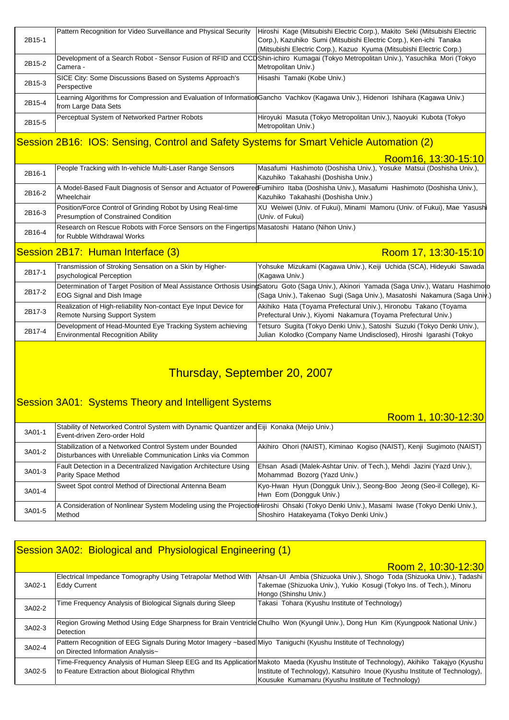| 2B15-1 | Pattern Recognition for Video Surveillance and Physical Security       | Hiroshi Kage (Mitsubishi Electric Corp.), Makito Seki (Mitsubishi Electric<br>Corp.), Kazuhiko Sumi (Mitsubishi Electric Corp.), Ken-ichi Tanaka<br>(Mitsubishi Electric Corp.), Kazuo Kyuma (Mitsubishi Electric Corp.) |
|--------|------------------------------------------------------------------------|--------------------------------------------------------------------------------------------------------------------------------------------------------------------------------------------------------------------------|
| 2B15-2 | Camera -                                                               | Development of a Search Robot - Sensor Fusion of RFID and CCDShin-ichiro Kumagai (Tokyo Metropolitan Univ.), Yasuchika Mori (Tokyo<br>Metropolitan Univ.)                                                                |
| 2B15-3 | SICE City: Some Discussions Based on Systems Approach's<br>Perspective | Hisashi Tamaki (Kobe Univ.)                                                                                                                                                                                              |
| 2B15-4 | from Large Data Sets                                                   | Learning Algorithms for Compression and Evaluation of InformationGancho Vachkov (Kagawa Univ.), Hidenori Ishihara (Kagawa Univ.)                                                                                         |
| 2B15-5 | Perceptual System of Networked Partner Robots                          | Hiroyuki Masuta (Tokyo Metropolitan Univ.), Naoyuki Kubota (Tokyo<br>Metropolitan Univ.)                                                                                                                                 |

### Session 2B16: IOS: Sensing, Control and Safety Systems for Smart Vehicle Automation (2)

Room16, 13:30-15:10

| 2B16-1 | People Tracking with In-vehicle Multi-Laser Range Sensors                                                                    | Masafumi Hashimoto (Doshisha Univ.), Yosuke Matsui (Doshisha Univ.),<br>Kazuhiko Takahashi (Doshisha Univ.)                                                                                                             |
|--------|------------------------------------------------------------------------------------------------------------------------------|-------------------------------------------------------------------------------------------------------------------------------------------------------------------------------------------------------------------------|
| 2B16-2 | Wheelchair                                                                                                                   | A Model-Based Fault Diagnosis of Sensor and Actuator of PoweredFumihiro Itaba (Doshisha Univ.), Masafumi Hashimoto (Doshisha Univ.),<br>Kazuhiko Takahashi (Doshisha Univ.)                                             |
| 2B16-3 | Position/Force Control of Grinding Robot by Using Real-time<br><b>Presumption of Constrained Condition</b>                   | XU Weiwei (Univ. of Fukui), Minami Mamoru (Univ. of Fukui), Mae Yasushi<br>(Univ. of Fukui)                                                                                                                             |
| 2B16-4 | Research on Rescue Robots with Force Sensors on the Fingertips Masatoshi Hatano (Nihon Univ.)<br>for Rubble Withdrawal Works |                                                                                                                                                                                                                         |
|        | Session 2B17: Human Interface (3)                                                                                            | Room 17, 13:30-15:10                                                                                                                                                                                                    |
| 2B17-1 | Transmission of Stroking Sensation on a Skin by Higher-<br>psychological Perception                                          | Yohsuke Mizukami (Kagawa Univ.), Keiji Uchida (SCA), Hideyuki Sawada<br>(Kagawa Univ.)                                                                                                                                  |
| 2B17-2 | <b>EOG Signal and Dish Image</b>                                                                                             | Determination of Target Position of Meal Assistance Orthosis UsingSatoru Goto (Saga Univ.), Akinori Yamada (Saga Univ.), Wataru Hashimoto<br>(Saga Univ.), Takenao  Sugi (Saga Univ.), Masatoshi  Nakamura (Saga Univ.) |
| 2B17-3 | Realization of High-reliability Non-contact Eye Input Device for<br><b>Remote Nursing Support System</b>                     | Akihiko Hata (Toyama Prefectural Univ.), Hironobu Takano (Toyama<br>Prefectural Univ.), Kiyomi Nakamura (Toyama Prefectural Univ.)                                                                                      |
| 2B17-4 | Development of Head-Mounted Eye Tracking System achieving<br><b>Environmental Recognition Ability</b>                        | Tetsuro Sugita (Tokyo Denki Univ.), Satoshi Suzuki (Tokyo Denki Univ.),<br>Julian Kolodko (Company Name Undisclosed), Hiroshi Igarashi (Tokyo                                                                           |

## Thursday, September 20, 2007

#### **Session 3A01: Systems Theory and Intelligent Systems**

Room 1, 10:30-12:30

| 3A01-1 | Stability of Networked Control System with Dynamic Quantizer and Eiji Konaka (Meijo Univ.)<br>Event-driven Zero-order Hold |                                                                                                                                                                                   |
|--------|----------------------------------------------------------------------------------------------------------------------------|-----------------------------------------------------------------------------------------------------------------------------------------------------------------------------------|
| 3A01-2 | Stabilization of a Networked Control System under Bounded<br>Disturbances with Unreliable Communication Links via Common   | Akihiro Ohori (NAIST), Kiminao Kogiso (NAIST), Kenji Sugimoto (NAIST)                                                                                                             |
| 3A01-3 | Fault Detection in a Decentralized Navigation Architecture Using<br><b>Parity Space Method</b>                             | Ehsan Asadi (Malek-Ashtar Univ. of Tech.), Mehdi Jazini (Yazd Univ.),<br>Mohammad Bozorg (Yazd Univ.)                                                                             |
| 3A01-4 | Sweet Spot control Method of Directional Antenna Beam                                                                      | Kyo-Hwan Hyun (Dongguk Univ.), Seong-Boo Jeong (Seo-il College), Ki-<br>Hwn Eom (Dongguk Univ.)                                                                                   |
| 3A01-5 | Method                                                                                                                     | A Consideration of Nonlinear System Modeling using the ProjectionHiroshi Ohsaki (Tokyo Denki Univ.), Masami Iwase (Tokyo Denki Univ.),<br>Shoshiro Hatakeyama (Tokyo Denki Univ.) |

### Session 3A02: Biological and Physiological Engineering (1)

|        |                                                                                                                | Room 2, 10:30-12:30                                                                                                                   |
|--------|----------------------------------------------------------------------------------------------------------------|---------------------------------------------------------------------------------------------------------------------------------------|
|        | Electrical Impedance Tomography Using Tetrapolar Method With                                                   | Ahsan-UI Ambia (Shizuoka Univ.), Shogo Toda (Shizuoka Univ.), Tadashi                                                                 |
| 3A02-1 | <b>Eddy Current</b>                                                                                            | Takemae (Shizuoka Univ.), Yukio Kosugi (Tokyo Ins. of Tech.), Minoru                                                                  |
|        |                                                                                                                | Hongo (Shinshu Univ.)                                                                                                                 |
| 3A02-2 | Time Frequency Analysis of Biological Signals during Sleep                                                     | Takasi Tohara (Kyushu Institute of Technology)                                                                                        |
|        |                                                                                                                |                                                                                                                                       |
|        |                                                                                                                | Region Growing Method Using Edge Sharpness for Brain Ventricle Chulho Won (Kyungil Univ.), Dong Hun Kim (Kyungpook National Univ.)    |
| 3A02-3 | Detection                                                                                                      |                                                                                                                                       |
|        | Pattern Recognition of EEG Signals During Motor Imagery ~based Miyo Taniguchi (Kyushu Institute of Technology) |                                                                                                                                       |
| 3A02-4 | on Directed Information Analysis~                                                                              |                                                                                                                                       |
|        |                                                                                                                | Time-Frequency Analysis of Human Sleep EEG and Its Application Makoto Maeda (Kyushu Institute of Technology), Akihiko Takajyo (Kyushu |
| 3A02-5 | to Feature Extraction about Biological Rhythm                                                                  | Institute of Technology), Katsuhiro Inoue (Kyushu Institute of Technology),                                                           |
|        |                                                                                                                | Kousuke Kumamaru (Kyushu Institute of Technology)                                                                                     |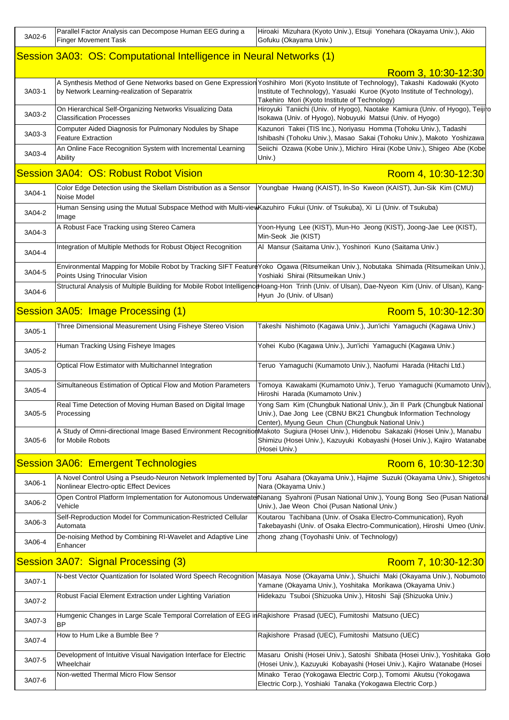| 3A02-6 | Parallel Factor Analysis can Decompose Human EEG during a<br><b>Finger Movement Task</b>                                            | Hiroaki Mizuhara (Kyoto Univ.), Etsuji Yonehara (Okayama Univ.), Akio<br>Gofuku (Okayama Univ.)                                                                                                                                                                   |
|--------|-------------------------------------------------------------------------------------------------------------------------------------|-------------------------------------------------------------------------------------------------------------------------------------------------------------------------------------------------------------------------------------------------------------------|
|        | Session 3A03: OS: Computational Intelligence in Neural Networks (1)                                                                 |                                                                                                                                                                                                                                                                   |
|        |                                                                                                                                     | Room 3, 10:30-12:30                                                                                                                                                                                                                                               |
| 3A03-1 | by Network Learning-realization of Separatrix                                                                                       | A Synthesis Method of Gene Networks based on Gene Expression Yoshihiro Mori (Kyoto Institute of Technology), Takashi Kadowaki (Kyoto<br>Institute of Technology), Yasuaki Kuroe (Kyoto Institute of Technology),<br>Takehiro Mori (Kyoto Institute of Technology) |
| 3A03-2 | On Hierarchical Self-Organizing Networks Visualizing Data<br><b>Classification Processes</b>                                        | Hiroyuki Taniichi (Univ. of Hyogo), Naotake Kamiura (Univ. of Hyogo), Teijiro<br>Isokawa (Univ. of Hyogo), Nobuyuki Matsui (Univ. of Hyogo)                                                                                                                       |
| 3A03-3 | Computer Aided Diagnosis for Pulmonary Nodules by Shape<br><b>Feature Extraction</b>                                                | Kazunori Takei (TIS Inc.), Noriyasu Homma (Tohoku Univ.), Tadashi<br>Ishibashi (Tohoku Univ.), Masao Sakai (Tohoku Univ.), Makoto Yoshizawa                                                                                                                       |
| 3A03-4 | An Online Face Recognition System with Incremental Learning<br>Ability                                                              | Seiichi Ozawa (Kobe Univ.), Michiro Hirai (Kobe Univ.), Shigeo Abe (Kobe<br>Univ.)                                                                                                                                                                                |
|        | Session 3A04: OS: Robust Robot Vision                                                                                               | Room 4, 10:30-12:30                                                                                                                                                                                                                                               |
| 3A04-1 | Color Edge Detection using the Skellam Distribution as a Sensor<br>Noise Model                                                      | Youngbae Hwang (KAIST), In-So Kweon (KAIST), Jun-Sik Kim (CMU)                                                                                                                                                                                                    |
| 3A04-2 | Human Sensing using the Mutual Subspace Method with Multi-view Kazuhiro Fukui (Univ. of Tsukuba), Xi Li (Univ. of Tsukuba)<br>Image |                                                                                                                                                                                                                                                                   |
| 3A04-3 | A Robust Face Tracking using Stereo Camera                                                                                          | Yoon-Hyung Lee (KIST), Mun-Ho Jeong (KIST), Joong-Jae Lee (KIST),<br>Min-Seok Jie (KIST)                                                                                                                                                                          |
| 3A04-4 | Integration of Multiple Methods for Robust Object Recognition                                                                       | Al Mansur (Saitama Univ.), Yoshinori Kuno (Saitama Univ.)                                                                                                                                                                                                         |
| 3A04-5 | Points Using Trinocular Vision                                                                                                      | Environmental Mapping for Mobile Robot by Tracking SIFT FeatureYoko Ogawa (Ritsumeikan Univ.), Nobutaka Shimada (Ritsumeikan Univ.),<br>Yoshiaki Shirai (Ritsumeikan Univ.)                                                                                       |
| 3A04-6 |                                                                                                                                     | Structural Analysis of Multiple Building for Mobile Robot IntelligencHoang-Hon Trinh (Univ. of Ulsan), Dae-Nyeon Kim (Univ. of Ulsan), Kang-<br>Hyun Jo (Univ. of Ulsan)                                                                                          |
|        | Session 3A05: Image Processing (1)                                                                                                  | Room 5, 10:30-12:30                                                                                                                                                                                                                                               |
| 3A05-1 | Three Dimensional Measurement Using Fisheye Stereo Vision                                                                           | Takeshi Nishimoto (Kagawa Univ.), Jun'ichi Yamaguchi (Kagawa Univ.)                                                                                                                                                                                               |
| 3A05-2 | Human Tracking Using Fisheye Images                                                                                                 | Yohei Kubo (Kagawa Univ.), Jun'ichi Yamaguchi (Kagawa Univ.)                                                                                                                                                                                                      |
| 3A05-3 | Optical Flow Estimator with Multichannel Integration                                                                                | Teruo Yamaguchi (Kumamoto Univ.), Naofumi Harada (Hitachi Ltd.)                                                                                                                                                                                                   |
| 3A05-4 | Simultaneous Estimation of Optical Flow and Motion Parameters                                                                       | Tomoya Kawakami (Kumamoto Univ.), Teruo Yamaguchi (Kumamoto Univ),<br>Hiroshi Harada (Kumamoto Univ.)                                                                                                                                                             |
| 3A05-5 | Real Time Detection of Moving Human Based on Digital Image<br>Processing                                                            | Yong Sam Kim (Chungbuk National Univ.), Jin Il Park (Chungbuk National<br>Univ.), Dae Jong Lee (CBNU BK21 Chungbuk Information Technology<br>Center), Myung Geun Chun (Chungbuk National Univ.)                                                                   |
| 3A05-6 | for Mobile Robots                                                                                                                   | A Study of Omni-directional Image Based Environment RecognitionMakoto Sugiura (Hosei Univ.), Hidenobu Sakazaki (Hosei Univ.), Manabu<br>Shimizu (Hosei Univ.), Kazuyuki Kobayashi (Hosei Univ.), Kajiro Watanabe<br>(Hosei Univ.)                                 |
|        | <b>Session 3A06: Emergent Technologies</b>                                                                                          | Room 6, 10:30-12:30                                                                                                                                                                                                                                               |
| 3A06-1 |                                                                                                                                     | A Novel Control Using a Pseudo-Neuron Network Implemented by Toru Asahara (Okayama Univ.), Hajime Suzuki (Okayama Univ.), Shigetoshi                                                                                                                              |
| 3A06-2 | Nonlinear Electro-optic Effect Devices<br>Vehicle                                                                                   | Nara (Okayama Univ.)<br>Open Control Platform Implementation for Autonomous Underwate Nanang Syahroni (Pusan National Univ.), Young Bong Seo (Pusan National<br>Univ.), Jae Weon Choi (Pusan National Univ.)                                                      |
| 3A06-3 | Self-Reproduction Model for Communication-Restricted Cellular<br>Automata                                                           | Koutarou Tachibana (Univ. of Osaka Electro-Communication), Ryoh<br>Takebayashi (Univ. of Osaka Electro-Communication), Hiroshi Umeo (Univ                                                                                                                         |
| 3A06-4 | De-noising Method by Combining RI-Wavelet and Adaptive Line<br>Enhancer                                                             | zhong zhang (Toyohashi Univ. of Technology)                                                                                                                                                                                                                       |
|        | Session 3A07: Signal Processing (3)                                                                                                 | Room 7, 10:30-12:30                                                                                                                                                                                                                                               |
|        |                                                                                                                                     | N-best Vector Quantization for Isolated Word Speech Recognition Masaya Nose (Okayama Univ.), Shuichi Maki (Okayama Univ.), Nobumoto                                                                                                                               |
| 3A07-1 | Robust Facial Element Extraction under Lighting Variation                                                                           | Yamane (Okayama Univ.), Yoshitaka Morikawa (Okayama Univ.)<br>Hidekazu Tsuboi (Shizuoka Univ.), Hitoshi Saji (Shizuoka Univ.)                                                                                                                                     |
| 3A07-2 | Humgenic Changes in Large Scale Temporal Correlation of EEG in Rajkishore Prasad (UEC), Fumitoshi Matsuno (UEC)                     |                                                                                                                                                                                                                                                                   |
| 3A07-3 | <b>BP</b><br>How to Hum Like a Bumble Bee?                                                                                          | Rajkishore Prasad (UEC), Fumitoshi Matsuno (UEC)                                                                                                                                                                                                                  |
| 3A07-4 |                                                                                                                                     |                                                                                                                                                                                                                                                                   |
| 3A07-5 | Development of Intuitive Visual Navigation Interface for Electric<br>Wheelchair                                                     | Masaru Onishi (Hosei Univ.), Satoshi Shibata (Hosei Univ.), Yoshitaka Goto<br>(Hosei Univ.), Kazuyuki Kobayashi (Hosei Univ.), Kajiro Watanabe (Hosei                                                                                                             |
| 3A07-6 | Non-wetted Thermal Micro Flow Sensor                                                                                                | Minako Terao (Yokogawa Electric Corp.), Tomomi Akutsu (Yokogawa<br>Electric Corp.), Yoshiaki Tanaka (Yokogawa Electric Corp.)                                                                                                                                     |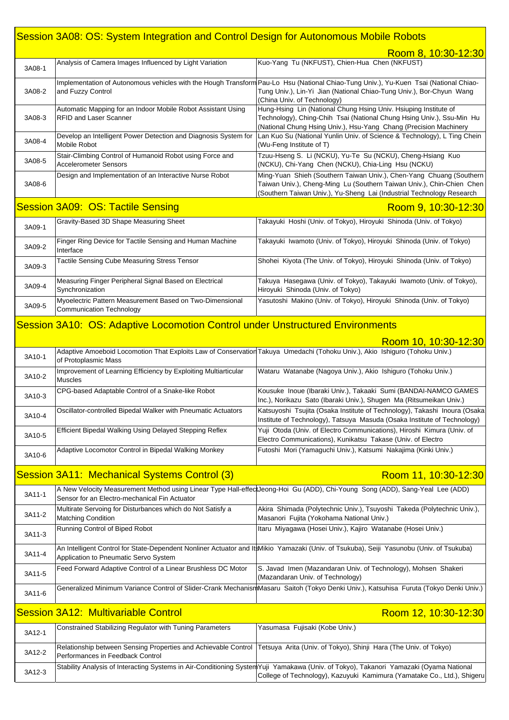## Session 3A08: OS: System Integration and Control Design for Autonomous Mobile Robots

|        |                                                                                                                                                     | Room 8, 10:30-12:30                                                                                                                                                                                                                         |
|--------|-----------------------------------------------------------------------------------------------------------------------------------------------------|---------------------------------------------------------------------------------------------------------------------------------------------------------------------------------------------------------------------------------------------|
| 3A08-1 | Analysis of Camera Images Influenced by Light Variation                                                                                             | Kuo-Yang Tu (NKFUST), Chien-Hua Chen (NKFUST)                                                                                                                                                                                               |
| 3A08-2 | and Fuzzy Control                                                                                                                                   | Implementation of Autonomous vehicles with the Hough Transform Pau-Lo Hsu (National Chiao-Tung Univ.), Yu-Kuen Tsai (National Chiao-<br>Tung Univ.), Lin-Yi Jian (National Chiao-Tung Univ.), Bor-Chyun Wang<br>(China Univ. of Technology) |
| 3A08-3 | Automatic Mapping for an Indoor Mobile Robot Assistant Using<br><b>RFID and Laser Scanner</b>                                                       | Hung-Hsing Lin (National Chung Hsing Univ. Hsiuping Institute of<br>Technology), Ching-Chih Tsai (National Chung Hsing Univ.), Ssu-Min Hu<br>(National Chung Hsing Univ.), Hsu-Yang Chang (Precision Machinery                              |
| 3A08-4 | Develop an Intelligent Power Detection and Diagnosis System for<br>Mobile Robot                                                                     | Lan Kuo Su (National Yunlin Univ. of Science & Technology), L Ting Chein<br>(Wu-Feng Institute of T)                                                                                                                                        |
| 3A08-5 | Stair-Climbing Control of Humanoid Robot using Force and<br><b>Accelerometer Sensors</b>                                                            | Tzuu-Hseng S. Li (NCKU), Yu-Te Su (NCKU), Cheng-Hsiang Kuo<br>(NCKU), Chi-Yang Chen (NCKU), Chia-Ling Hsu (NCKU)                                                                                                                            |
| 3A08-6 | Design and Implementation of an Interactive Nurse Robot                                                                                             | Ming-Yuan Shieh (Southern Taiwan Univ.), Chen-Yang Chuang (Southern<br>Taiwan Univ.), Cheng-Ming Lu (Southern Taiwan Univ.), Chin-Chien Chen<br>(Southern Taiwan Univ.), Yu-Sheng Lai (Industrial Technology Research                       |
|        | <b>Session 3A09: OS: Tactile Sensing</b>                                                                                                            | Room 9, 10:30-12:30                                                                                                                                                                                                                         |
| 3A09-1 | Gravity-Based 3D Shape Measuring Sheet                                                                                                              | Takayuki Hoshi (Univ. of Tokyo), Hiroyuki Shinoda (Univ. of Tokyo)                                                                                                                                                                          |
| 3A09-2 | Finger Ring Device for Tactile Sensing and Human Machine<br>Interface                                                                               | Takayuki Iwamoto (Univ. of Tokyo), Hiroyuki Shinoda (Univ. of Tokyo)                                                                                                                                                                        |
| 3A09-3 | Tactile Sensing Cube Measuring Stress Tensor                                                                                                        | Shohei Kiyota (The Univ. of Tokyo), Hiroyuki Shinoda (Univ. of Tokyo)                                                                                                                                                                       |
| 3A09-4 | Measuring Finger Peripheral Signal Based on Electrical<br>Synchronization                                                                           | Takuya Hasegawa (Univ. of Tokyo), Takayuki Iwamoto (Univ. of Tokyo),<br>Hiroyuki Shinoda (Univ. of Tokyo)                                                                                                                                   |
| 3A09-5 | Myoelectric Pattern Measurement Based on Two-Dimensional<br><b>Communication Technology</b>                                                         | Yasutoshi Makino (Univ. of Tokyo), Hiroyuki Shinoda (Univ. of Tokyo)                                                                                                                                                                        |
|        | Session 3A10: OS: Adaptive Locomotion Control under Unstructured Environments                                                                       |                                                                                                                                                                                                                                             |
|        |                                                                                                                                                     | Room 10, 10:30-12:30                                                                                                                                                                                                                        |
| 3A10-1 | Adaptive Amoeboid Locomotion That Exploits Law of Conservation Takuya Umedachi (Tohoku Univ.), Akio Ishiguro (Tohoku Univ.)<br>of Protoplasmic Mass |                                                                                                                                                                                                                                             |
| 3A10-2 | Improvement of Learning Efficiency by Exploiting Multiarticular<br><b>Muscles</b>                                                                   | Wataru Watanabe (Nagoya Univ.), Akio Ishiguro (Tohoku Univ.)                                                                                                                                                                                |
| 3A10-3 | CPG-based Adaptable Control of a Snake-like Robot                                                                                                   | Kousuke Inoue (Ibaraki Univ.), Takaaki Sumi (BANDAI-NAMCO GAMES<br>Inc.), Norikazu Sato (Ibaraki Univ.), Shugen Ma (Ritsumeikan Univ.)                                                                                                      |
| 3A10-4 | Oscillator-controlled Bipedal Walker with Pneumatic Actuators                                                                                       | Katsuyoshi Tsujita (Osaka Institute of Technology), Takashi Inoura (Osaka<br>Institute of Technology), Tatsuya Masuda (Osaka Institute of Technology)                                                                                       |
| 3A10-5 | Efficient Bipedal Walking Using Delayed Stepping Reflex                                                                                             | Yuji Otoda (Univ. of Electro Communications), Hiroshi Kimura (Univ. of<br>Electro Communications), Kunikatsu Takase (Univ. of Electro                                                                                                       |
| 3A10-6 | Adaptive Locomotor Control in Bipedal Walking Monkey                                                                                                | Futoshi Mori (Yamaguchi Univ.), Katsumi Nakajima (Kinki Univ.)                                                                                                                                                                              |
|        | <b>Session 3A11: Mechanical Systems Control (3)</b>                                                                                                 | Room 11, 10:30-12:30                                                                                                                                                                                                                        |
| 3A11-1 | Sensor for an Electro-mechanical Fin Actuator                                                                                                       | A New Velocity Measurement Method using Linear Type Hall-effectJeong-Hoi Gu (ADD), Chi-Young Song (ADD), Sang-Yeal Lee (ADD)                                                                                                                |
| 3A11-2 | Multirate Servoing for Disturbances which do Not Satisfy a<br><b>Matching Condition</b>                                                             | Akira Shimada (Polytechnic Univ.), Tsuyoshi Takeda (Polytechnic Univ.),<br>Masanori Fujita (Yokohama National Univ.)                                                                                                                        |
| 3A11-3 | Running Control of Biped Robot                                                                                                                      | Itaru Miyagawa (Hosei Univ.), Kajiro Watanabe (Hosei Univ.)                                                                                                                                                                                 |
| 3A11-4 | Application to Pneumatic Servo System                                                                                                               | An Intelligent Control for State-Dependent Nonliner Actuator and It Mikio Yamazaki (Univ. of Tsukuba), Seiji Yasunobu (Univ. of Tsukuba)                                                                                                    |
| 3A11-5 | Feed Forward Adaptive Control of a Linear Brushless DC Motor                                                                                        | S. Javad Imen (Mazandaran Univ. of Technology), Mohsen Shakeri<br>(Mazandaran Univ. of Technology)                                                                                                                                          |
| 3A11-6 |                                                                                                                                                     | Generalized Minimum Variance Control of Slider-Crank MechanismMasaru Saitoh (Tokyo Denki Univ.), Katsuhisa Furuta (Tokyo Denki Univ.)                                                                                                       |
|        | <b>Session 3A12: Multivariable Control</b>                                                                                                          | Room 12, 10:30-12:30                                                                                                                                                                                                                        |
| 3A12-1 | Constrained Stabilizing Regulator with Tuning Parameters                                                                                            | Yasumasa Fujisaki (Kobe Univ.)                                                                                                                                                                                                              |
| 3A12-2 | Relationship between Sensing Properties and Achievable Control<br>Performances in Feedback Control                                                  | Tetsuya Arita (Univ. of Tokyo), Shinji Hara (The Univ. of Tokyo)                                                                                                                                                                            |
|        |                                                                                                                                                     | Stability Analysis of Interacting Systems in Air-Conditioning SystemYuji Yamakawa (Univ. of Tokyo), Takanori Yamazaki (Oyama National                                                                                                       |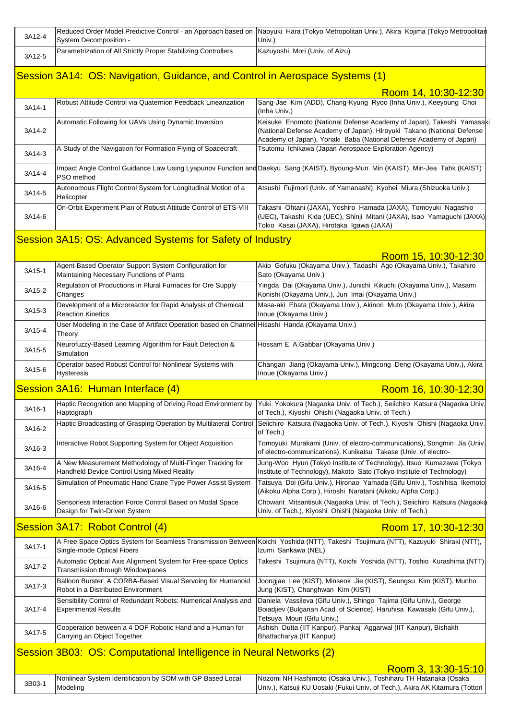| 3A12-4 | System Decomposition -                                                                                    | Reduced Order Model Predictive Control - an Approach based on Naoyuki Hara (Tokyo Metropolitan Univ.), Akira Kojima (Tokyo Metropolitan<br>Univ.)                                                                      |
|--------|-----------------------------------------------------------------------------------------------------------|------------------------------------------------------------------------------------------------------------------------------------------------------------------------------------------------------------------------|
| 3A12-5 | Parametrization of All Strictly Proper Stabilizing Controllers                                            | Kazuyoshi Mori (Univ. of Aizu)                                                                                                                                                                                         |
|        | Session 3A14: OS: Navigation, Guidance, and Control in Aerospace Systems (1)                              |                                                                                                                                                                                                                        |
|        |                                                                                                           |                                                                                                                                                                                                                        |
| 3A14-1 | Robust Attitude Control via Quaternion Feedback Linearization                                             | Room 14, 10:30-12:30<br>Sang-Jae Kim (ADD), Chang-Kyung Ryoo (Inha Univ.), Keeyoung Choi<br>(Inha Univ.)                                                                                                               |
| 3A14-2 | Automatic Following for UAVs Using Dynamic Inversion                                                      | Keisuke Enomoto (National Defense Academy of Japan), Takeshi Yamasaki<br>(National Defense Academy of Japan), Hiroyuki Takano (National Defense<br>Academy of Japan), Yoriaki Baba (National Defense Academy of Japan) |
| 3A14-3 | A Study of the Navigation for Formation Flying of Spacecraft                                              | Tsutomu Ichikawa (Japan Aerospace Exploration Agency)                                                                                                                                                                  |
| 3A14-4 | PSO method                                                                                                | Impact Angle Control Guidance Law Using Lyapunov Function and Daekyu Sang (KAIST), Byoung-Mun Min (KAIST), Min-Jea Tahk (KAIST)                                                                                        |
| 3A14-5 | Autonomous Flight Control System for Longitudinal Motion of a<br>Helicopter                               | Atsushi Fujimori (Univ. of Yamanashi), Kyohei Miura (Shizuoka Univ.)                                                                                                                                                   |
| 3A14-6 | On-Orbit Experiment Plan of Robust Attitude Control of ETS-VIII                                           | Takashi Ohtani (JAXA), Yoshiro Hamada (JAXA), Tomoyuki Nagashio<br>(UEC), Takashi Kida (UEC), Shinji Mitani (JAXA), Isao Yamaguchi (JAXA)<br>Tokio Kasai (JAXA), Hirotaka Igawa (JAXA)                                 |
|        | Session 3A15: OS: Advanced Systems for Safety of Industry                                                 |                                                                                                                                                                                                                        |
|        |                                                                                                           | Room 15, 10:30-12:30                                                                                                                                                                                                   |
| 3A15-1 | Agent-Based Operator Support System Configuration for<br>Maintaining Necessary Functions of Plants        | Akio Gofuku (Okayama Univ.), Tadashi Ago (Okayama Univ.), Takahiro<br>Sato (Okayama Univ.)                                                                                                                             |
| 3A15-2 | Regulation of Productions in Plural Furnaces for Ore Supply<br>Changes                                    | Yingda Dai (Okayama Univ.), Junichi Kikuchi (Okayama Univ.), Masami<br>Konishi (Okayama Univ.), Jun Imai (Okayama Univ.)                                                                                               |
| 3A15-3 | Development of a Microreactor for Rapid Analysis of Chemical<br><b>Reaction Kinetics</b>                  | Masa-aki Ebata (Okayama Univ.), Akinori Muto (Okayama Univ.), Akira<br>Inoue (Okayama Univ.)                                                                                                                           |
| 3A15-4 | User Modeling in the Case of Artifact Operation based on Channel Hisashi Handa (Okayama Univ.)<br>Theory  |                                                                                                                                                                                                                        |
| 3A15-5 | Neurofuzzy-Based Learning Algorithm for Fault Detection &<br>Simulation                                   | Hossam E. A.Gabbar (Okayama Univ.)                                                                                                                                                                                     |
| 3A15-6 | Operator based Robust Control for Nonlinear Systems with<br><b>Hysteresis</b>                             | Changan Jiang (Okayama Univ.), Mingcong Deng (Okayama Univ.), Akira<br>Inoue (Okayama Univ.)                                                                                                                           |
|        | Session 3A16: Human Interface (4)                                                                         | Room 16, 10:30-12:30                                                                                                                                                                                                   |
| 3A16-1 | Haptograph                                                                                                | Haptic Recognition and Mapping of Driving Road Environment by Yuki Yokokura (Nagaoka Univ. of Tech.), Seiichiro Katsura (Nagaoka Univ.<br>of Tech.), Kiyoshi Ohishi (Nagaoka Univ. of Tech.)                           |
| 3A16-2 | Haptic Broadcasting of Grasping Operation by Multilateral Control                                         | Seiichiro Katsura (Nagaoka Univ. of Tech.), Kiyoshi Ohishi (Nagaoka Univ.<br>of Tech.)                                                                                                                                 |
| 3A16-3 | Interactive Robot Supporting System for Object Acquisition                                                | Tomoyuki Murakami (Univ. of electro-communications), Songmin Jia (Univ.<br>of electro-communications), Kunikatsu Takase (Univ. of electro-                                                                             |
| 3A16-4 | A New Measurement Methodology of Multi-Finger Tracking for<br>Handheld Device Control Using Mixed Reality | Jung-Woo Hyun (Tokyo Institute of Technology), Itsuo Kumazawa (Tokyo<br>Institute of Technology), Makoto Sato (Tokyo Institute of Technology)                                                                          |
| 3A16-5 | Simulation of Pneumatic Hand Crane Type Power Assist System                                               | Tatsuya Doi (Gifu Univ.), Hironao Yamada (Gifu Univ.), Toshihisa Ikemoto<br>(Aikoku Alpha Corp.), Hiroshi Naratani (Aikoku Alpha Corp.)                                                                                |
| 3A16-6 | Sensorless Interaction Force Control Based on Modal Space<br>Design for Twin-Driven System                | Chowarit Mitsantisuk (Nagaoka Univ. of Tech.), Seiichiro Katsura (Nagaoka<br>Univ. of Tech.), Kiyoshi Ohishi (Nagaoka Univ. of Tech.)                                                                                  |
|        | Session 3A17: Robot Control (4)                                                                           | Room 17, 10:30-12:30                                                                                                                                                                                                   |
| 3A17-1 | Single-mode Optical Fibers                                                                                | A Free Space Optics System for Seamless Transmission Between Koichi Yoshida (NTT), Takeshi Tsujimura (NTT), Kazuyuki Shiraki (NTT),<br>Izumi Sankawa (NEL)                                                             |
| 3A17-2 | Automatic Optical Axis Alignment System for Free-space Optics<br>Transmission through Windowpanes         | Takeshi Tsujimura (NTT), Koichi Yoshida (NTT), Toshio Kurashima (NTT)                                                                                                                                                  |
| 3A17-3 | Balloon Burster: A CORBA-Based Visual Servoing for Humanoid<br>Robot in a Distributed Environment         | Joongjae Lee (KIST), Minseok Jie (KIST), Seungsu Kim (KIST), Munho<br>Jung (KIST), Changhwan Kim (KIST)                                                                                                                |
| 3A17-4 | Sensibility Control of Redundant Robots: Numerical Analysis and<br><b>Experimental Results</b>            | Daniela Vassileva (Gifu Univ.), Shingo Tajima (Gifu Univ.), George<br>Boiadjiev (Bulgarian Acad. of Science), Haruhisa Kawasaki (Gifu Univ.),<br>Tetsuya Mouri (Gifu Univ.)                                            |
| 3A17-5 | Cooperation between a 4 DOF Robotic Hand and a Human for<br>Carrying an Object Together                   | Ashish Dutta (IIT Kanpur), Pankaj Aggarwal (IIT Kanpur), Bishakh<br>Bhattacharya (IIT Kanpur)                                                                                                                          |
|        | Session 3B03: OS: Computational Intelligence in Neural Networks (2)                                       |                                                                                                                                                                                                                        |
| 3B03-1 | Nonlinear System Identification by SOM with GP Based Local<br>Modeling                                    | Room 3, 13:30-15:10<br>Nozomi NH Hashimoto (Osaka Univ.), Toshiharu TH Hatanaka (Osaka<br>Univ.), Katsuji KU Uosaki (Fukui Univ. of Tech.), Akira AK Kitamura (Tottori                                                 |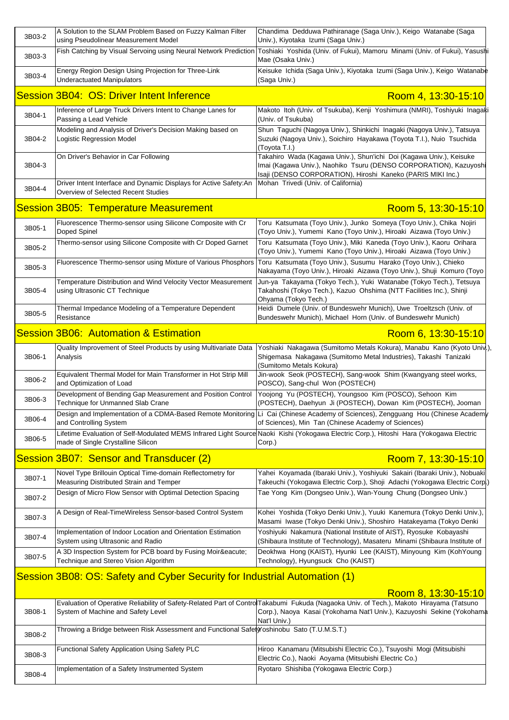| 3B03-2 | A Solution to the SLAM Problem Based on Fuzzy Kalman Filter<br>using Pseudolinear Measurement Model      | Chandima Dedduwa Pathiranage (Saga Univ.), Keigo Watanabe (Saga<br>Univ.), Kiyotaka Izumi (Saga Univ.)                                                                                                                            |
|--------|----------------------------------------------------------------------------------------------------------|-----------------------------------------------------------------------------------------------------------------------------------------------------------------------------------------------------------------------------------|
| 3B03-3 |                                                                                                          | Fish Catching by Visual Servoing using Neural Network Prediction Toshiaki Yoshida (Univ. of Fukui), Mamoru Minami (Univ. of Fukui), Yasushi<br>Mae (Osaka Univ.)                                                                  |
| 3B03-4 | Energy Region Design Using Projection for Three-Link<br><b>Underactuated Manipulators</b>                | Keisuke Ichida (Saga Univ.), Kiyotaka Izumi (Saga Univ.), Keigo Watanabe<br>(Saga Univ.)                                                                                                                                          |
|        | Session 3B04: OS: Driver Intent Inference                                                                | Room 4, 13:30-15:10                                                                                                                                                                                                               |
| 3B04-1 | Inference of Large Truck Drivers Intent to Change Lanes for<br>Passing a Lead Vehicle                    | Makoto Itoh (Univ. of Tsukuba), Kenji Yoshimura (NMRI), Toshiyuki Inagaki<br>(Univ. of Tsukuba)                                                                                                                                   |
| 3B04-2 | Modeling and Analysis of Driver's Decision Making based on<br>Logistic Regression Model                  | Shun Taguchi (Nagoya Univ.), Shinkichi Inagaki (Nagoya Univ.), Tatsuya<br>Suzuki (Nagoya Univ.), Soichiro Hayakawa (Toyota T.I.), Nuio Tsuchida<br>(Toyota T.I.)                                                                  |
| 3B04-3 | On Driver's Behavior in Car Following                                                                    | Takahiro Wada (Kagawa Univ.), Shun'ichi Doi (Kagawa Univ.), Keisuke<br>Imai (Kagawa Univ.), Naohiko Tsuru (DENSO CORPORATION), Kazuyoshi<br>Isaji (DENSO CORPORATION), Hiroshi Kaneko (PARIS MIKI Inc.)                           |
| 3B04-4 | Driver Intent Interface and Dynamic Displays for Active Safety:An<br>Overview of Selected Recent Studies | Mohan Trivedi (Univ. of California)                                                                                                                                                                                               |
|        | <b>Session 3B05: Temperature Measurement</b>                                                             | Room 5, 13:30-15:10                                                                                                                                                                                                               |
| 3B05-1 | Fluorescence Thermo-sensor using Silicone Composite with Cr<br>Doped Spinel                              | Toru Katsumata (Toyo Univ.), Junko Someya (Toyo Univ.), Chika Nojiri<br>(Toyo Univ.), Yumemi Kano (Toyo Univ.), Hiroaki Aizawa (Toyo Univ.)                                                                                       |
| 3B05-2 | Thermo-sensor using Silicone Composite with Cr Doped Garnet                                              | Toru Katsumata (Toyo Univ.), Miki Kaneda (Toyo Univ.), Kaoru Orihara<br>(Toyo Univ.), Yumemi Kano (Toyo Univ.), Hiroaki Aizawa (Toyo Univ.)                                                                                       |
| 3B05-3 | Fluorescence Thermo-sensor using Mixture of Various Phosphors                                            | Toru Katsumata (Toyo Univ.), Susumu Harako (Toyo Univ.), Chieko<br>Nakayama (Toyo Univ.), Hiroaki Aizawa (Toyo Univ.), Shuji Komuro (Toyo                                                                                         |
| 3B05-4 | Temperature Distribution and Wind Velocity Vector Measurement<br>using Ultrasonic CT Technique           | Jun-ya Takayama (Tokyo Tech.), Yuki Watanabe (Tokyo Tech.), Tetsuya<br>Takahoshi (Tokyo Tech.), Kazuo Ohshima (NTT Facilities Inc.), Shinji<br>Ohyama (Tokyo Tech.)                                                               |
| 3B05-5 | Thermal Impedance Modeling of a Temperature Dependent<br>Resistance                                      | Heidi Dumele (Univ. of Bundeswehr Munich), Uwe Troeltzsch (Univ. of<br>Bundeswehr Munich), Michael Horn (Univ. of Bundeswehr Munich)                                                                                              |
|        | <b>Session 3B06: Automation &amp; Estimation</b>                                                         | Room 6, 13:30-15:10                                                                                                                                                                                                               |
|        |                                                                                                          |                                                                                                                                                                                                                                   |
| 3B06-1 | Quality Improvement of Steel Products by using Multivariate Data<br>Analysis                             | Shigemasa Nakagawa (Sumitomo Metal Industries), Takashi Tanizaki                                                                                                                                                                  |
| 3B06-2 | Equivalent Thermal Model for Main Transformer in Hot Strip Mill<br>and Optimization of Load              | (Sumitomo Metals Kokura)<br>Jin-wook Seok (POSTECH), Sang-wook Shim (Kwangyang steel works,<br>POSCO), Sang-chul Won (POSTECH)                                                                                                    |
| 3B06-3 | Development of Bending Gap Measurement and Position Control<br>Technique for Unmanned Slab Crane         | Yoojong Yu (POSTECH), Youngsoo Kim (POSCO), Sehoon Kim<br>(POSTECH), Daehyun Ji (POSTECH), Dowan Kim (POSTECH), Jooman                                                                                                            |
| 3B06-4 | and Controlling System                                                                                   | Design and Implementation of a CDMA-Based Remote Monitoring Li Cai (Chinese Academy of Sciences), Zengguang Hou (Chinese Academy<br>of Sciences), Min Tan (Chinese Academy of Sciences)                                           |
| 3B06-5 | made of Single Crystalline Silicon                                                                       | Lifetime Evaluation of Self-Modulated MEMS Infrared Light Source Naoki Kishi (Yokogawa Electric Corp.), Hitoshi Hara (Yokogawa Electric<br>Corp.)                                                                                 |
|        | Session 3B07: Sensor and Transducer (2)                                                                  | Room 7, 13:30-15:10                                                                                                                                                                                                               |
| 3B07-1 | Novel Type Brillouin Optical Time-domain Reflectometry for<br>Measuring Distributed Strain and Temper    | Yahei Koyamada (Ibaraki Univ.), Yoshiyuki Sakairi (Ibaraki Univ.), Nobuaki<br>Takeuchi (Yokogawa Electric Corp.), Shoji Adachi (Yokogawa Electric Corp.)                                                                          |
| 3B07-2 | Design of Micro Flow Sensor with Optimal Detection Spacing                                               | Tae Yong Kim (Dongseo Univ.), Wan-Young Chung (Dongseo Univ.)                                                                                                                                                                     |
| 3B07-3 | A Design of Real-TimeWireless Sensor-based Control System                                                | Kohei Yoshida (Tokyo Denki Univ.), Yuuki Kanemura (Tokyo Denki Univ.),<br>Masami Iwase (Tokyo Denki Univ.), Shoshiro Hatakeyama (Tokyo Denki                                                                                      |
| 3B07-4 | Implementation of Indoor Location and Orientation Estimation<br>System using Ultrasonic and Radio        | Yoshiaki Nakagawa (Sumitomo Metals Kokura), Manabu Kano (Kyoto Univ.),<br>Yoshiyuki Nakamura (National Institute of AIST), Ryosuke Kobayashi<br>(Shibaura Institute of Technology), Masateru Minami (Shibaura Institute of        |
| 3B07-5 | A 3D Inspection System for PCB board by Fusing Moiré<br>Technique and Stereo Vision Algorithm            | Deokhwa Hong (KAIST), Hyunki Lee (KAIST), Minyoung Kim (KohYoung<br>Technology), Hyungsuck Cho (KAIST)                                                                                                                            |
|        | Session 3B08: OS: Safety and Cyber Security for Industrial Automation (1)                                |                                                                                                                                                                                                                                   |
|        |                                                                                                          | Room 8, 13:30-15:10                                                                                                                                                                                                               |
| 3B08-1 | System of Machine and Safety Level                                                                       | Evaluation of Operative Reliability of Safety-Related Part of Contro Takabumi Fukuda (Nagaoka Univ. of Tech.), Makoto Hirayama (Tatsuno<br>Corp.), Naoya Kasai (Yokohama Nat'l Univ.), Kazuyoshi Sekine (Yokohama<br>Nat'l Univ.) |
| 3B08-2 | Throwing a Bridge between Risk Assessment and Functional Safety oshinobu Sato (T.U.M.S.T.)               |                                                                                                                                                                                                                                   |

3B08-4 Implementation of a Safety Instrumented System Ryotaro Shishiba (Yokogawa Electric Corp.)

Electric Co.), Naoki Aoyama (Mitsubishi Electric Co.)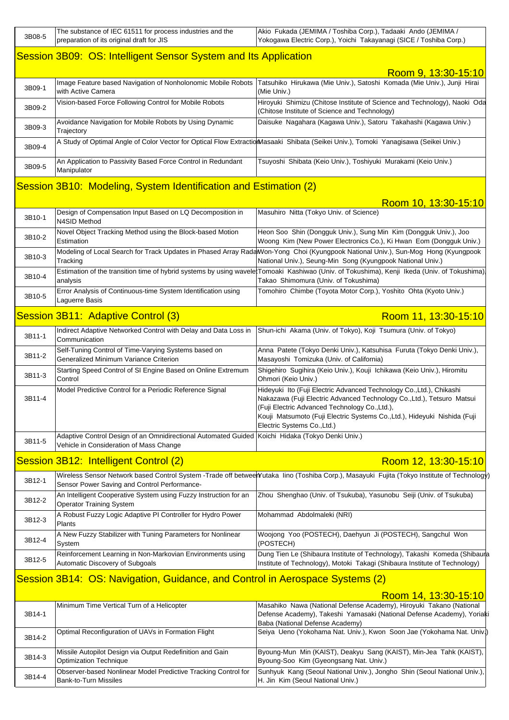| 3B08-5 | The substance of IEC 61511 for process industries and the<br>preparation of its original draft for JIS                                      | Akio Fukada (JEMIMA / Toshiba Corp.), Tadaaki Ando (JEMIMA /<br>Yokogawa Electric Corp.), Yoichi Takayanagi (SICE / Toshiba Corp.)                                                                                                                                                                           |
|--------|---------------------------------------------------------------------------------------------------------------------------------------------|--------------------------------------------------------------------------------------------------------------------------------------------------------------------------------------------------------------------------------------------------------------------------------------------------------------|
|        | Session 3B09: OS: Intelligent Sensor System and Its Application                                                                             |                                                                                                                                                                                                                                                                                                              |
|        |                                                                                                                                             | Room 9, 13:30-15:10                                                                                                                                                                                                                                                                                          |
| 3B09-1 | Image Feature based Navigation of Nonholonomic Mobile Robots<br>with Active Camera                                                          | Tatsuhiko Hirukawa (Mie Univ.), Satoshi Komada (Mie Univ.), Junji Hirai<br>(Mie Univ.)                                                                                                                                                                                                                       |
| 3B09-2 | Vision-based Force Following Control for Mobile Robots                                                                                      | Hiroyuki Shimizu (Chitose Institute of Science and Technology), Naoki Oda<br>(Chitose Institute of Science and Technology)                                                                                                                                                                                   |
| 3B09-3 | Avoidance Navigation for Mobile Robots by Using Dynamic<br>Trajectory                                                                       | Daisuke Nagahara (Kagawa Univ.), Satoru Takahashi (Kagawa Univ.)                                                                                                                                                                                                                                             |
| 3B09-4 |                                                                                                                                             | A Study of Optimal Angle of Color Vector for Optical Flow ExtractionMasaaki Shibata (Seikei Univ.), Tomoki Yanagisawa (Seikei Univ.)                                                                                                                                                                         |
| 3B09-5 | An Application to Passivity Based Force Control in Redundant<br>Manipulator                                                                 | Tsuyoshi Shibata (Keio Univ.), Toshiyuki Murakami (Keio Univ.)                                                                                                                                                                                                                                               |
|        | Session 3B10: Modeling, System Identification and Estimation (2)                                                                            |                                                                                                                                                                                                                                                                                                              |
|        |                                                                                                                                             | Room 10, 13:30-15:10                                                                                                                                                                                                                                                                                         |
| 3B10-1 | Design of Compensation Input Based on LQ Decomposition in<br>N4SID Method                                                                   | Masuhiro Nitta (Tokyo Univ. of Science)                                                                                                                                                                                                                                                                      |
| 3B10-2 | Novel Object Tracking Method using the Block-based Motion<br>Estimation                                                                     | Heon Soo Shin (Dongguk Univ.), Sung Min Kim (Dongguk Univ.), Joo<br>Woong Kim (New Power Electronics Co.), Ki Hwan Eom (Dongguk Univ.)                                                                                                                                                                       |
| 3B10-3 | Tracking                                                                                                                                    | Modeling of Local Search for Track Updates in Phased Array RadaWon-Yong Choi (Kyungpook National Univ.), Sun-Mog Hong (Kyungpook<br>National Univ.), Seung-Min Song (Kyungpook National Univ.)                                                                                                               |
| 3B10-4 | analysis                                                                                                                                    | Estimation of the transition time of hybrid systems by using waveletTomoaki Kashiwao (Univ. of Tokushima), Kenji Ikeda (Univ. of Tokushima)<br>Takao Shimomura (Univ. of Tokushima)                                                                                                                          |
| 3B10-5 | Error Analysis of Continuous-time System Identification using<br>Laguerre Basis                                                             | Tomohiro Chimbe (Toyota Motor Corp.), Yoshito Ohta (Kyoto Univ.)                                                                                                                                                                                                                                             |
|        | Session 3B11: Adaptive Control (3)                                                                                                          | Room 11, 13:30-15:10                                                                                                                                                                                                                                                                                         |
| 3B11-1 | Indirect Adaptive Networked Control with Delay and Data Loss in<br>Communication                                                            | Shun-ichi Akama (Univ. of Tokyo), Koji Tsumura (Univ. of Tokyo)                                                                                                                                                                                                                                              |
| 3B11-2 | Self-Tuning Control of Time-Varying Systems based on<br>Generalized Minimum Variance Criterion                                              | Anna Patete (Tokyo Denki Univ.), Katsuhisa Furuta (Tokyo Denki Univ.),<br>Masayoshi Tomizuka (Univ. of California)                                                                                                                                                                                           |
| 3B11-3 | Starting Speed Control of SI Engine Based on Online Extremum<br>Control                                                                     | Shigehiro Sugihira (Keio Univ.), Kouji Ichikawa (Keio Univ.), Hiromitu<br>Ohmori (Keio Univ.)                                                                                                                                                                                                                |
| 3B11-4 | Model Predictive Control for a Periodic Reference Signal                                                                                    | Hideyuki Ito (Fuji Electric Advanced Technology Co., Ltd.), Chikashi<br>Nakazawa (Fuji Electric Advanced Technology Co., Ltd.), Tetsuro Matsui<br>(Fuji Electric Advanced Technology Co., Ltd.),<br>Kouji Matsumoto (Fuji Electric Systems Co., Ltd.), Hideyuki Nishida (Fuji<br>Electric Systems Co., Ltd.) |
| 3B11-5 | Adaptive Control Design of an Omnidirectional Automated Guided Koichi Hidaka (Tokyo Denki Univ.)<br>Vehicle in Consideration of Mass Change |                                                                                                                                                                                                                                                                                                              |
|        | Session 3B12: Intelligent Control (2)                                                                                                       | Room 12, 13:30-15:10                                                                                                                                                                                                                                                                                         |
| 3B12-1 | Sensor Power Saving and Control Performance-                                                                                                | Wireless Sensor Network based Control System -Trade off between Yutaka lino (Toshiba Corp.), Masayuki Fujita (Tokyo Institute of Technology                                                                                                                                                                  |
| 3B12-2 | An Intelligent Cooperative System using Fuzzy Instruction for an<br><b>Operator Training System</b>                                         | Zhou Shenghao (Univ. of Tsukuba), Yasunobu Seiji (Univ. of Tsukuba)                                                                                                                                                                                                                                          |
| 3B12-3 | A Robust Fuzzy Logic Adaptive PI Controller for Hydro Power<br>Plants                                                                       | Mohammad Abdolmaleki (NRI)                                                                                                                                                                                                                                                                                   |
| 3B12-4 | A New Fuzzy Stabilizer with Tuning Parameters for Nonlinear<br>System                                                                       | Woojong Yoo (POSTECH), Daehyun Ji (POSTECH), Sangchul Won<br>(POSTECH)                                                                                                                                                                                                                                       |
| 3B12-5 | Reinforcement Learning in Non-Markovian Environments using<br>Automatic Discovery of Subgoals                                               | Dung Tien Le (Shibaura Institute of Technology), Takashi Komeda (Shibaura<br>Institute of Technology), Motoki Takagi (Shibaura Institute of Technology)                                                                                                                                                      |
|        | Session 3B14: OS: Navigation, Guidance, and Control in Aerospace Systems (2)                                                                |                                                                                                                                                                                                                                                                                                              |
|        |                                                                                                                                             | Room 14, 13:30-15:10                                                                                                                                                                                                                                                                                         |
|        |                                                                                                                                             |                                                                                                                                                                                                                                                                                                              |

|        | Minimum Time Vertical Turn of a Helicopter                     | Masahiko Nawa (National Defense Academy), Hiroyuki Takano (National      |
|--------|----------------------------------------------------------------|--------------------------------------------------------------------------|
| 3B14-1 |                                                                | Defense Academy), Takeshi Yamasaki (National Defense Academy), Yoriak    |
|        |                                                                | Baba (National Defense Academy)                                          |
|        | Optimal Reconfiguration of UAVs in Formation Flight            | Seiya Ueno (Yokohama Nat. Univ.), Kwon Soon Jae (Yokohama Nat. Univ.)    |
| 3B14-2 |                                                                |                                                                          |
|        | Missile Autopilot Design via Output Redefinition and Gain      | Byoung-Mun Min (KAIST), Deakyu Sang (KAIST), Min-Jea Tahk (KAIST),       |
| 3B14-3 | <b>Optimization Technique</b>                                  | Byoung-Soo Kim (Gyeongsang Nat. Univ.)                                   |
|        | Observer-based Nonlinear Model Predictive Tracking Control for | Sunhyuk Kang (Seoul National Univ.), Jongho Shin (Seoul National Univ.), |
| 3B14-4 | <b>Bank-to-Turn Missiles</b>                                   | H. Jin Kim (Seoul National Univ.)                                        |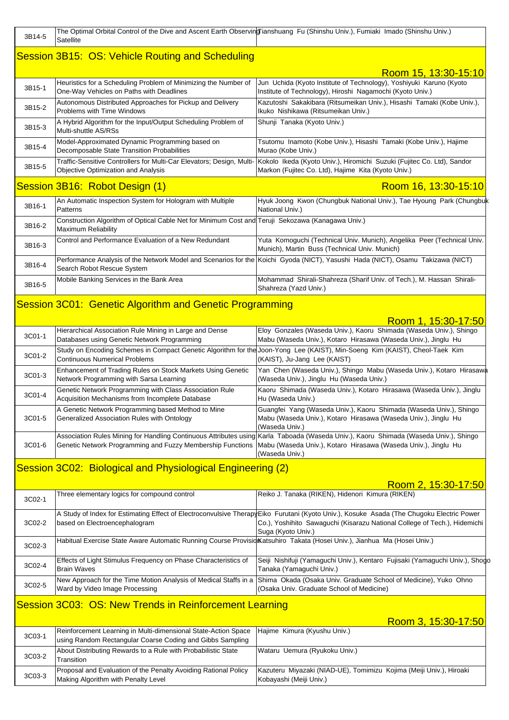| 3B14-5 | The Optimal Orbital Control of the Dive and Ascent Earth ObservingTianshuang Fu (Shinshu Univ.), Fumiaki Imado (Shinshu Univ.)<br>Satellite |                                                                                                                                                                                                                                             |
|--------|---------------------------------------------------------------------------------------------------------------------------------------------|---------------------------------------------------------------------------------------------------------------------------------------------------------------------------------------------------------------------------------------------|
|        | Session 3B15: OS: Vehicle Routing and Scheduling                                                                                            |                                                                                                                                                                                                                                             |
|        |                                                                                                                                             | Room 15, 13:30-15:10                                                                                                                                                                                                                        |
| 3B15-1 | Heuristics for a Scheduling Problem of Minimizing the Number of<br>One-Way Vehicles on Paths with Deadlines                                 | Jun Uchida (Kyoto Institute of Technology), Yoshiyuki Karuno (Kyoto<br>Institute of Technology), Hiroshi Nagamochi (Kyoto Univ.)                                                                                                            |
| 3B15-2 | Autonomous Distributed Approaches for Pickup and Delivery<br>Problems with Time Windows                                                     | Kazutoshi Sakakibara (Ritsumeikan Univ.), Hisashi Tamaki (Kobe Univ.),<br>Ikuko Nishikawa (Ritsumeikan Univ.)                                                                                                                               |
| 3B15-3 | A Hybrid Algorithm for the Input/Output Scheduling Problem of<br>Multi-shuttle AS/RSs                                                       | Shunji Tanaka (Kyoto Univ.)                                                                                                                                                                                                                 |
| 3B15-4 | Model-Approximated Dynamic Programming based on<br>Decomposable State Transition Probabilities                                              | Tsutomu Inamoto (Kobe Univ.), Hisashi Tamaki (Kobe Univ.), Hajime<br>Murao (Kobe Univ.)                                                                                                                                                     |
| 3B15-5 | Traffic-Sensitive Controllers for Multi-Car Elevators; Design, Multi-<br>Objective Optimization and Analysis                                | Kokolo Ikeda (Kyoto Univ.), Hiromichi Suzuki (Fujitec Co. Ltd), Sandor<br>Markon (Fujitec Co. Ltd), Hajime Kita (Kyoto Univ.)                                                                                                               |
|        | Session 3B16: Robot Design (1)                                                                                                              | Room 16, 13:30-15:10                                                                                                                                                                                                                        |
| 3B16-1 | An Automatic Inspection System for Hologram with Multiple<br>Patterns                                                                       | Hyuk Joong Kwon (Chungbuk National Univ.), Tae Hyoung Park (Chungbuk<br>National Univ.)                                                                                                                                                     |
| 3B16-2 | Construction Algorithm of Optical Cable Net for Minimum Cost and Teruji Sekozawa (Kanagawa Univ.)<br>Maximum Reliability                    |                                                                                                                                                                                                                                             |
| 3B16-3 | Control and Performance Evaluation of a New Redundant                                                                                       | Yuta Komoguchi (Technical Univ. Munich), Angelika Peer (Technical Univ.<br>Munich), Martin Buss (Technical Univ. Munich)                                                                                                                    |
| 3B16-4 | Search Robot Rescue System                                                                                                                  | Performance Analysis of the Network Model and Scenarios for the Koichi Gyoda (NICT), Yasushi Hada (NICT), Osamu Takizawa (NICT)                                                                                                             |
| 3B16-5 | Mobile Banking Services in the Bank Area                                                                                                    | Mohammad Shirali-Shahreza (Sharif Univ. of Tech.), M. Hassan Shirali-<br>Shahreza (Yazd Univ.)                                                                                                                                              |
|        | Session 3C01: Genetic Algorithm and Genetic Programming                                                                                     |                                                                                                                                                                                                                                             |
|        |                                                                                                                                             | Room 1, 15:30-17:50                                                                                                                                                                                                                         |
| 3C01-1 | Hierarchical Association Rule Mining in Large and Dense<br>Databases using Genetic Network Programming                                      | Eloy Gonzales (Waseda Univ.), Kaoru Shimada (Waseda Univ.), Shingo<br>Mabu (Waseda Univ.), Kotaro Hirasawa (Waseda Univ.), Jinglu Hu                                                                                                        |
| 3C01-2 | <b>Continuous Numerical Problems</b>                                                                                                        | Study on Encoding Schemes in Compact Genetic Algorithm for the Joon-Yong Lee (KAIST), Min-Soeng Kim (KAIST), Cheol-Taek Kim<br>(KAIST), Ju-Jang Lee (KAIST)                                                                                 |
| 3C01-3 | Enhancement of Trading Rules on Stock Markets Using Genetic<br>Network Programming with Sarsa Learning                                      | Yan Chen (Waseda Univ.), Shingo Mabu (Waseda Univ.), Kotaro Hirasawa<br>(Waseda Univ.), Jinglu Hu (Waseda Univ.)                                                                                                                            |
| 3C01-4 | Genetic Network Programming with Class Association Rule<br>Acquisition Mechanisms from Incomplete Database                                  | Kaoru Shimada (Waseda Univ.), Kotaro Hirasawa (Waseda Univ.), Jinglu<br>Hu (Waseda Univ.)                                                                                                                                                   |
| 3C01-5 | A Genetic Network Programming based Method to Mine<br>Generalized Association Rules with Ontology                                           | Guangfei Yang (Waseda Univ.), Kaoru Shimada (Waseda Univ.), Shingo<br>Mabu (Waseda Univ.), Kotaro Hirasawa (Waseda Univ.), Jinglu Hu<br>(Waseda Univ.)                                                                                      |
| 3C01-6 | Genetic Network Programming and Fuzzy Membership Functions                                                                                  | Association Rules Mining for Handling Continuous Attributes using Karla Taboada (Waseda Univ.), Kaoru Shimada (Waseda Univ.), Shingo<br>Mabu (Waseda Univ.), Kotaro Hirasawa (Waseda Univ.), Jinglu Hu<br>(Waseda Univ.)                    |
|        | Session 3C02: Biological and Physiological Engineering (2)                                                                                  |                                                                                                                                                                                                                                             |
|        |                                                                                                                                             | Room 2, 15:30-17:50                                                                                                                                                                                                                         |
| 3C02-1 | Three elementary logics for compound control                                                                                                | Reiko J. Tanaka (RIKEN), Hidenori Kimura (RIKEN)                                                                                                                                                                                            |
| 3C02-2 | based on Electroencephalogram                                                                                                               | A Study of Index for Estimating Effect of Electroconvulsive TherapyEiko Furutani (Kyoto Univ.), Kosuke Asada (The Chugoku Electric Power<br>Co.), Yoshihito Sawaguchi (Kisarazu National College of Tech.), Hidemichi<br>Suga (Kyoto Univ.) |
| 3C02-3 | Habitual Exercise State Aware Automatic Running Course Provisid Katsuhiro Takata (Hosei Univ.), Jianhua Ma (Hosei Univ.)                    |                                                                                                                                                                                                                                             |
| 3C02-4 | Effects of Light Stimulus Frequency on Phase Characteristics of<br><b>Brain Waves</b>                                                       | Seiji Nishifuji (Yamaguchi Univ.), Kentaro Fujisaki (Yamaguchi Univ.), Shogo<br>Tanaka (Yamaguchi Univ.)                                                                                                                                    |
| 3C02-5 | New Approach for the Time Motion Analysis of Medical Staffs in a<br>Ward by Video Image Processing                                          | Shima Okada (Osaka Univ. Graduate School of Medicine), Yuko Ohno<br>(Osaka Univ. Graduate School of Medicine)                                                                                                                               |
|        | Session 3C03: OS: New Trends in Reinforcement Learning                                                                                      |                                                                                                                                                                                                                                             |
|        |                                                                                                                                             | Room 3, 15:30-17:50                                                                                                                                                                                                                         |
| 3C03-1 | Reinforcement Learning in Multi-dimensional State-Action Space<br>using Random Rectangular Coarse Coding and Gibbs Sampling                 | Hajime Kimura (Kyushu Univ.)                                                                                                                                                                                                                |
| 3C03-2 | About Distributing Rewards to a Rule with Probabilistic State<br>Transition                                                                 | Wataru Uemura (Ryukoku Univ.)                                                                                                                                                                                                               |
| 3C03-3 | Proposal and Evaluation of the Penalty Avoiding Rational Policy<br>Making Algorithm with Penalty Level                                      | Kazuteru Miyazaki (NIAD-UE), Tomimizu Kojima (Meiji Univ.), Hiroaki<br>Kobayashi (Meiji Univ.)                                                                                                                                              |
|        |                                                                                                                                             |                                                                                                                                                                                                                                             |

 $\blacksquare$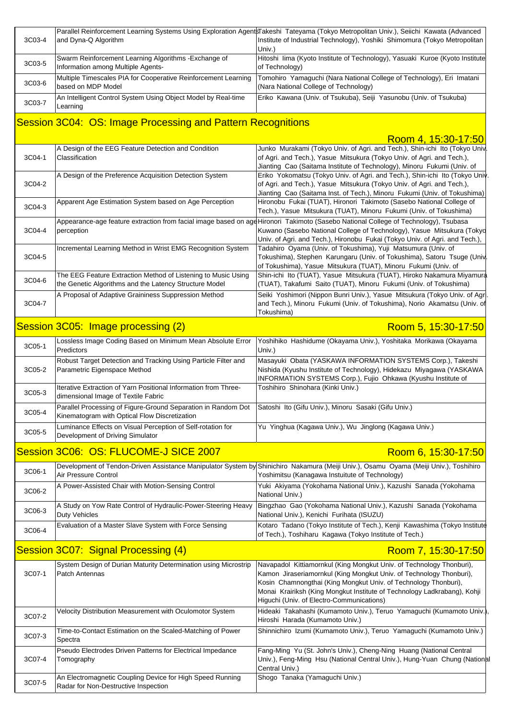| 3C03-4                                                      | and Dyna-Q Algorithm                                                                                                    | Parallel Reinforcement Learning Systems Using Exploration AgentsTakeshi Tateyama (Tokyo Metropolitan Univ.), Seiichi Kawata (Advanced<br>Institute of Industrial Technology), Yoshiki Shimomura (Tokyo Metropolitan<br>Univ.)                                                                                                           |
|-------------------------------------------------------------|-------------------------------------------------------------------------------------------------------------------------|-----------------------------------------------------------------------------------------------------------------------------------------------------------------------------------------------------------------------------------------------------------------------------------------------------------------------------------------|
| 3C03-5                                                      | Swarm Reinforcement Learning Algorithms - Exchange of<br>Information among Multiple Agents-                             | Hitoshi lima (Kyoto Institute of Technology), Yasuaki Kuroe (Kyoto Institute<br>of Technology)                                                                                                                                                                                                                                          |
| 3C03-6                                                      | Multiple Timescales PIA for Cooperative Reinforcement Learning<br>based on MDP Model                                    | Tomohiro Yamaguchi (Nara National College of Technology), Eri Imatani<br>(Nara National College of Technology)                                                                                                                                                                                                                          |
| 3C03-7                                                      | An Intelligent Control System Using Object Model by Real-time<br>Learning                                               | Eriko Kawana (Univ. of Tsukuba), Seiji Yasunobu (Univ. of Tsukuba)                                                                                                                                                                                                                                                                      |
| Session 3C04: OS: Image Processing and Pattern Recognitions |                                                                                                                         |                                                                                                                                                                                                                                                                                                                                         |
|                                                             |                                                                                                                         | Room 4, 15:30-17:50                                                                                                                                                                                                                                                                                                                     |
| 3C04-1                                                      | A Design of the EEG Feature Detection and Condition<br>Classification                                                   | Junko Murakami (Tokyo Univ. of Agri. and Tech.), Shin-ichi Ito (Tokyo Univ<br>of Agri. and Tech.), Yasue Mitsukura (Tokyo Univ. of Agri. and Tech.),<br>Jianting Cao (Saitama Institute of Technology), Minoru Fukumi (Univ. of                                                                                                         |
| 3C04-2                                                      | A Design of the Preference Acquisition Detection System                                                                 | Eriko Yokomatsu (Tokyo Univ. of Agri. and Tech.), Shin-ichi Ito (Tokyo Univ<br>of Agri. and Tech.), Yasue Mitsukura (Tokyo Univ. of Agri. and Tech.),<br>Jianting Cao (Saitama Inst. of Tech.), Minoru Fukumi (Univ. of Tokushima)                                                                                                      |
| 3C04-3                                                      | Apparent Age Estimation System based on Age Perception                                                                  | Hironobu Fukai (TUAT), Hironori Takimoto (Sasebo National College of<br>Tech.), Yasue Mitsukura (TUAT), Minoru Fukumi (Univ. of Tokushima)                                                                                                                                                                                              |
| 3C04-4                                                      | Appearance-age feature extraction from facial image based on age<br>perception                                          | Hironori Takimoto (Sasebo National College of Technology), Tsubasa<br>Kuwano (Sasebo National College of Technology), Yasue Mitsukura (Tokyo<br>Univ. of Agri. and Tech.), Hironobu Fukai (Tokyo Univ. of Agri. and Tech.),                                                                                                             |
| 3C04-5                                                      | Incremental Learning Method in Wrist EMG Recognition System                                                             | Tadahiro Oyama (Univ. of Tokushima), Yuji Matsumura (Univ. of<br>Tokushima), Stephen Karungaru (Univ. of Tokushima), Satoru Tsuge (Univ<br>of Tokushima), Yasue Mitsukura (TUAT), Minoru Fukumi (Univ. of                                                                                                                               |
| 3C04-6                                                      | The EEG Feature Extraction Method of Listening to Music Using<br>the Genetic Algorithms and the Latency Structure Model | Shin-ichi Ito (TUAT), Yasue Mitsukura (TUAT), Hiroko Nakamura Miyamura<br>(TUAT), Takafumi Saito (TUAT), Minoru Fukumi (Univ. of Tokushima)                                                                                                                                                                                             |
| 3C04-7                                                      | A Proposal of Adaptive Graininess Suppression Method                                                                    | Seiki Yoshimori (Nippon Bunri Univ.), Yasue Mitsukura (Tokyo Univ. of Agr<br>and Tech.), Minoru Fukumi (Univ. of Tokushima), Norio Akamatsu (Univ. of<br>Tokushima)                                                                                                                                                                     |
|                                                             | Session 3C05: Image processing (2)                                                                                      | Room 5, 15:30-17:50                                                                                                                                                                                                                                                                                                                     |
| 3C05-1                                                      | Lossless Image Coding Based on Minimum Mean Absolute Error<br>Predictors                                                | Yoshihiko Hashidume (Okayama Univ.), Yoshitaka Morikawa (Okayama<br>Univ.)                                                                                                                                                                                                                                                              |
| 3C05-2                                                      | Robust Target Detection and Tracking Using Particle Filter and<br>Parametric Eigenspace Method                          | Masayuki Obata (YASKAWA INFORMATION SYSTEMS Corp.), Takeshi<br>Nishida (Kyushu Institute of Technology), Hidekazu Miyagawa (YASKAWA<br>INFORMATION SYSTEMS Corp.), Fujio Ohkawa (Kyushu Institute of                                                                                                                                    |
|                                                             |                                                                                                                         |                                                                                                                                                                                                                                                                                                                                         |
| 3C05-3                                                      | Iterative Extraction of Yarn Positional Information from Three-<br>dimensional Image of Textile Fabric                  | Toshihiro Shinohara (Kinki Univ.)                                                                                                                                                                                                                                                                                                       |
| 3C05-4                                                      | Parallel Processing of Figure-Ground Separation in Random Dot<br>Kinematogram with Optical Flow Discretization          | Satoshi Ito (Gifu Univ.), Minoru Sasaki (Gifu Univ.)                                                                                                                                                                                                                                                                                    |
| 3C05-5                                                      | Luminance Effects on Visual Perception of Self-rotation for<br>Development of Driving Simulator                         | Yu Yinghua (Kagawa Univ.), Wu Jinglong (Kagawa Univ.)                                                                                                                                                                                                                                                                                   |
|                                                             | Session 3C06: OS: FLUCOME-J SICE 2007                                                                                   | Room 6, 15:30-17:50                                                                                                                                                                                                                                                                                                                     |
| 3C06-1                                                      | Air Pressure Control                                                                                                    | Development of Tendon-Driven Assistance Manipulator System by Shinichiro Nakamura (Meiji Univ.), Osamu Oyama (Meiji Univ.), Toshihiro<br>Yoshimitsu (Kanagawa Instuitute of Technology)                                                                                                                                                 |
| 3C06-2                                                      | A Power-Assisted Chair with Motion-Sensing Control                                                                      | Yuki Akiyama (Yokohama National Univ.), Kazushi Sanada (Yokohama<br>National Univ.)                                                                                                                                                                                                                                                     |
| 3C06-3                                                      | A Study on Yow Rate Control of Hydraulic-Power-Steering Heavy<br><b>Duty Vehicles</b>                                   | Bingzhao Gao (Yokohama National Univ.), Kazushi Sanada (Yokohama<br>National Univ.), Kenichi Furihata (ISUZU)                                                                                                                                                                                                                           |
| 3C06-4                                                      | Evaluation of a Master Slave System with Force Sensing                                                                  | of Tech.), Toshiharu Kagawa (Tokyo Institute of Tech.)                                                                                                                                                                                                                                                                                  |
|                                                             | Session 3C07: Signal Processing (4)                                                                                     | Room 7, 15:30-17:50                                                                                                                                                                                                                                                                                                                     |
| 3C07-1                                                      | System Design of Durian Maturity Determination using Microstrip<br>Patch Antennas                                       | Navapadol Kittiamornkul (King Mongkut Univ. of Technology Thonburi),<br>Kamon Jiraseriamornkul (King Mongkut Univ. of Technology Thonburi),<br>Kosin Chamnongthai (King Mongkut Univ. of Technology Thonburi),<br>Monai Krairiksh (King Mongkut Institute of Technology Ladkrabang), Kohji<br>Higuchi (Univ. of Electro-Communications) |
| 3C07-2                                                      | Velocity Distribution Measurement with Oculomotor System                                                                | Hideaki Takahashi (Kumamoto Univ.), Teruo Yamaguchi (Kumamoto Univ.<br>Hiroshi Harada (Kumamoto Univ.)                                                                                                                                                                                                                                  |
| 3C07-3                                                      | Time-to-Contact Estimation on the Scaled-Matching of Power<br>Spectra                                                   | Shinnichiro Izumi (Kumamoto Univ.), Teruo Yamaguchi (Kumamoto Univ.)                                                                                                                                                                                                                                                                    |
| 3C07-4                                                      | Pseudo Electrodes Driven Patterns for Electrical Impedance<br>Tomography                                                | Kotaro Tadano (Tokyo Institute of Tech.), Kenji Kawashima (Tokyo Institute<br>Fang-Ming Yu (St. John's Univ.), Cheng-Ning Huang (National Central<br>Univ.), Feng-Ming Hsu (National Central Univ.), Hung-Yuan Chung (Nationa<br>Central Univ.)                                                                                         |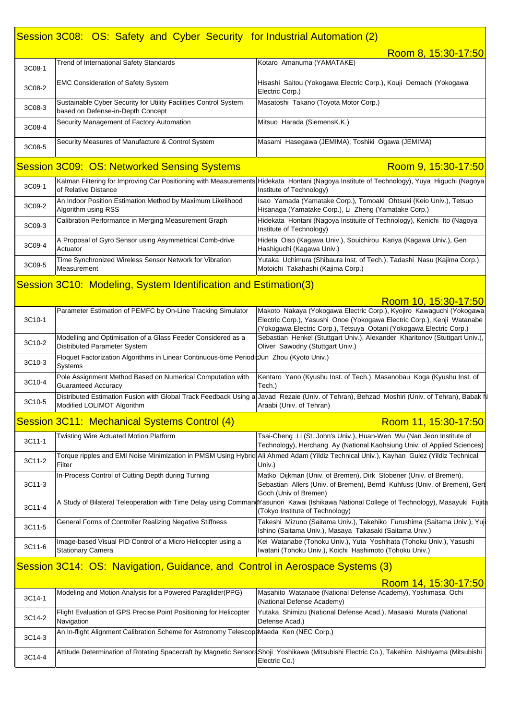## Session 3C08: OS: Safety and Cyber Security for Industrial Automation (2)

|                                                                              |                                                                                                       | Room 8, 15:30-17:50                                                                                                                                                                                                    |  |
|------------------------------------------------------------------------------|-------------------------------------------------------------------------------------------------------|------------------------------------------------------------------------------------------------------------------------------------------------------------------------------------------------------------------------|--|
| 3C08-1                                                                       | Trend of International Safety Standards                                                               | Kotaro Amanuma (YAMATAKE)                                                                                                                                                                                              |  |
| 3C08-2                                                                       | <b>EMC Consideration of Safety System</b>                                                             | Hisashi Saitou (Yokogawa Electric Corp.), Kouji Demachi (Yokogawa<br>Electric Corp.)                                                                                                                                   |  |
| 3C08-3                                                                       | Sustainable Cyber Security for Utility Facilities Control System<br>based on Defense-in-Depth Concept | Masatoshi Takano (Toyota Motor Corp.)                                                                                                                                                                                  |  |
| 3C08-4                                                                       | Security Management of Factory Automation                                                             | Mitsuo Harada (SiemensK.K.)                                                                                                                                                                                            |  |
| 3C08-5                                                                       | Security Measures of Manufacture & Control System                                                     | Masami Hasegawa (JEMIMA), Toshiki Ogawa (JEMIMA)                                                                                                                                                                       |  |
|                                                                              | <b>Session 3C09: OS: Networked Sensing Systems</b>                                                    | Room 9, 15:30-17:50                                                                                                                                                                                                    |  |
| 3C09-1                                                                       | of Relative Distance                                                                                  | Kalman Filtering for Improving Car Positioning with Measurements Hidekata Hontani (Nagoya Institute of Technology), Yuya Higuchi (Nagoya<br>Institute of Technology)                                                   |  |
| 3C09-2                                                                       | An Indoor Position Estimation Method by Maximum Likelihood<br>Algorithm using RSS                     | Isao Yamada (Yamatake Corp.), Tomoaki Ohtsuki (Keio Univ.), Tetsuo<br>Hisanaga (Yamatake Corp.), Li Zheng (Yamatake Corp.)                                                                                             |  |
| 3C09-3                                                                       | Calibration Performance in Merging Measurement Graph                                                  | Hidekata Hontani (Nagoya Instituite of Technology), Kenichi Ito (Nagoya<br>Institute of Technology)                                                                                                                    |  |
| 3C09-4                                                                       | A Proposal of Gyro Sensor using Asymmetrical Comb-drive<br>Actuator                                   | Hideta Oiso (Kagawa Univ.), Souichirou Kariya (Kagawa Univ.), Gen<br>Hashiguchi (Kagawa Univ.)                                                                                                                         |  |
| 3C09-5                                                                       | Time Synchronized Wireless Sensor Network for Vibration<br>Measurement                                | Yutaka Uchimura (Shibaura Inst. of Tech.), Tadashi Nasu (Kajima Corp.),<br>Motoichi Takahashi (Kajima Corp.)                                                                                                           |  |
|                                                                              | Session 3C10: Modeling, System Identification and Estimation(3)                                       |                                                                                                                                                                                                                        |  |
|                                                                              |                                                                                                       | Room 10, 15:30-17:50                                                                                                                                                                                                   |  |
| 3C10-1                                                                       | Parameter Estimation of PEMFC by On-Line Tracking Simulator                                           | Makoto Nakaya (Yokogawa Electric Corp.), Kyojiro Kawaguchi (Yokogawa<br>Electric Corp.), Yasushi Onoe (Yokogawa Electric Corp.), Kenji Watanabe<br>(Yokogawa Electric Corp.), Tetsuya Ootani (Yokogawa Electric Corp.) |  |
| 3C10-2                                                                       | Modelling and Optimisation of a Glass Feeder Considered as a<br>Distributed Parameter System          | Sebastian Henkel (Stuttgart Univ.), Alexander Kharitonov (Stuttgart Univ.),<br>Oliver Sawodny (Stuttgart Univ.)                                                                                                        |  |
| 3C10-3                                                                       | Floquet Factorization Algorithms in Linear Continuous-time Periodiclun Zhou (Kyoto Univ.)<br>Systems  |                                                                                                                                                                                                                        |  |
| 3C10-4                                                                       | Pole Assignment Method Based on Numerical Computation with<br><b>Guaranteed Accuracy</b>              | Kentaro Yano (Kyushu Inst. of Tech.), Masanobau Koga (Kyushu Inst. of<br>Tech.)                                                                                                                                        |  |
| 3C10-5                                                                       | Modified LOLIMOT Algorithm                                                                            | Distributed Estimation Fusion with Global Track Feedback Using a Javad Rezaie (Univ. of Tehran), Behzad Moshiri (Univ. of Tehran), Babak N<br>Araabi (Univ. of Tehran)                                                 |  |
|                                                                              | Session 3C11: Mechanical Systems Control (4)                                                          | Room 11, 15:30-17:50                                                                                                                                                                                                   |  |
| 3C11-1                                                                       | Twisting Wire Actuated Motion Platform                                                                | Tsai-Cheng Li (St. John's Univ.), Huan-Wen Wu (Nan Jeon Institute of<br>Technology), Herchang Ay (National Kaohsiung Univ. of Applied Sciences)                                                                        |  |
| 3C11-2                                                                       | Filter                                                                                                | Torque ripples and EMI Noise Minimization in PMSM Using Hybrid Ali Ahmed Adam (Yildiz Technical Univ.), Kayhan Gulez (Yildiz Technical<br>Univ.)                                                                       |  |
| 3C11-3                                                                       | In-Process Control of Cutting Depth during Turning                                                    | Matko Dijkman (Univ. of Bremen), Dirk Stobener (Univ. of Bremen),<br>Sebastian Allers (Univ. of Bremen), Bernd Kuhfuss (Univ. of Bremen), Gert                                                                         |  |
| 3C11-4                                                                       |                                                                                                       | Goch (Univ of Bremen)<br>A Study of Bilateral Teleoperation with Time Delay using CommandYasunori Kawai (Ishikawa National College of Technology), Masayuki Fujita<br>(Tokyo Institute of Technology)                  |  |
| 3C11-5                                                                       | General Forms of Controller Realizing Negative Stiffness                                              | Takeshi Mizuno (Saitama Univ.), Takehiko Furushima (Saitama Univ.), Yuji<br>Ishino (Saitama Univ.), Masaya Takasaki (Saitama Univ.)                                                                                    |  |
| 3C11-6                                                                       | Image-based Visual PID Control of a Micro Helicopter using a<br><b>Stationary Camera</b>              | Kei Watanabe (Tohoku Univ.), Yuta Yoshihata (Tohoku Univ.), Yasushi<br>Iwatani (Tohoku Univ.), Koichi Hashimoto (Tohoku Univ.)                                                                                         |  |
| Session 3C14: OS: Navigation, Guidance, and Control in Aerospace Systems (3) |                                                                                                       |                                                                                                                                                                                                                        |  |
|                                                                              |                                                                                                       | Room 14, 15:30-17:50                                                                                                                                                                                                   |  |
| 3C14-1                                                                       | Modeling and Motion Analysis for a Powered Paraglider(PPG)                                            | Masahito Watanabe (National Defense Academy), Yoshimasa Ochi<br>(National Defense Academy)                                                                                                                             |  |
| 3C14-2                                                                       | Flight Evaluation of GPS Precise Point Positioning for Helicopter<br>Navigation                       | Yutaka Shimizu (National Defense Acad.), Masaaki Murata (National<br>Defense Acad.)                                                                                                                                    |  |
| 3C14-3                                                                       | An In-flight Alignment Calibration Scheme for Astronomy TelescopeMaeda Ken (NEC Corp.)                |                                                                                                                                                                                                                        |  |
| 3C14-4                                                                       |                                                                                                       | Attitude Determination of Rotating Spacecraft by Magnetic SensorsShoji Yoshikawa (Mitsubishi Electric Co.), Takehiro Nishiyama (Mitsubishi<br>Electric Co.)                                                            |  |